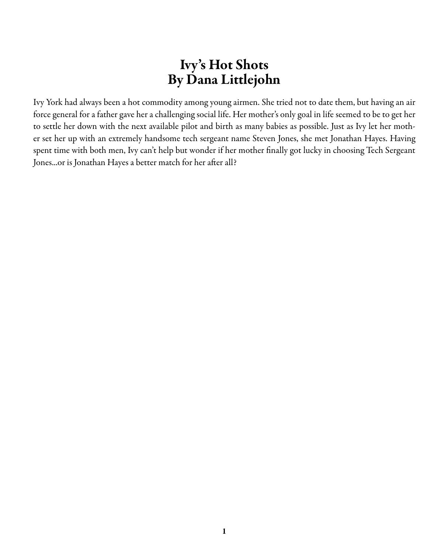# Ivy 's Hot Shots By Dana Littlejohn

Ivy York had always been a hot commodity among young airmen. She tried not to date them, but having an air force general for a father gave her a challenging social life. Her mother's only goal in life seemed to be to get her to settle her down with the next available pilot and birth as many babies as possible. Just as Ivy let her mother set her up with an extremely handsome tech sergeant name Steven Jones, she met Jonathan Hayes. Having spent time with both men, Ivy can't help but wonder if her mother finally got lucky in choosing Tech Sergeant Jones...or is Jonathan Hayes a better match for her after all?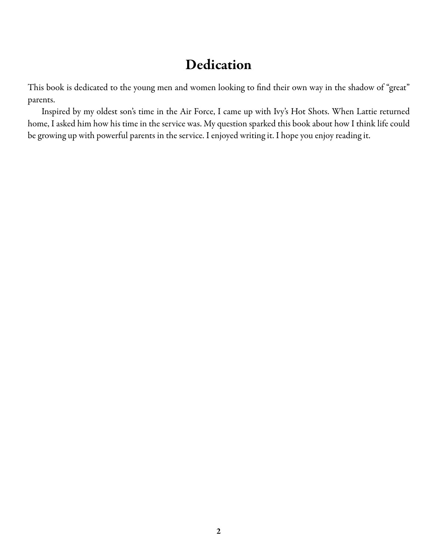# Dedication

This book is dedicated to the young men and women looking to find their own way in the shadow of "great" parents.

Inspired by my oldest son's time in the Air Force, I came up with Ivy's Hot Shots. When Lattie returned home, I asked him how his time in the service was. My question sparked this book about how I think life could be growing up with powerful parents in the service. I enjoyed writing it. I hope you enjoy reading it.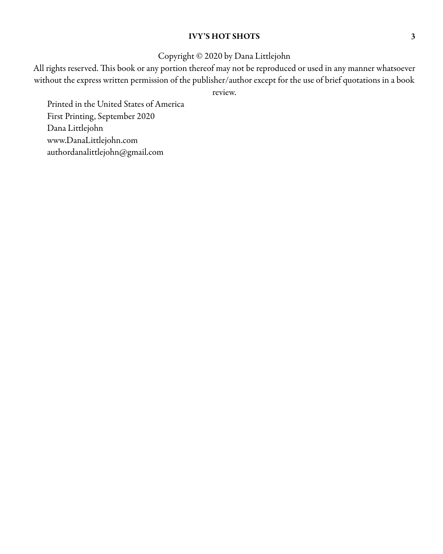Copyright © 2020 by Dana Littlejohn

All rights reserved. This book or any portion thereof may not be reproduced or used in any manner whatsoever without the express written permission of the publisher/author except for the use of brief quotations in a book

review.

Printed in the United States of America First Printing, September 2020 Dana Littlejohn www.DanaLittlejohn.com authordanalittlejohn@gmail.com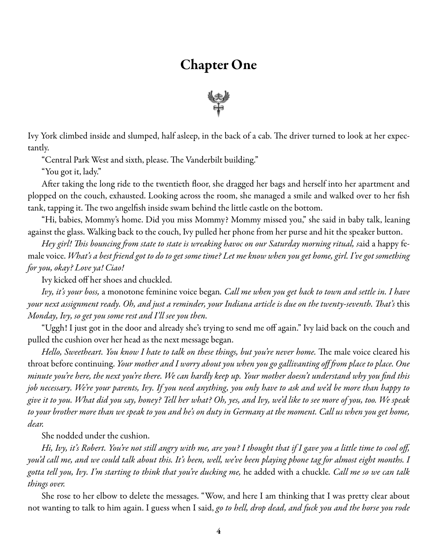## Chapter One



Ivy York climbed inside and slumped, half asleep, in the back of a cab. The driver turned to look at her expectantly.

"Central Park West and sixth, please. The Vanderbilt building."

"You got it, lady."

After taking the long ride to the twentieth floor, she dragged her bags and herself into her apartment and plopped on the couch, exhausted. Looking across the room, she managed a smile and walked over to her fish tank, tapping it. The two angelfish inside swam behind the little castle on the bottom.

"Hi, babies, Mommy's home. Did you miss Mommy? Mommy missed you," she said in baby talk, leaning against the glass. Walking back to the couch, Ivy pulled her phone from her purse and hit the speaker button.

Hey girl! This bouncing from state to state is wreaking havoc on our Saturday morning ritual, said a happy female voice. What's a best friend got to do to get some time? Let me know when you get home, girl. I've got something for you, okay? Love ya! Ciao!

Ivy kicked off her shoes and chuckled.

Ivy, it's your boss, a monotone feminine voice began. *Call me when you get back to town and settle in. I have* your next assignment ready. Oh, and just a reminder, your Indiana article is due on the twenty-seventh. That's this Monday, Ivy, so get you some rest and I'll see you then.

"Uggh! I just got in the door and already she's trying to send me off again." Ivy laid back on the couch and pulled the cushion over her head as the next message began.

Hello, Sweetheart. You know I hate to talk on these things, but you're never home. The male voice cleared his throat before continuing. Your mother and I worry about you when you go gallivanting off from place to place. One minute you're here, the next you're there. We can hardly keep up. Your mother doesn't understand why you find this job necessary. We're your parents, Ivy. If you need anything, you only have to ask and we'd be more than happy to give it to you. What did you say, honey? Tell her what? Oh, yes, and Ivy, we'd like to see more of you, too. We speak to your brother more than we speak to you and he's on duty in Germany at the moment. Call us when you get home, dear.

She nodded under the cushion.

Hi, Ivy, it's Robert. You're not still angry with me, are you? I thought that if I gave you a little time to cool off, you'd call me, and we could talk about this. It's been, well, we've been playing phone tag for almost eight months. I gotta tell you, Ivy. I'm starting to think that you're ducking me, he added with a chuckle. Call me so we can talk things over.

She rose to her elbow to delete the messages. "Wow, and here I am thinking that I was pretty clear about not wanting to talk to him again. I guess when I said, go to hell, drop dead, and fuck you and the horse you rode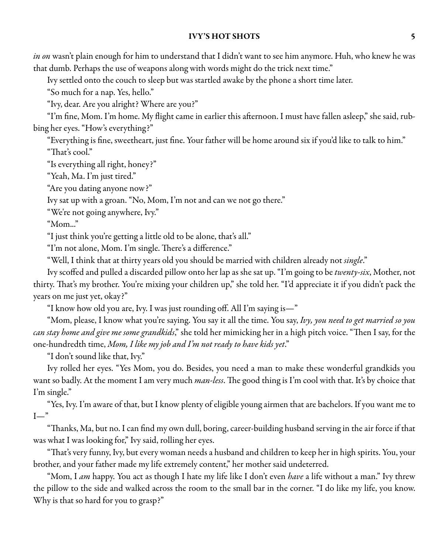in on wasn't plain enough for him to understand that I didn't want to see him anymore. Huh, who knew he was that dumb. Perhaps the use of weapons along with words might do the trick next time."

Ivy settled onto the couch to sleep but was startled awake by the phone a short time later.

"So much for a nap. Yes, hello."

"Ivy, dear. Are you alright? Where are you?"

"I'm fine, Mom. I'm home. My flight came in earlier this afternoon. I must have fallen asleep," she said, rubbing her eyes. "How's everything?"

"Everything is fine, sweetheart, just fine. Your father will be home around six if you'd like to talk to him." "That's cool."

"Is everything all right, honey?"

"Yeah, Ma. I'm just tired."

"Are you dating anyone now?"

Ivy sat up with a groan. "No, Mom, I'm not and can we not go there."

"We're not going anywhere, Ivy."

 $"M$ om..."

"I just think you're getting a little old to be alone, that's all."

"I'm not alone, Mom. I'm single. There's a difference."

"Well, I think that at thirty years old you should be married with children already not single."

Ivy scoffed and pulled a discarded pillow onto her lap as she sat up. "I'm going to be twenty-six, Mother, not thirty. That's my brother. You're mixing your children up," she told her. "I'd appreciate it if you didn't pack the years on me just yet, okay?"

"I know how old you are, Ivy. I was just rounding off. All I'm saying is—"

"Mom, please, I know what you're saying. You say it all the time. You say, Ivy, you need to get married so you can stay home and give me some grandkids," she told her mimicking her in a high pitch voice. "Then I say, for the one-hundredth time, Mom, I like my job and I'm not ready to have kids yet."

"I don't sound like that, Ivy."

Ivy rolled her eyes. "Yes Mom, you do. Besides, you need a man to make these wonderful grandkids you want so badly. At the moment I am very much man-less. The good thing is I'm cool with that. It's by choice that I'm single."

"Yes, Ivy. I'm aware of that, but I know plenty of eligible young airmen that are bachelors. If you want me to  $I-$ "

"Thanks, Ma, but no. I can find my own dull, boring, career-building husband serving in the air force if that was what I was looking for," Ivy said, rolling her eyes.

"That's very funny, Ivy, but every woman needs a husband and children to keep her in high spirits. You, your brother, and your father made my life extremely content," her mother said undeterred.

"Mom, I am happy. You act as though I hate my life like I don't even have a life without a man." Ivy threw the pillow to the side and walked across the room to the small bar in the corner. "I do like my life, you know. Why is that so hard for you to grasp?"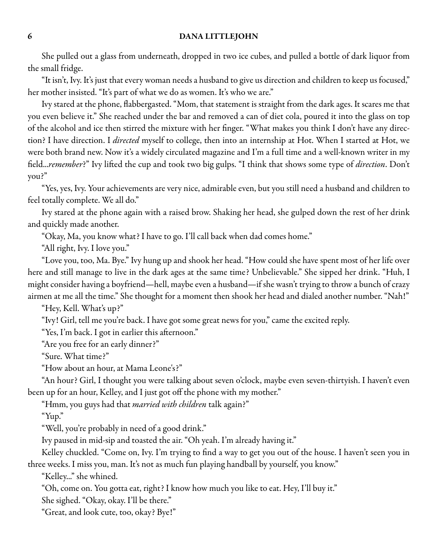She pulled out a glass from underneath, dropped in two ice cubes, and pulled a bottle of dark liquor from the small fridge.

"It isn't, Ivy. It's just that every woman needs a husband to give us direction and children to keep us focused," her mother insisted. "It's part of what we do as women. It's who we are."

Ivy stared at the phone, flabbergasted. "Mom, that statement is straight from the dark ages. It scares methat you even believe it." She reached under the bar and removed a can of diet cola, poured it into the glass on top of the alcohol and ice then stirred the mixture with her finger. "What makes you think I don't have any direction? I have direction. I directed myself to college, then into an internship at Hot. When I started at Hot, we were both brand new. Now it's a widely circulated magazine and I'm a full time and a well-known writer in my field...remember?" Ivy lifted the cup and took two big gulps. "I think that shows some type of *direction*. Don't you?"

"Yes, yes, Ivy. Your achievements are very nice, admirable even, but you still need a husband and children to feel totally complete. We all do."

Ivy stared at the phone again with a raised brow. Shaking her head, she gulped down the rest of her drink and quickly made another.

"Okay, Ma, you know what? I have to go. I'll call back when dad comes home."

"All right, Ivy. I love you."

"Love you, too, Ma. Bye." Ivy hung up and shook her head. "How could she have spent most of her life over here and still manage to live in the dark ages at the same time? Unbelievable." She sipped her drink. "Huh, I might consider having a boyfriend—hell, maybe even a husband—if she wasn't trying to throw a bunch of crazy airmen at me all the time." She thought for a moment then shook her head and dialed another number. "Nah!"

"Hey, Kell. What's up?"

"Ivy! Girl, tell me you're back. I have got some great news for you," came the excited reply.

"Yes, I'm back. I got in earlier this afternoon."

"Are you free for an early dinner?"

"Sure. What time?"

"How about an hour, at Mama Leone's?"

"An hour? Girl, I thought you were talking about seven o'clock, maybe even seven-thirtyish. I haven't even been up for an hour, Kelley, and I just got off the phone with my mother."

"Hmm, you guys had that *married with children* talk again?"

"Yup."

"Well, you're probably in need of a good drink."

Ivy paused in mid-sip and toasted the air. "Oh yeah. I'm already having it."

Kelley chuckled. "Come on, Ivy. I'm trying to find a way to get you out of the house. I haven't seen you in three weeks. I miss you, man. It's not as much fun playing handball by yourself, you know."

"Kelley..." she whined.

"Oh, come on. You gotta eat, right? I know how much you like to eat. Hey, I'll buy it."

She sighed. "Okay, okay. I'll be there."

"Great, and look cute, too, okay? Bye!"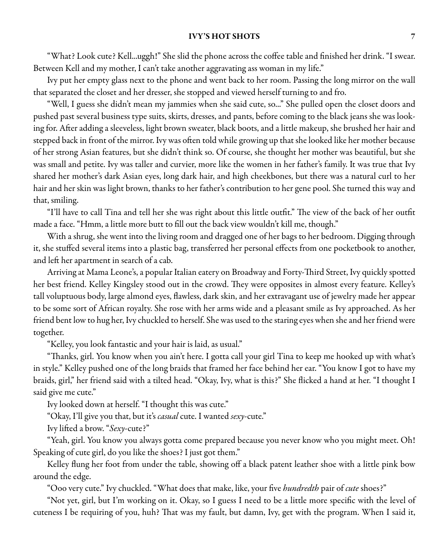"What? Look cute? Kell...uggh!" She slid the phone across the coffee table and finished her drink. "I swear. Between Kell and my mother, I can't take another aggravating ass woman in my life."

Ivy put her empty glass next to the phone and went back to her room. Passing the long mirror on the wall that separated the closet and her dresser, she stopped and viewed herself turning to and fro.

"Well, I guess she didn't mean my jammies when she said cute, so..." She pulled open the closet doors and pushed past several business type suits, skirts, dresses, and pants, before coming to the black jeans she was looking for. After adding a sleeveless, light brown sweater, black boots, and a little makeup, she brushed her hair and stepped back in front of the mirror. Ivy was often told while growing up that she looked like her mother because of her strong Asian features, but she didn't think so. Of course, she thought her mother was beautiful, but she was small and petite. Ivy was taller and curvier, more like the women in her father's family. It was true that Ivy shared her mother's dark Asian eyes, long dark hair, and high cheekbones, but there was a natural curl to her hair and her skin was light brown, thanks to her father's contribution to her gene pool. She turned this way and that, smiling.

"I'll have to call Tina and tell her she was right about this little outfit." The view of the back of her outfit made a face. "Hmm, a little more butt to fill out the back view wouldn't kill me, though."

With ashrug, she went into the living room and dragged one of her bags to her bedroom. Digging through it, she stuffed several items into a plastic bag, transferred her personal effects from one pocketbook to another, and left her apartment in search of a cab.

Arriving at Mama Leone's, a popular Italian eatery on Broadway and Forty-Third Street, Ivy quickly spotted her best friend. Kelley Kingsley stood out in the crowd. They were opposites in almost every feature. Kelley's tall voluptuous body, large almond eyes, flawless, dark skin, and her extravagant use of jewelry made her appear to be some sort of African royalty. She rose with her arms wide and a pleasant smile as Ivy approached. As her friend bent low to hug her, Ivy chuckled to herself. She was used to the staring eyes when she and her friend were together.

"Kelley, you look fantastic and your hair is laid, as usual."

"Thanks, girl. You know when you ain't here. I gotta call your girl Tina to keep me hooked up with what's in style." Kelley pushed one of the long braids that framed her face behind her ear. "You know I got to have my braids, girl," her friend said with a tilted head. "Okay, Ivy, what is this?" She flicked a hand at her. "I thought I said give me cute."

Ivy looked down at herself. "I thought this was cute."

"Okay, I'll give you that, but it's casual cute. I wanted sexy-cute."

Ivy lifted a brow. "Sexy-cute?"

"Yeah, girl. You know you always gotta come prepared because you never know who you might meet. Oh! Speaking of cute girl, do you like the shoes? I just got them."

Kelley flung her foot from under the table, showing off a black patent leather shoe with a little pink bow around the edge.

"Ooo very cute." Ivy chuckled. "What does that make, like, your five hundredth pair of cute shoes?"

"Not yet, girl, but I'm working on it. Okay, so I guess I need to be a little more specific with the level of cuteness I be requiring of you, huh? That was my fault, but damn, Ivy, get with the program. When I said it,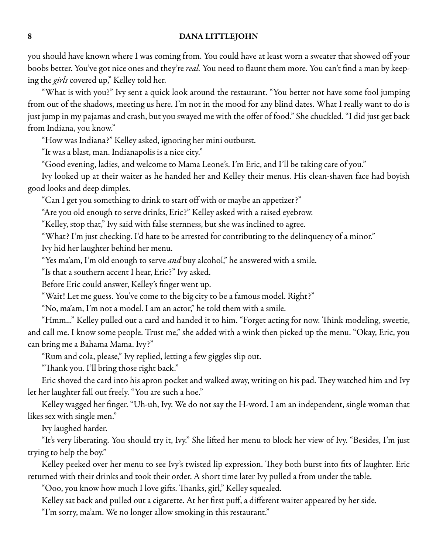you should have known where I was coming from. You could have at least worn a sweater that showed off your boobs better. You've got nice ones and they're real. You need to flaunt them more. You can't find a man by keeping the girls covered up," Kelley told her.

"What is with you?" Ivy sent a quick look around the restaurant. "You better not have some fool jumping from out of the shadows, meeting us here. I'm not in the mood for any blind dates. What I really want to do is just jumpin my pajamasand crash, but you swayed me with the offer of food." Shechuckled. "I did just get back from Indiana, you know."

"How was Indiana?" Kelley asked, ignoring her mini outburst.

"It was a blast, man. Indianapolis is a nice city."

"Good evening, ladies, and welcome to Mama Leone's. I'm Eric, and I'll be taking care of you."

Ivy looked up at their waiter as he handed her and Kelley their menus. His clean-shaven face had boyish good looks and deep dimples.

"Can I get you something to drink to start off with or maybe an appetizer?"

"Are you old enough to serve drinks, Eric?" Kelley asked with a raised eyebrow.

"Kelley, stop that," Ivy said with false sternness, but she was inclined to agree.

"What? I'm just checking. I'd hate to be arrested for contributing to the delinquency of a minor."

Ivy hid her laughter behind her menu.

"Yes ma'am, I'm old enough to serve and buy alcohol," he answered with a smile.

"Is that a southern accent I hear, Eric?" Ivy asked.

Before Eric could answer, Kelley's finger went up.

"Wait! Let me guess. You've come to the big city to be a famous model. Right?"

"No, ma'am, I'm not a model. I am an actor," he told them with a smile.

"Hmm..." Kelley pulled out a card and handed it to him. "Forget acting for now. Think modeling, sweetie, and call me. I know some people. Trust me," she added with a wink then picked up the menu. "Okay, Eric, you can bring me a Bahama Mama. Ivy?"

"Rum and cola, please," Ivy replied, letting a few giggles slip out.

"Thank you. I'll bring those right back."

Eric shoved the card into his apron pocket and walked away, writing on his pad. They watched him and Ivy let her laughter fall out freely. "You are such a hoe."

Kelley wagged her finger. "Uh-uh, Ivy. We do not say the H-word. I am an independent, single woman that likes sex with single men."

Ivy laughed harder.

"It's very liberating. You should try it, Ivy." She lifted her menu to block her view of Ivy. "Besides, I'm just trying to help the boy."

Kelley peeked over her menu to see Ivy's twisted lip expression. They both burst into fits of laughter. Eric returned with their drinks and took their order. A short time later Ivy pulled a from under the table.

"Ooo, you know how much I love gifts. Thanks, girl," Kelley squealed.

Kelley sat back and pulled out a cigarette. At her first puff, a different waiter appeared by her side.

"I'm sorry, ma'am. We no longer allow smoking in this restaurant."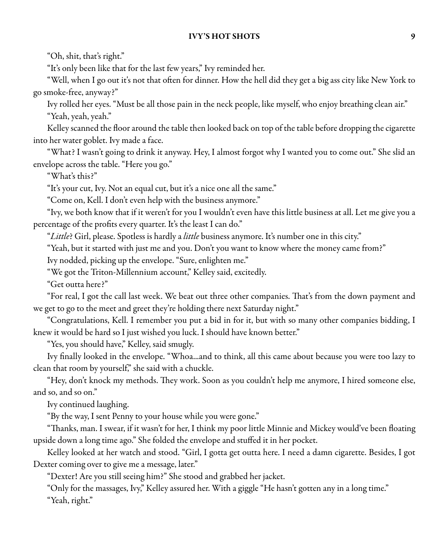"Oh, shit, that's right."

"It's only been like that for the last few years," Ivy reminded her.

"Well, when I go out it's not that often for dinner. How the hell did they get a big ass city like New York to go smoke-free, anyway?"

Ivy rolled her eyes. "Must be all those pain in the neck people, like myself, who enjoy breathing clean air." "Yeah, yeah, yeah."

Kelley scanned the floor around the table then looked back on top of the table before dropping the cigarette into her water goblet. Ivy made a face.

"What? I wasn't going to drink it anyway. Hey, I almost forgot why I wanted you to come out." She slid an envelope across the table. "Here you go."

"What's this?"

"It's your cut, Ivy. Not an equal cut, but it's a nice one all the same."

"Come on, Kell. I don't even help with the business anymore."

"Ivy, we both know that if it weren't for you I wouldn't even have this little businessatall. Let me give you a percentage of the profits every quarter. It's the least I can do."

"Little? Girl, please. Spotless is hardly a little business anymore. It's number one in this city."

"Yeah, but it started with just me and you. Don't you want to know where the money came from?"

Ivy nodded, picking up the envelope. "Sure, enlighten me."

"We got the Triton-Millennium account," Kelley said, excitedly.

"Get outta here?"

"For real, I got the call last week. We beat out three other companies. That's from the down payment and we get to go to the meet and greet they're holding there next Saturday night."

"Congratulations, Kell. I remember you put a bid in for it, but with so many other companies bidding, I knew it would be hard so I just wished you luck. I should have known better."

"Yes, you should have," Kelley, said smugly.

Ivy finally looked in the envelope. "Whoa...and to think, all this came about because you were too lazy to clean that room by yourself," she said with a chuckle.

"Hey, don't knock my methods. They work. Soon as you couldn't help me anymore, I hired someone else, and so, and so on."

Ivy continued laughing.

"By the way, I sent Penny to your house while you were gone."

"Thanks, man. I swear, if it wasn't for her, I think my poor little Minnie and Mickey would've been floating upside down a long time ago." She folded the envelope and stuffed it in her pocket.

Kelley looked at her watch and stood. "Girl, I gotta get outta here. I need a damn cigarette. Besides, I got Dexter coming over to give me a message, later."

"Dexter! Are you still seeing him?" She stood and grabbed her jacket.

"Only for the massages, Ivy," Kelley assured her. With a giggle "He hasn't gotten any in a long time."

"Yeah, right."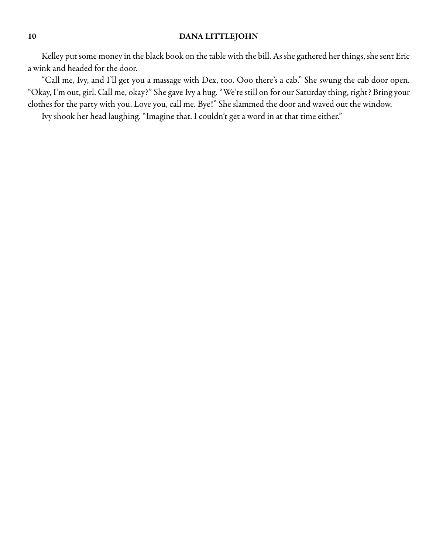Kelley put some money in the black book on the table with the bill. As she gathered her things, she sent Eric a wink and headed for the door.

"Call me, Ivy, and I'll get you a massage with Dex, too. Ooo there's a cab." She swung the cab door open. "Okay, I'm out, girl. Call me, okay?" She gave Ivy a hug. "We're still on for our Saturday thing, right? Bring your clothes for the party with you. Love you, call me. Bye!" She slammed the door and waved out the window.

Ivy shook her head laughing. "Imagine that. I couldn't get a word in at that time either."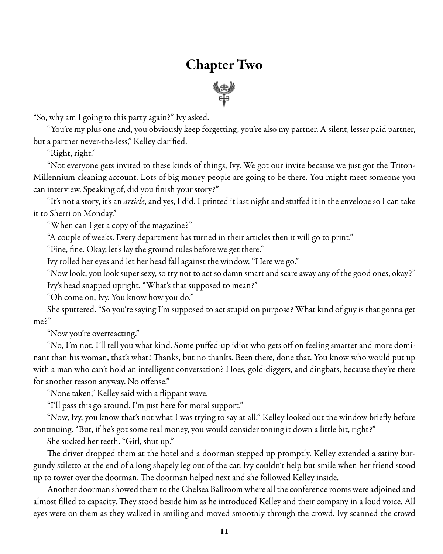## Chapter Two

"So, why am I going to this party again?" Ivy asked.

"You're my plus oneand, you obviously keep forgetting, you'realso my partner. A silent, lesser paid partner, but a partner never-the-less," Kelley clarified.

"Right, right."

"Not everyone gets invited to these kinds of things, Ivy. We got our invite because we just got the Triton-Millennium cleaning account. Lots of big money people are going to be there. You might meet someone you can interview. Speaking of, did you finish your story?"

"It's not a story, it's an *article*, and yes, I did. I printed it last night and stuffed it in the envelope so I can take it to Sherri on Monday."

"When can I get a copy of the magazine?"

"A couple of weeks. Every department has turned in their articles then it will go to print."

"Fine, fine. Okay, let's lay the ground rules before we get there."

Ivy rolled her eyes and let her head fall against the window. "Here we go."

"Now look, you look super sexy, so try not to act so damn smartand scareaway any of the good ones, okay?" Ivy's head snapped upright. "What's that supposed to mean?"

"Oh come on, Ivy. You know how you do."

She sputtered. "So you're saying I'm supposed to act stupid on purpose? What kind of guy is that gonna get me?"

"Now you're overreacting."

"No, I'm not. I'll tell you what kind. Some puffed-up idiot who gets off on feeling smarter and more dominant than his woman, that's what! Thanks, but no thanks. Been there, done that. You know who would put up with a man who can't hold an intelligent conversation? Hoes, gold-diggers, and dingbats, because they're there for another reason anyway. No offense."

"None taken," Kelley said with a flippant wave.

"I'll pass this go around. I'm just here for moral support."

"Now, Ivy, you know that's not what I was trying to say at all." Kelley looked out the window briefly before continuing. "But, if he's got some real money, you would consider toning it down a little bit, right?"

She sucked her teeth. "Girl, shut up."

The driver dropped them at the hotel and a doorman stepped up promptly. Kelley extended a satiny burgundy stiletto at the end of a long shapely leg out of the car. Ivy couldn't help but smile when her friend stood up to tower over the doorman. The doorman helped next and she followed Kelley inside.

Another doorman showed them to the Chelsea Ballroom where all the conference rooms were adjoined and almost filled to capacity. They stood beside him as he introduced Kelley and their company in a loud voice. All eyes were on them as they walked in smiling and moved smoothly through the crowd. Ivy scanned the crowd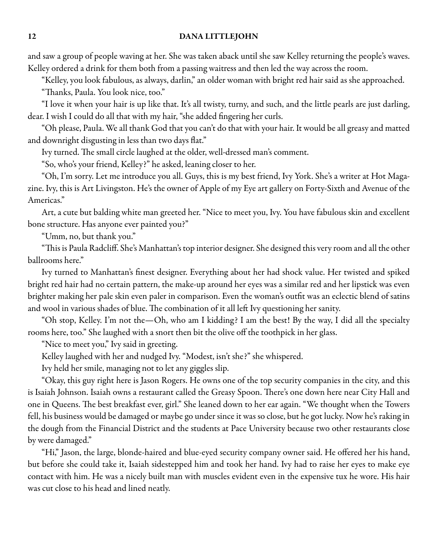and saw a group of people waving at her. She was taken aback until she saw Kelley returning the people's waves. Kelley ordered a drink for them both from a passing waitress and then led the way across the room.

"Kelley, you look fabulous, as always, darlin," an older woman with bright red hair said as she approached.

"Thanks, Paula. You look nice, too."

"I love it when your hair is up like that. It's all twisty, turny, and such, and the little pearls are just darling, dear. I wish I could do all that with my hair, "she added fingering her curls.

"Oh please, Paula. We all thank God that you can't do that with your hair. It would be all greasy and matted and downright disgusting in less than two days flat."

Ivy turned. The small circle laughed at the older, well-dressed man's comment.

"So, who's your friend, Kelley?" he asked, leaning closer to her.

"Oh, I'm sorry. Let me introduce you all. Guys, this is my best friend, Ivy York. She's a writer at Hot Magazine. Ivy, this is Art Livingston. He's the owner of Apple of my Eyeart gallery on Forty-Sixth and Avenue of the Americas."

Art, a cute but balding white man greeted her. "Nice to meet you, Ivy. You have fabulous skin and excellent bone structure. Has anyone ever painted you?"

"Umm, no, but thank you."

"This is Paula Radcliff. She's Manhattan's topinterior designer. She designed this very room and all the other ballrooms here."

Ivy turned to Manhattan's finest designer. Everything about her had shock value. Her twisted and spiked bright red hair had no certain pattern, the make-up around her eyes was a similar red and her lipstick was even brighter making her pale skin even paler in comparison. Even the woman's outfit was an eclectic blend of satins and wool in various shades of blue. The combination of it all left Ivy questioning her sanity.

"Oh stop, Kelley. I'm not the—Oh, who am I kidding? I am the best! By the way, I did all the specialty rooms here, too." She laughed with a snort then bit the olive off the toothpick in her glass.

"Nice to meet you," Ivy said in greeting.

Kelley laughed with her and nudged Ivy. "Modest, isn't she?" she whispered.

Ivy held her smile, managing not to let any giggles slip.

"Okay, this guy right here is Jason Rogers. He owns one of the top security companies in the city, and this is Isaiah Johnson. Isaiah owns a restaurant called the Greasy Spoon. There's one down here near City Hall and one in Queens. The best breakfast ever, girl." She leaned down to her ear again. "We thought when the Towers fell, his business would be damaged or maybe go under since it was so close, but he got lucky. Now he's raking in the dough from the Financial District and the students at Pace University because two other restaurants close by were damaged."

"Hi," Jason, the large, blonde-haired and blue-eyed security company owner said. He offered her his hand, but before she could take it, Isaiah sidestepped him and took her hand. Ivy had to raise her eyes to make eye contact with him. He was a nicely built man with muscles evident even in the expensive tux he wore. His hair was cut close to his head and lined neatly.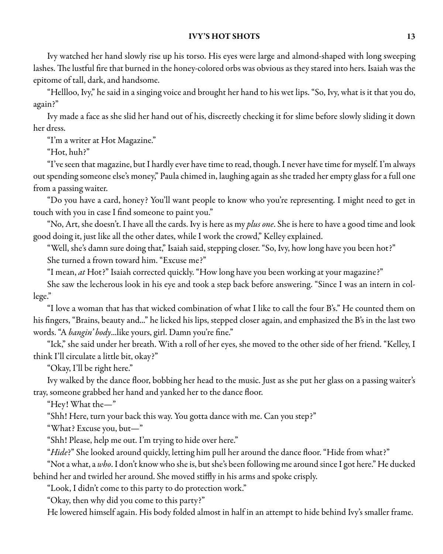Ivy watched her hand slowly rise up his torso. His eyes were large and almond-shaped with long sweeping lashes. The lustful fire that burned in the honey-colored orbs was obvious as they stared into hers. Isaiah was the epitome of tall, dark, and handsome.

"Hellloo, Ivy," he said in a singing voice and brought her hand to his wet lips. "So, Ivy, what is it that you do, again?"

Ivy made a face as she slid her hand out of his, discreetly checking it for slime before slowly sliding it down her dress.

"I'm a writer at Hot Magazine."

"Hot, huh?"

"I've seen that magazine, but I hardly ever have time to read, though. I never have time for myself. I'm always out spending someone else's money," Paula chimed in, laughing again as she traded her empty glass for a full one from a passing waiter.

"Do you have a card, honey? You'll want people to know who you're representing. I might need to get in touch with you in case I find someone to paint you."

"No, Art, she doesn't. I have all the cards. Ivy is here as my *plus one*. She is here to have a good time and look good doing it, just like all the other dates, while I work the crowd," Kelley explained.

"Well, she's damn sure doing that," Isaiah said, stepping closer. "So, Ivy, how long have you been hot?" She turned a frown toward him. "Excuse me?"

"I mean, at Hot?" Isaiah corrected quickly. "How long have you been working at your magazine?"

She saw the lecherous look in his eye and took a step back before answering. "Since I was an intern in college."

"I love a woman that has that wicked combination of what I like to call the four B's." He counted them on his fingers, "Brains, beauty and..." he licked his lips, stepped closer again, and emphasized the B's in the last two words. "A bangin' body...like yours, girl. Damn you're fine."

"Ick," she said under her breath. With a roll of her eyes, she moved to the other side of her friend. "Kelley, I think I'll circulate a little bit, okay?"

"Okay, I'll be right here."

Ivy walked by the dance floor, bobbing her head to the music. Just as she put her glass on a passing waiter's tray, someone grabbed her hand and yanked her to the dance floor.

"Hey! What the—"

"Shh! Here, turn your back this way. You gotta dance with me. Can you step?"

"What? Excuse you, but—"

"Shh! Please, help me out. I'm trying to hide over here."

"Hide?" She looked around quickly, letting him pull her around the dance floor. "Hide from what?"

"Not a what, a who. I don't know who she is, but she's been following me around since I got here." He ducked behind her and twirled her around. She moved stiffly in his arms and spoke crisply.

"Look, I didn't come to this party to do protection work."

"Okay, then why did you come to this party?"

He lowered himself again. His body folded almost in half in an attempt to hide behind Ivy's smaller frame.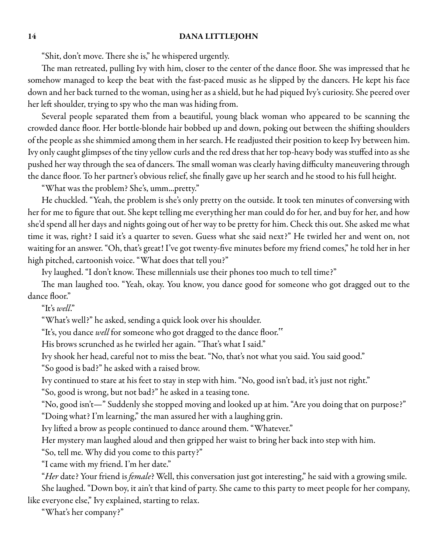"Shit, don't move. There she is," he whispered urgently.

The man retreated, pulling Ivy with him, closer to the center of the dance floor. She was impressed that he somehow managed to keep the beat with the fast-paced music as he slipped by the dancers. He kept his face down and her back turned to the woman, using her as a shield, but he had piqued Ivy's curiosity. She peered over her left shoulder, trying to spy who the man was hiding from.

Several people separated them from a beautiful, young black woman who appeared to be scanning the crowded dance floor. Her bottle-blonde hair bobbed up and down, poking out between the shifting shoulders of the people as she shimmied among them in her search. He readjusted their position to keep Ivy between him. Ivy only caught glimpses of the tiny yellow curls and the red dress that her top-heavy body was stuffed into as she pushed her way through the sea of dancers. The small woman was clearly having difficulty maneuvering through the dance floor. To her partner's obvious relief, she finally gave up her search and he stood to his full height.

"What was the problem? She's, umm...pretty."

He chuckled. "Yeah, the problem is she's only pretty on the outside. It took ten minutes of conversing with her for me to figure that out. She kept telling me everything her man could do for her, and buy for her, and how she'd spend all her days and nights going out of her way to be pretty for him. Check this out. She asked me what time it was, right? I said it's a quarter to seven. Guess what she said next?" He twirled her and went on, not waiting for an answer. "Oh, that's great! I've got twenty-five minutes before my friend comes," he told her in her high pitched, cartoonish voice. "What does that tell you?"

Ivy laughed. "I don't know. These millennials use their phones too much to tell time?"

The man laughed too. "Yeah, okay. You know, you dance good for someone who got dragged out to the dance floor."

"It's well."

"What's well?" he asked, sending a quick look over his shoulder.

"It's, you dance well for someone who got dragged to the dance floor."

His brows scrunched as he twirled her again. "That's what I said."

Ivy shook her head, careful not to miss the beat. "No, that's not what you said. You said good."

"So good is bad?" he asked with a raised brow.

Ivy continued to stare at his feet to stay in step with him. "No, good isn't bad, it's just not right."

"So, good is wrong, but not bad?" he asked in a teasing tone.

"No, good isn't—" Suddenly she stopped moving and looked up at him. "Are you doing that on purpose?"

"Doing what? I'm learning," the man assured her with a laughing grin.

Ivy lifted a brow as people continued to dance around them. "Whatever."

Her mystery man laughed aloud and then gripped her waist to bring her back into step with him.

"So, tell me. Why did you come to this party?"

"I came with my friend. I'm her date."

"Her date? Your friend is female? Well, this conversation just got interesting," he said with a growing smile.

She laughed. "Down boy, it ain't that kind of party. She came to this party to meet people for her company, like everyone else," Ivy explained, starting to relax.

"What's her company?"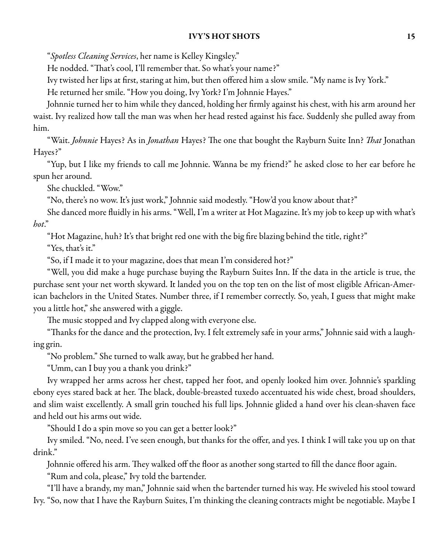"Spotless Cleaning Services, her name is Kelley Kingsley."

He nodded. "That's cool, I'll remember that. So what's your name?"

Ivy twisted her lips at first, staring at him, but then offered him a slow smile. "My name is Ivy York."

He returned her smile. "How you doing, Ivy York? I'm Johnnie Hayes."

Johnnie turned her to him while they danced, holding her firmly against his chest, with his arm around her waist. Ivy realized how tall the man was when her head rested against his face. Suddenly she pulled away from him.

"Wait. Johnnie Hayes? As in Jonathan Hayes? The one that bought the Rayburn Suite Inn? That Jonathan Hayes?"

"Yup, but I like my friends to call me Johnnie. Wanna be my friend?" he asked close to her ear before he spun her around.

She chuckled. "Wow."

"No, there's no wow. It's just work," Johnnie said modestly. "How'd you know about that?"

She danced more fluidly in his arms. "Well, I'm a writer at Hot Magazine. It's my job to keep up with what's hot."

"Hot Magazine, huh? It's that bright red one with the big fire blazing behind the title, right?"

"Yes, that's it."

"So, if I made it to your magazine, does that mean I'm considered hot?"

"Well, you did make a huge purchase buying the Rayburn Suites Inn. If the data in the article is true, the purchase sent your net worth skyward. It landed you on the top ten on the list of most eligible African-American bachelors in the United States. Number three, if I remember correctly. So, yeah, I guess that might make you a little hot," she answered with a giggle.

The music stopped and Ivy clapped along with everyone else.

"Thanks for the dance and the protection, Ivy. I felt extremely safe in your arms," Johnnie said with a laughing grin.

"No problem." She turned to walk away, but he grabbed her hand.

"Umm, can I buy you a thank you drink?"

Ivy wrapped her arms across her chest, tapped her foot, and openly looked him over. Johnnie's sparkling ebony eyes stared back at her. The black, double-breasted tuxedo accentuated his wide chest, broad shoulders, and slim waist excellently. A small grin touched his full lips. Johnnie glided a hand over his clean-shaven face and held out his arms out wide.

"Should I do a spin move so you can get a better look?"

Ivy smiled. "No, need. I've seen enough, but thanks for the offer, and yes. I think I will take you up on that drink."

Johnnie offered his arm. They walked off the floor as another song started to fill the dance floor again.

"Rum and cola, please," Ivy told the bartender.

"I'll have a brandy, my man," Johnnie said when the bartender turned his way. He swiveled his stool toward Ivy. "So, now that I have the Rayburn Suites, I'm thinking the cleaning contracts might be negotiable. Maybe I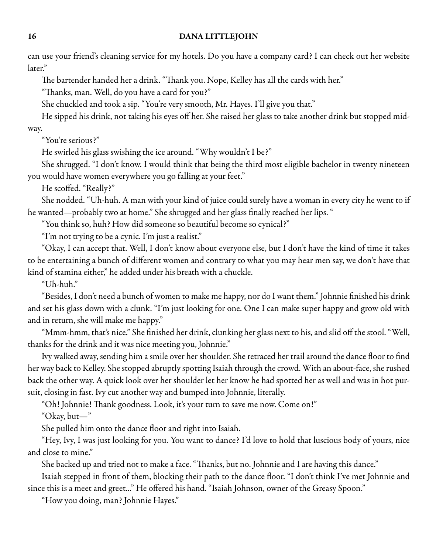can use your friend's cleaning service for my hotels. Do you have a company card? I can check out her website later."

The bartender handed her a drink. "Thank you. Nope, Kelley has all the cards with her."

"Thanks, man. Well, do you have a card for you?"

She chuckled and took a sip. "You're very smooth, Mr. Hayes. I'll give you that."

He sipped his drink, not taking his eyes off her. She raised her glass to take another drink but stopped mid-

way.

"You're serious?"

He swirled his glass swishing the ice around. "Why wouldn't I be?"

She shrugged. "I don't know. I would think that being the third most eligible bachelor in twenty nineteen you would have women everywhere you go falling at your feet."

He scoffed. "Really?"

She nodded. "Uh-huh. A man with your kind of juice could surely have a woman in every city he went to if he wanted—probably two at home." She shrugged and her glass finally reached her lips. "

"You think so, huh? How did someone so beautiful become so cynical?"

"I'm not trying to be a cynic. I'm just a realist."

"Okay, I can accept that. Well, I don't know about everyone else, but I don't have the kind of time it takes to be entertaining a bunch of different women and contrary to what you may hear men say, we don't have that kind of stamina either," he added under his breath with a chuckle.

"Uh-huh."

"Besides, I don't need a bunch of women to make me happy, nor do I want them."Johnnie finished his drink and set his glass down with a clunk. "I'm just looking for one. One I can make super happy and grow old with and in return, she will make me happy."

"Mmm-hmm, that's nice." She finished her drink, clunking her glass next to his, and slid off the stool. "Well, thanks for the drink and it was nice meeting you, Johnnie."

Ivy walked away, sending him a smile over her shoulder. She retraced her trail around the dance floor to find her way back to Kelley. She stopped abruptly spotting Isaiah through the crowd. With an about-face, she rushed back the other way. A quick look over her shoulder let her know he had spotted her as well and was in hot pursuit, closing in fast. Ivy cut another way and bumped into Johnnie, literally.

"Oh! Johnnie! Thank goodness. Look, it's your turn to save me now. Come on!"

"Okay, but—"

She pulled him onto the dance floor and right into Isaiah.

"Hey, Ivy, I was just looking for you. You want to dance? I'd love to hold that luscious body of yours, nice and close to mine."

She backed up and tried not to make a face. "Thanks, but no. Johnnie and I are having this dance."

Isaiah stepped in front of them, blocking their path to the dance floor. "I don't think I've met Johnnie and since this is a meet and greet..." He offered his hand. "Isaiah Johnson, owner of the Greasy Spoon."

"How you doing, man? Johnnie Hayes."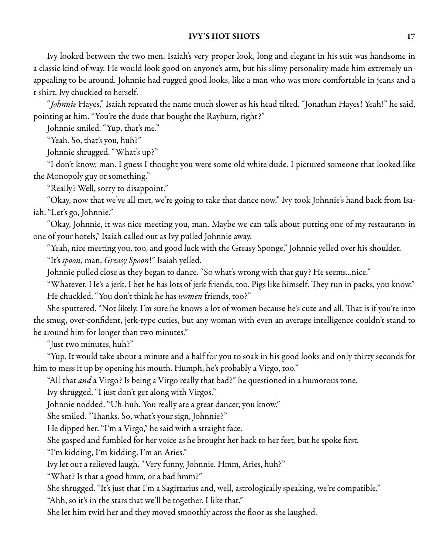Ivy looked between the two men. Isaiah's very proper look, long and elegant in his suit was handsome in a classic kind of way. He would look good on anyone's arm, but his slimy personality made him extremely unappealing to be around. Johnnie had rugged good looks, like a man who was more comfortable in jeans and a t-shirt. Ivy chuckled to herself.

"Johnnie Hayes," Isaiah repeated the name much slower as his head tilted. "Jonathan Hayes! Yeah!" he said, pointing at him. "You're the dude that bought the Rayburn, right?"

Johnnie smiled. "Yup, that's me."

"Yeah. So, that's you, huh?"

Johnnie shrugged. "What's up?"

"I don't know, man. I guess I thought you were some old white dude. I pictured someone that looked like the Monopoly guy or something."

"Really? Well, sorry to disappoint."

"Okay, now that we've all met, we're going to take that dance now." Ivy took Johnnie's hand back from Isaiah. "Let's go, Johnnie."

"Okay, Johnnie, it was nice meeting you, man. Maybe we can talk about putting one of my restaurants in one of your hotels," Isaiah called out as Ivy pulled Johnnie away.

"Yeah, nice meeting you, too, and good luck with the Greasy Sponge," Johnnie yelled over his shoulder.

"It's spoon, man. Greasy Spoon!" Isaiah yelled.

Johnnie pulled close as they began to dance. "So what's wrong with that guy? He seems...nice."

"Whatever. He's a jerk. I bet he has lots of jerk friends, too. Pigs like himself. They run in packs, you know." He chuckled. "You don't think he has women friends, too?"

She sputtered. "Not likely. I'm sure he knows a lot of women because he's cute and all. That is if you're into the smug, over-confident, jerk-type cuties, but any woman with even an average intelligence couldn't stand to be around him for longer than two minutes."

"Just two minutes, huh?"

"Yup. It would take about a minute and a half for you to soak in his good looks and only thirty seconds for him to mess it up by opening his mouth. Humph, he's probably a Virgo, too."

"All that *and* a Virgo? Is being a Virgo really that bad?" he questioned in a humorous tone.

Ivy shrugged. "I just don't get along with Virgos."

Johnnie nodded. "Uh-huh. You really are a great dancer, you know."

She smiled. "Thanks. So, what's your sign, Johnnie?"

He dipped her. "I'm a Virgo," he said with a straight face.

She gasped and fumbled for her voice as he brought her back to her feet, but he spoke first.

"I'm kidding, I'm kidding. I'm an Aries."

Ivy let out a relieved laugh. "Very funny, Johnnie. Hmm, Aries, huh?"

"What? Is that a good hmm, or a bad hmm?"

She shrugged. "It's just that I'm a Sagittarius and, well, astrologically speaking, we're compatible."

"Ahh, so it's in the stars that we'll be together. I like that."

She let him twirl her and they moved smoothly across the floor as she laughed.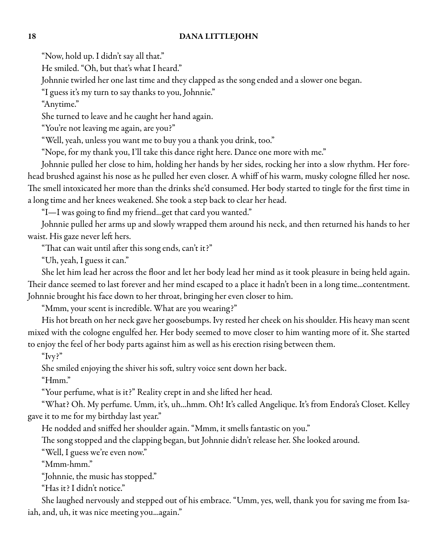"Now, hold up. I didn't say all that."

He smiled. "Oh, but that's what I heard."

Johnnie twirled her one last time and they clapped as the song ended and a slower one began.

"I guess it's my turn to say thanks to you, Johnnie."

"Anytime."

She turned to leave and he caught her hand again.

"You're not leaving me again, are you?"

"Well, yeah, unless you want me to buy you a thank you drink, too."

"Nope, for my thank you, I'll take this dance right here. Dance one more with me."

Johnnie pulled her close to him, holding her hands by her sides, rocking her into a slow rhythm. Her forehead brushed against his nose as he pulled her even closer. A whiff of his warm, musky cologne filled her nose. The smell intoxicated her more than the drinks she'd consumed. Her body started to tingle for the first time in a long time and her knees weakened. She took a step back to clear her head.

"I—I was going to find my friend...get that card you wanted."

Johnnie pulled her arms up and slowly wrapped them around his neck, and then returned his hands to her waist. His gaze never left hers.

"That can wait until after this song ends, can't it?"

"Uh, yeah, I guess it can."

She let him lead her across the floor and let her body lead her mind as it took pleasure in being held again. Their dance seemed to last forever and her mind escaped to a place it hadn't been in a long time...contentment. Johnnie brought his face down to her throat, bringing her even closer to him.

"Mmm, your scent is incredible. What are you wearing?"

His hot breath on her neck gave her goosebumps. Ivy rested her cheek on his shoulder. His heavy man scent mixed with the cologne engulfed her. Her body seemed to move closer to him wanting more of it. She started to enjoy the feel of her body parts against him as well as his erection rising between them.

" $Ivy$ 

She smiled enjoying the shiver his soft, sultry voice sent down her back.

"Hmm."

"Your perfume, what is it?" Reality crept in and she lifted her head.

"What? Oh. My perfume. Umm, it's, uh...hmm. Oh! It's called Angelique. It's from Endora's Closet. Kelley gave it to me for my birthday last year."

He nodded and sniffed her shoulder again. "Mmm, it smells fantastic on you."

The song stopped and the clapping began, but Johnnie didn't release her. She looked around.

"Well, I guess we're even now."

"Mmm-hmm."

"Johnnie, the music has stopped."

"Has it? I didn't notice."

She laughed nervously and stepped out of his embrace. "Umm, yes, well, thank you for saving me from Isaiah, and, uh, it was nice meeting you...again."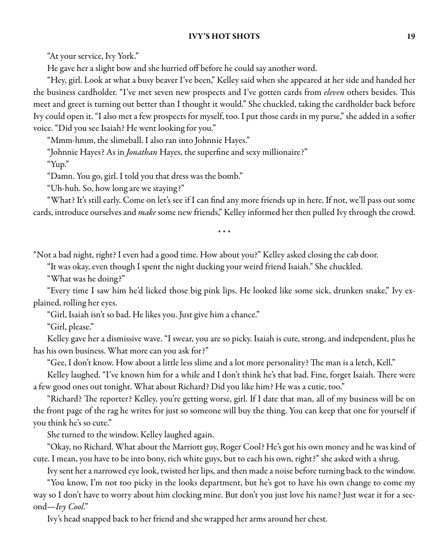"At your service, Ivy York."

He gave her a slight bow and she hurried off before he could say another word.

"Hey, girl. Look at what a busy beaver I've been," Kelley said when she appeared at her side and handed her the business cardholder. "I've met seven new prospects and I've gotten cards from *eleven* others besides. This meet and greet is turning out better than I thought it would." She chuckled, taking the cardholder back before Ivy could open it. "I also met a few prospects for myself, too. I put those cards in my purse," she added in a softer voice. "Did you see Isaiah? He went looking for you."

"Mmm-hmm, the slimeball. I also ran into Johnnie Hayes."

"Johnnie Hayes? As in *Jonathan* Hayes, the superfine and sexy millionaire?"

"Yup."

"Damn. You go, girl. I told you that dress was the bomb."

"Uh-huh. So, how long are we staying?"

"What? It's still early. Come on let's see if I can find any more friends up in here. If not, we'll pass out some cards, introduce ourselves and *make* some new friends," Kelley informed her then pulled Ivy through the crowd.

\* \* \*

"Not a bad night, right? I even had a good time. How about you?" Kelley asked closing the cab door.

"It was okay, even though I spent the night ducking your weird friend Isaiah." She chuckled.

"What was he doing?"

"Every time I saw him he'd licked those big pink lips. He looked like some sick, drunken snake," Ivy explained, rolling her eyes.

"Girl, Isaiah isn't so bad. He likes you. Just give him a chance."

"Girl, please."

Kelley gave her a dismissive wave. "I swear, you are so picky. Isaiah is cute, strong, and independent, plus he has his own business. What more can you ask for?"

"Gee, I don't know. How about a little less slime and a lot more personality? The man is a letch, Kell."

Kelley laughed. "I've known him for a while and I don't think he's that bad. Fine, forget Isaiah. There were a few good ones out tonight. What about Richard? Did you like him? He was a cutie, too."

"Richard? The reporter? Kelley, you're getting worse, girl. If I date that man, all of my business will be on the front page of the rag he writes for just so someone will buy the thing. You can keep that one for yourself if you think he's so cute."

She turned to the window. Kelley laughed again.

"Okay, no Richard. What about the Marriott guy, Roger Cool? He's got his own money and he was kind of cute. I mean, you have to be into bony, rich white guys, but to each his own, right?" she asked with a shrug.

Ivy sent her a narrowed eye look, twisted her lips, and then made a noise before turning back to the window.

"You know, I'm not too picky in the looks department, but he's got to have his own change to come my way so I don't have to worry about him clocking mine. But don't you just love his name? Just wear it for a second—Ivy Cool."

Ivy's head snapped back to her friend and she wrapped her arms around her chest.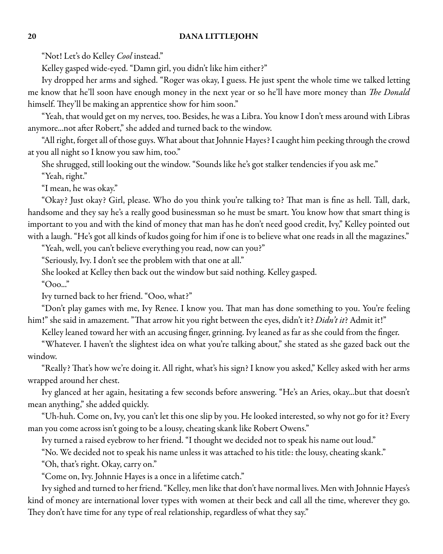"Not! Let's do Kelley *Cool* instead."

Kelley gasped wide-eyed. "Damn girl, you didn't like him either?"

Ivy dropped her arms and sighed. "Roger was okay, I guess. He just spent the whole time we talked letting me know that he'll soon have enough money in the next year or so he'll have more money than *The Donald* himself. They'll be making an apprentice show for him soon."

"Yeah, that would get on my nerves, too. Besides, he wasa Libra. You know I don't messaround with Libras anymore...not after Robert," she added and turned back to the window.

"All right, forget all of those guys. What about that Johnnie Hayes? I caught him peeking through the crowd at you all night so I know you saw him, too."

She shrugged, still looking out the window. "Sounds like he's got stalker tendencies if you ask me."

"Yeah, right."

"I mean, he was okay."

"Okay? Just okay? Girl, please. Who do you think you're talking to? That man is fine as hell. Tall, dark, handsome and they say he's a really good businessman so he must be smart. You know how that smart thing is important to you and with the kind of money that man has he don't need good credit, Ivy," Kelley pointed out with a laugh. "He's got all kinds of kudos going for him if one is to believe what one reads in all the magazines."

"Yeah, well, you can't believe everything you read, now can you?"

"Seriously, Ivy. I don't see the problem with that one at all."

She looked at Kelley then back out the window but said nothing. Kelley gasped.

 $"$ Ooo..."

Ivy turned back to her friend. "Ooo, what?"

"Don't play games with me, Ivy Renee. I know you. That man has done something to you. You're feeling him!" she said in amazement. "That arrow hit you right between the eyes, didn't it? Didn't it? Admit it!"

Kelley leaned toward her with an accusing finger, grinning. Ivy leaned as far as she could from the finger.

"Whatever. I haven't the slightest idea on what you're talking about," she stated as she gazed back out the window.

"Really? That's how we're doing it. All right, what's his sign? I know you asked," Kelley asked with her arms wrapped around her chest.

Ivy glanced at her again, hesitating a few seconds before answering. "He's an Aries, okay...but that doesn't mean anything," she added quickly.

"Uh-huh. Come on, Ivy, you can't let this one slip by you. He looked interested, so why not go for it? Every man you come across isn't going to be a lousy, cheating skank like Robert Owens."

Ivy turned a raised eyebrow to her friend. "I thought we decided not to speak his name out loud."

"No. We decided not to speak his name unless it was attached to his title: the lousy, cheating skank."

"Oh, that's right. Okay, carry on."

"Come on, Ivy. Johnnie Hayes is a once in a lifetime catch."

Ivy sighed and turned to her friend. "Kelley, men like that don't have normal lives. Men with Johnnie Hayes's kind of money are international lover types with women at their beck and call all the time, wherever they go. They don't have time for any type of real relationship, regardless of what they say."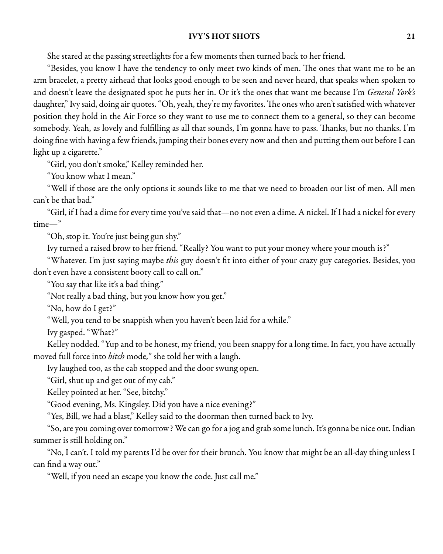She stared at the passing streetlights for a few moments then turned back to her friend.

"Besides, you know I have the tendency to only meet two kinds of men. The ones that want me to be an arm bracelet, a pretty airhead that looks good enough to be seen and never heard, that speaks when spoken to and doesn't leave the designated spot he puts her in. Or it's the ones that want me because I'm General York's daughter," Ivy said, doing air quotes. "Oh, yeah, they're my favorites. The ones who aren't satisfied with whatever position they hold in the Air Force so they want to use me to connect them to a general, so they can become somebody. Yeah, as lovely and fulfilling as all that sounds, I'm gonna have to pass. Thanks, but no thanks. I'm doing fine with having a few friends, jumping their bones every now and then and putting them out before I can light up a cigarette."

"Girl, you don't smoke," Kelley reminded her.

"You know what I mean."

"Well if those are the only options it sounds like to me that we need to broaden our list of men. All men can't be that bad."

"Girl, if I had a dime for every time you've said that—no not even a dime. A nickel. If I had a nickel for every time—"

"Oh, stop it. You're just being gun shy."

Ivy turned a raised brow to her friend. "Really? You want to put your money where your mouth is?"

"Whatever. I'm just saying maybe this guy doesn't fit into either of your crazy guy categories. Besides, you don't even have a consistent booty call to call on."

"You say that like it's a bad thing."

"Not really a bad thing, but you know how you get."

"No, how do I get?"

"Well, you tend to be snappish when you haven't been laid for a while."

Ivy gasped. "What?"

Kelley nodded. "Yup and to be honest, my friend, you been snappy for a long time. In fact, you have actually moved full force into bitch mode," she told her with a laugh.

Ivy laughed too, as the cab stopped and the door swung open.

"Girl, shut up and get out of my cab."

Kelley pointed at her. "See, bitchy."

"Good evening, Ms. Kingsley. Did you have a nice evening?"

"Yes, Bill, we had a blast," Kelley said to the doorman then turned back to Ivy.

"So,are you coming over tomorrow? Wecan go forajog and grab somelunch. It's gonna be nice out. Indian summer is still holding on."

"No, I can't. I told my parents I'd be over for their brunch. You know that might be an all-day thing unless I can find a way out."

"Well, if you need an escape you know the code. Just call me."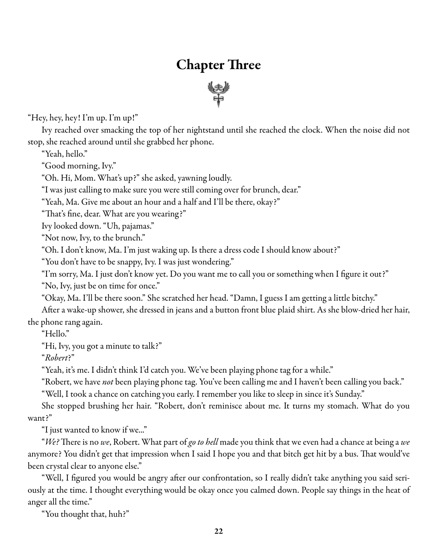# Chapter Three



"Hey, hey, hey! I'm up. I'm up!"

Ivy reached over smacking the top of her nightstand until she reached the clock. When the noise did not stop, she reached around until she grabbed her phone.

"Yeah, hello."

"Good morning, Ivy."

"Oh. Hi, Mom. What's up?" she asked, yawning loudly.

"I was just calling to make sure you were still coming over for brunch, dear."

"Yeah, Ma. Give me about an hour and a half and I'll be there, okay?"

"That's fine, dear. What are you wearing?"

Ivy looked down. "Uh, pajamas."

"Not now, Ivy, to the brunch."

"Oh. I don't know, Ma. I'm just waking up. Is there a dress code I should know about?"

"You don't have to be snappy, Ivy. I was just wondering."

"I'm sorry, Ma. I just don't know yet. Do you want me to call you or something when I figure it out?"

"No, Ivy, just be on time for once."

"Okay, Ma. I'll be there soon." She scratched her head. "Damn, I guess I am getting a little bitchy."

After a wake-up shower, she dressed in jeans and a button front blue plaid shirt. As she blow-dried her hair, the phone rang again.

"Hello."

"Hi, Ivy, you got a minute to talk?"

"Robert?"

"Yeah, it's me. I didn't think I'd catch you. We've been playing phone tag for a while."

"Robert, we have not been playing phone tag. You've been calling me and I haven't been calling you back."

"Well, I took a chance on catching you early. I remember you like to sleep in since it's Sunday."

She stopped brushing her hair. "Robert, don't reminisce about me. It turns my stomach. What do you want?"

"I just wanted to know if we..."

"We? There is no we, Robert. What part of go to hell made you think that we even had a chance at being a we anymore? You didn't get that impression when I said I hope you and that bitch get hit by a bus. That would've been crystal clear to anyone else."

"Well, I figured you would be angry after our confrontation, so I really didn't take anything you said seriously at the time. I thought everything would be okay once you calmed down. People say things in the heat of anger all the time."

"You thought that, huh?"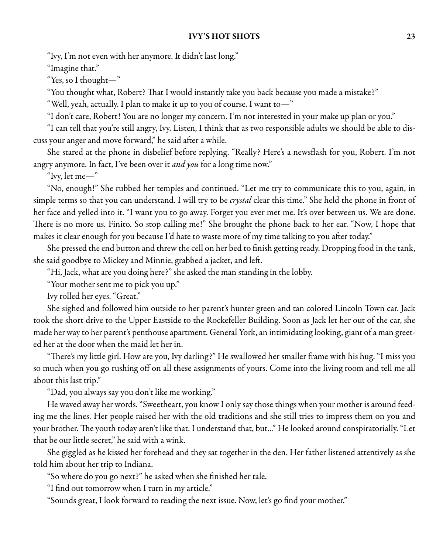"Ivy, I'm not even with her anymore. It didn't last long."

"Imagine that."

"Yes, so I thought—"

"You thought what, Robert? That I would instantly take you back because you made a mistake?"

"Well, yeah, actually. I plan to make it up to you of course. I want to—"

"I don't care, Robert! You are no longer my concern. I'm not interested in your make up plan or you."

"I can tell that you're still angry, Ivy. Listen, I think that as two responsible adults we should be able to discuss your anger and move forward," he said after a while.

She stared at the phone in disbelief before replying. "Really? Here's a newsflash for you, Robert. I'm not angry anymore. In fact, I've been over it and you for a long time now."

"Ivy, let me—"

"No, enough!" She rubbed her temples and continued. "Let me try to communicate this to you, again, in simple terms so that you can understand. I will try to be *crystal* clear this time." She held the phone in front of her face and yelled into it. "I want you to go away. Forget you ever met me. It's over between us. We are done. There is no more us. Finito. So stop calling me!" She brought the phone back to her ear. "Now, I hope that makes it clear enough for you because I'd hate to waste more of my time talking to you after today."

She pressed the end button and threw the cell on her bed to finish getting ready. Dropping food in the tank, she said goodbye to Mickey and Minnie, grabbed a jacket, and left.

"Hi, Jack, what are you doing here?" she asked the man standing in the lobby.

"Your mother sent me to pick you up."

Ivy rolled her eyes. "Great."

She sighed and followed him outside to her parent's hunter green and tan colored Lincoln Town car. Jack took the short drive to the Upper Eastside to the Rockefeller Building. Soon as Jack let her out of the car, she made her way to her parent's penthouse apartment. General York, an intimidating looking, giant of a man greeted her at the door when the maid let her in.

"There's my little girl. How are you, Ivy darling?" He swallowed her smaller frame with his hug. "I miss you so much when you go rushing off on all these assignments of yours. Come into the living room and tell me all about this last trip."

"Dad, you always say you don't like me working."

He waved away her words. "Sweetheart, you know I only say those things when your mother is around feeding me the lines. Her people raised her with the old traditions and she still tries to impress them on you and your brother. The youth today aren't like that. I understand that, but..." He looked around conspiratorially. "Let that be our little secret," he said with a wink.

She giggled as he kissed her forehead and they sat together in the den. Her father listened attentively as she told him about her trip to Indiana.

"So where do you go next?" he asked when she finished her tale.

"I find out tomorrow when I turn in my article."

"Sounds great, I look forward to reading the next issue. Now, let's go find your mother."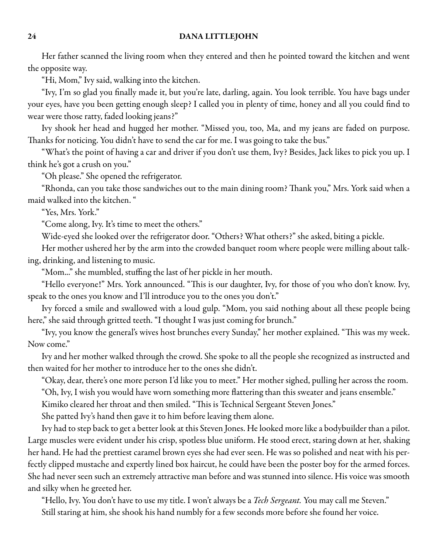Her father scanned the living room when they entered and then he pointed toward the kitchen and went the opposite way.

"Hi, Mom," Ivy said, walking into the kitchen.

"Ivy, I'm so glad you finally made it, but you're late, darling, again. You look terrible. You have bags under your eyes, have you been getting enough sleep? I called you in plenty of time, honey and all you could find to wear were those ratty, faded looking jeans?"

Ivy shook her head and hugged her mother. "Missed you, too, Ma, and my jeans are faded on purpose. Thanks for noticing. You didn't have to send the car for me. I was going to take the bus."

"What's the point of having a car and driver if you don't use them, Ivy? Besides, Jack likes to pick you up. I think he's got a crush on you."

"Oh please." She opened the refrigerator.

"Rhonda, can you take those sandwiches out to the main dining room? Thank you," Mrs. York said when a maid walked into the kitchen. "

"Yes, Mrs. York."

"Come along, Ivy. It's time to meet the others."

Wide-eyed she looked over the refrigerator door. "Others? What others?" she asked, biting a pickle.

Her mother ushered her by the arm into the crowded banquet room where people were milling about talking, drinking, and listening to music.

"Mom..." she mumbled, stuffing the last of her pickle in her mouth.

"Hello everyone!" Mrs. York announced. "This is our daughter, Ivy, for those of you who don't know. Ivy, speak to the ones you know and I'll introduce you to the ones you don't."

Ivy forced a smile and swallowed with a loud gulp. "Mom, you said nothing about all these people being here," she said through gritted teeth. "I thought I was just coming for brunch."

"Ivy, you know the general's wives host brunches every Sunday," her mother explained. "This was my week. Now come."

Ivy and her mother walked through the crowd. She spoke to all the people she recognized as instructed and then waited for her mother to introduce her to the ones she didn't.

"Okay, dear, there's one more person I'd like you to meet." Her mother sighed, pulling her across the room.

"Oh, Ivy, I wish you would have worn something more flattering than this sweater and jeans ensemble."

Kimiko cleared her throat and then smiled. "This is Technical Sergeant Steven Jones."

She patted Ivy's hand then gave it to him before leaving them alone.

Ivy had to step back to get a better look at this Steven Jones. He looked more like a bodybuilder than a pilot. Large muscles were evident under his crisp, spotless blue uniform. He stood erect, staring down at her, shaking her hand. He had the prettiest caramel brown eyes she had ever seen. He was so polished and neat with his perfectly clipped mustache and expertly lined box haircut, he could have been the poster boy for the armed forces. She had never seen such an extremely attractive man before and was stunned into silence. His voice was smooth and silky when he greeted her.

"Hello, Ivy. You don't have to use my title. I won't always be a Tech Sergeant. You may call me Steven." Still staring at him, she shook his hand numbly for a few seconds more before she found her voice.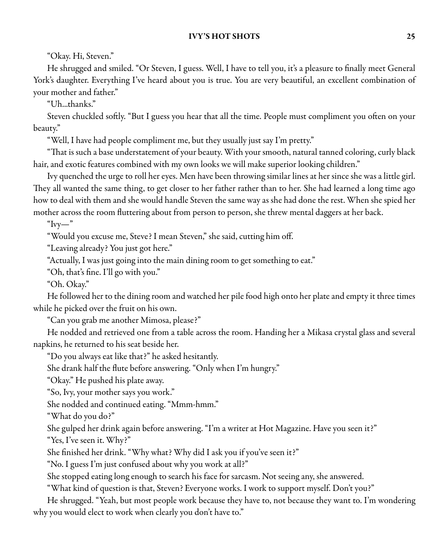"Okay. Hi, Steven."

He shrugged and smiled. "Or Steven, I guess. Well, I have to tell you, it's a pleasure to finally meet General York's daughter. Everything I've heard about you is true. You are very beautiful, an excellent combination of your mother and father."

"Uh...thanks."

Steven chuckled softly. "But I guess you hear that all the time. People must compliment you often on your beauty."

"Well, I have had people compliment me, but they usually just say I'm pretty."

"That is such a base understatement of your beauty. With your smooth, natural tanned coloring,curly black hair, and exotic features combined with my own looks we will make superior looking children."

Ivy quenched the urge to roll her eyes. Men have been throwing similar lines at her since she was a little girl. They all wanted the same thing, to get closer to her father rather than to her. She had learned a long time ago how to deal with them and she would handle Steven the same way as she had done the rest. When she spied her mother across the room fluttering about from person to person, she threw mental daggers at her back.

 $"Ivy"$ 

"Would you excuse me, Steve? I mean Steven," she said, cutting him off.

"Leaving already? You just got here."

"Actually, I was just going into the main dining room to get something to eat."

"Oh, that's fine. I'll go with you."

"Oh. Okay."

He followed her to the dining room and watched her pile food high onto her plate and empty it three times while he picked over the fruit on his own.

"Can you grab me another Mimosa, please?"

He nodded and retrieved one from a table across the room. Handing her a Mikasa crystal glass and several napkins, he returned to his seat beside her.

"Do you always eat like that?" he asked hesitantly.

She drank half the flute before answering. "Only when I'm hungry."

"Okay." He pushed his plate away.

"So, Ivy, your mother says you work."

She nodded and continued eating. "Mmm-hmm."

"What do you do?"

She gulped her drink again before answering. "I'm a writer at Hot Magazine. Have you seen it?"

"Yes, I've seen it. Why?"

She finished her drink. "Why what? Why did I ask you if you've seen it?"

"No. I guess I'm just confused about why you work at all?"

She stopped eating long enough to search his face for sarcasm. Not seeing any, she answered.

"What kind of question is that, Steven? Everyone works. I work to support myself. Don't you?"

He shrugged. "Yeah, but most people work because they have to, not because they want to. I'm wondering why you would elect to work when clearly you don't have to."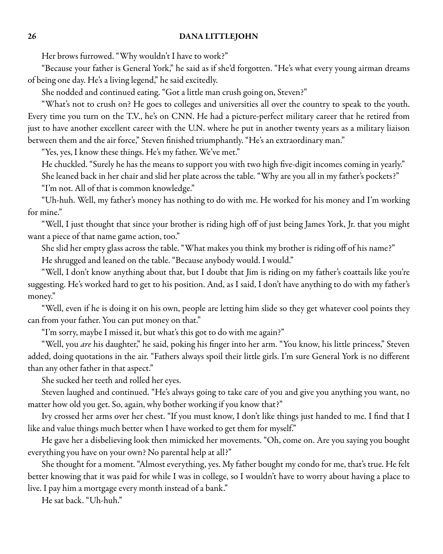Her brows furrowed. "Why wouldn't I have to work?"

"Because your father is General York," he said as if she'd forgotten. "He's what every young airman dreams of being one day. He's a living legend," he said excitedly.

She nodded and continued eating. "Got a little man crush going on, Steven?"

"What's not to crush on? He goes to colleges and universities all over the country to speak to the youth. Every time you turn on the T.V., he's on CNN. He had a picture-perfect military career that he retired from just to have another excellent career with the U.N. where he put in another twenty years as a military liaison between them and the air force," Steven finished triumphantly. "He's an extraordinary man."

"Yes, yes, I know these things. He's my father. We've met."

He chuckled. "Surely he has the means to support you with two high five-digit incomes coming in yearly."

She leaned back in her chair and slid her plate across the table. "Why are you all in my father's pockets?"

"I'm not. All of that is common knowledge."

"Uh-huh. Well, my father's money has nothing to do with me. He worked for his money and I'm working for mine."

"Well, I just thought that since your brother is riding high off of just being James York, Jr. that you might want a piece of that name game action, too."

She slid her empty glass across the table. "What makes you think my brother is riding off of his name?"

He shrugged and leaned on the table. "Because anybody would. I would."

"Well, I don't know anything about that, but I doubt that Jim is riding on my father's coattails like you're suggesting. He's worked hard to get to his position. And, as I said, I don't have anything to do with my father's money."

"Well, even if he is doing it on his own, people are letting him slide so they get whatever cool points they can from your father. You can put money on that."

"I'm sorry, maybe I missed it, but what's this got to do with me again?"

"Well, you are his daughter," he said, poking his finger into her arm. "You know, his little princess," Steven added, doing quotations in the air. "Fathers always spoil their little girls. I'm sure General York is no different than any other father in that aspect."

She sucked her teeth and rolled her eyes.

Steven laughed and continued. "He's always going to take care of you and give you anything you want, no matter how old you get. So, again, why bother working if you know that?"

Ivy crossed her arms over her chest. "If you must know, I don't like things just handed to me. I find that I like and value things much better when I have worked to get them for myself."

He gave her a disbelieving look then mimicked her movements. "Oh, come on. Are you saying you bought everything you have on your own? No parental help at all?"

She thought for a moment. "Almost everything, yes. My father bought my condo for me, that's true. He felt better knowing that it was paid for while I was in college, so I wouldn't have to worry about having a place to live. I pay him a mortgage every month instead of a bank."

He sat back. "Uh-huh."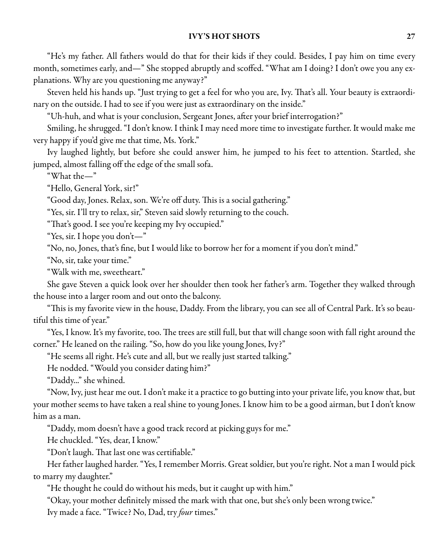"He's my father. All fathers would do that for their kids if they could. Besides, I pay him on time every month, sometimes early, and—" She stopped abruptly and scoffed. "What am I doing? I don't owe you any explanations. Why are you questioning me anyway?"

Steven held his hands up. "Just trying to get a feel for who you are, Ivy. That's all. Your beauty is extraordinary on the outside. I had to see if you were just as extraordinary on the inside."

"Uh-huh, and what is your conclusion, Sergeant Jones, after your brief interrogation?"

Smiling, he shrugged. "I don't know. I think I may need more time to investigate further. It would make me very happy if you'd give me that time, Ms. York."

Ivy laughed lightly, but before she could answer him, he jumped to his feet to attention. Startled, she jumped, almost falling off the edge of the small sofa.

"What the—"

"Hello, General York, sir!"

"Good day, Jones. Relax, son. We're off duty. This is a social gathering."

"Yes, sir. I'll try to relax, sir," Steven said slowly returning to the couch.

"That's good. I see you're keeping my Ivy occupied."

"Yes, sir. I hope you don't—"

"No, no, Jones, that's fine, but I would like to borrow her for a moment if you don't mind."

"No, sir, take your time."

"Walk with me, sweetheart."

She gave Steven a quick look over her shoulder then took her father's arm. Together they walked through the house into a larger room and out onto the balcony.

"This is my favorite view in the house, Daddy. From the library, you can see all of Central Park. It's so beautiful this time of year."

"Yes, I know. It's my favorite, too. The trees are still full, but that will change soon with fall right around the corner." He leaned on the railing. "So, how do you like young Jones, Ivy?"

"He seems all right. He's cute and all, but we really just started talking."

He nodded. "Would you consider dating him?"

"Daddy..." she whined.

"Now, Ivy, just hear me out. I don't make it a practice to go butting into your private life, you know that, but your mother seems to have taken a real shine to young Jones. I know him to be a good airman, but I don't know him as a man.

"Daddy, mom doesn't have a good track record at picking guys for me."

He chuckled. "Yes, dear, I know."

"Don't laugh. That last one was certifiable."

Her father laughed harder. "Yes, I remember Morris. Great soldier, but you're right. Not a man I would pick to marry my daughter."

"He thought he could do without his meds, but it caught up with him."

"Okay, your mother definitely missed the mark with that one, but she's only been wrong twice."

Ivy made a face. "Twice? No, Dad, try four times."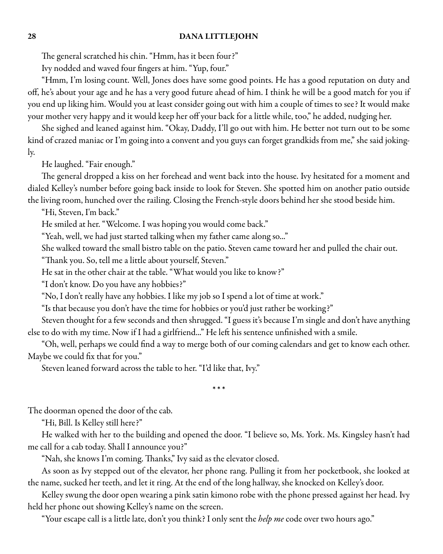The general scratched his chin. "Hmm, has it been four?"

Ivy nodded and waved four fingers at him. "Yup, four."

"Hmm, I'm losing count. Well, Jones does have some good points. He has a good reputation on duty and off, he's about your age and he has a very good future ahead of him. I think he will be a good match for you if you end up liking him. Would you at least consider going out with him a couple of times to see? It would make your mother very happy and it would keep her off your back for a little while, too," he added, nudging her.

She sighed and leaned against him. "Okay, Daddy, I'll go out with him. He better not turn out to be some kind of crazed maniac or I'm going into a convent and you guys can forget grandkids from me," she said jokingly.

He laughed. "Fair enough."

The general dropped a kiss on her forehead and went back into the house. Ivy hesitated for a moment and dialed Kelley's number before going back inside to look for Steven. She spotted him on another patio outside the living room, hunched over the railing. Closing the French-style doors behind her she stood beside him.

"Hi, Steven, I'm back."

He smiled at her. "Welcome. I was hoping you would come back."

"Yeah, well, we had just started talking when my father came along so..."

She walked toward the small bistro table on the patio. Steven came toward her and pulled the chair out.

"Thank you. So, tell me a little about yourself, Steven."

He sat in the other chair at the table. "What would you like to know?"

"I don't know. Do you have any hobbies?"

"No, I don't really have any hobbies. I like my job so I spend a lot of time at work."

"Is that because you don't have the time for hobbies or you'd just rather be working?"

Steven thought for a few seconds and then shrugged. "I guess it's because I'm single and don't have anything else to do with my time. Now if I had a girlfriend..." He left his sentence unfinished with a smile.

"Oh, well, perhaps we could find a way to merge both of our coming calendars and get to know each other. Maybe we could fix that for you."

Steven leaned forward across the table to her. "I'd like that, Ivy."

\* \* \*

The doorman opened the door of the cab.

"Hi, Bill. Is Kelley still here?"

He walked with her to the building and opened the door. "I believe so, Ms. York. Ms. Kingsley hasn't had me call for a cab today. Shall I announce you?"

"Nah, she knows I'm coming. Thanks," Ivy said as the elevator closed.

As soon as Ivy stepped out of the elevator, her phone rang. Pulling it from her pocketbook, she looked at the name, sucked her teeth, and let it ring. At the end of the long hallway, she knocked on Kelley's door.

Kelley swung the door open wearing a pink satin kimono robe with the phone pressed against her head. Ivy held her phone out showing Kelley's name on the screen.

"Your escape call is a little late, don't you think? I only sent the help me code over two hours ago."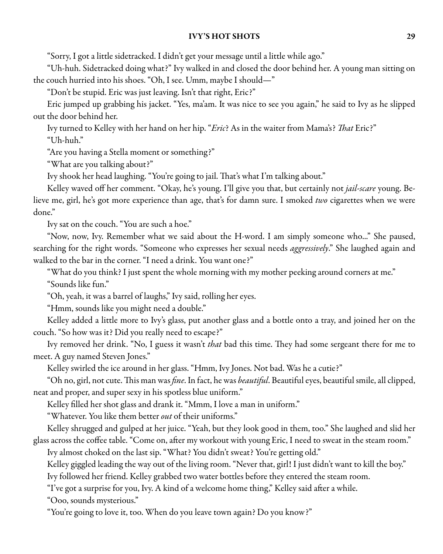"Sorry, I got a little sidetracked. I didn't get your message until a little while ago."

"Uh-huh. Sidetracked doing what?" Ivy walked in and closed the door behind her. A young man sitting on the couch hurried into his shoes. "Oh, I see. Umm, maybe I should—"

"Don't be stupid. Eric was just leaving. Isn't that right, Eric?"

Eric jumped up grabbing his jacket. "Yes, ma'am. It was nice to see you again," he said to Ivy as he slipped out the door behind her.

Ivy turned to Kelley with her hand on her hip. "Eric? As in the waiter from Mama's? That Eric?"

"Uh-huh."

"Are you having a Stella moment or something?"

"What are you talking about?"

Ivy shook her head laughing. "You're going to jail. That's what I'm talking about."

Kelley waved off her comment. "Okay, he's young. I'll give you that, but certainly not jail-scare young. Believe me, girl, he's got more experience than age, that's for damn sure. I smoked two cigarettes when we were done."

Ivy sat on the couch. "You are such a hoe."

"Now, now, Ivy. Remember what we said about the H-word. I am simply someone who..." She paused, searching for the right words. "Someone who expresses her sexual needs aggressively." She laughed again and walked to the bar in the corner. "I need a drink. You want one?"

"What do you think? I just spent the whole morning with my mother peeking around corners at me." "Sounds like fun."

"Oh, yeah, it was a barrel of laughs," Ivy said, rolling her eyes.

"Hmm, sounds like you might need a double."

Kelley added a little more to Ivy's glass, put another glass and a bottle onto a tray, and joined her on the couch. "So how was it? Did you really need to escape?"

Ivy removed her drink. "No, I guess it wasn't that bad this time. They had some sergeant there for me to meet. A guy named Steven Jones."

Kelley swirled the ice around in her glass. "Hmm, Ivy Jones. Not bad. Was he a cutie?"

"Oh no, girl, not cute. This man was *fine*. In fact, he was *beautiful*. Beautiful eyes, beautiful smile, all clipped, neat and proper, and super sexy in his spotless blue uniform."

Kelley filled her shot glass and drank it. "Mmm, I love a man in uniform."

"Whatever. You like them better out of their uniforms."

Kelley shrugged and gulped at her juice. "Yeah, but they look good in them, too." She laughed and slid her glass across the coffee table. "Come on, after my workout with young Eric, I need to sweat in the steam room."

Ivy almost choked on the last sip. "What? You didn't sweat? You're getting old."

Kelley giggled leading the way out of the living room. "Never that, girl! I just didn't want to kill the boy."

Ivy followed her friend. Kelley grabbed two water bottles before they entered the steam room.

"I've got a surprise for you, Ivy. A kind of a welcome home thing," Kelley said after a while.

"Ooo, sounds mysterious."

"You're going to love it, too. When do you leave town again? Do you know?"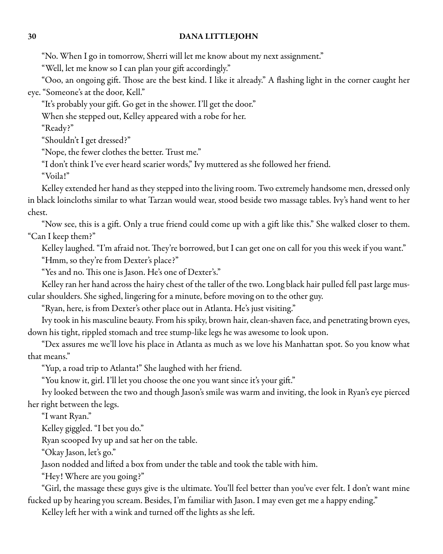"No. When I go in tomorrow, Sherri will let me know about my next assignment."

"Well, let me know so I can plan your gift accordingly."

"Ooo, an ongoing gift. Those are the best kind. I like it already." A flashing light in the corner caught her eye. "Someone's at the door, Kell."

"It's probably your gift. Go get in the shower. I'll get the door."

When she stepped out, Kelley appeared with a robe for her.

"Ready?"

"Shouldn't I get dressed?"

"Nope, the fewer clothes the better. Trust me."

"I don't think I've ever heard scarier words," Ivy muttered as she followed her friend.

"Voila!"

Kelley extended her hand as they stepped into the living room. Two extremely handsome men, dressed only in black loincloths similar to what Tarzan would wear, stood beside two massage tables. Ivy's hand went to her chest.

"Now see, this is a gift. Only a true friend could come up with a gift like this." She walked closer to them. "Can I keep them?"

Kelley laughed. "I'm afraid not. They're borrowed, but I can get one on call for you this week if you want." "Hmm, so they're from Dexter's place?"

"Yes and no. This one is Jason. He's one of Dexter's."

Kelley ran her hand across the hairy chest of the taller of the two. Long black hair pulled fell past large muscular shoulders. She sighed, lingering for a minute, before moving on to the other guy.

"Ryan, here, is from Dexter's other place out in Atlanta. He's just visiting."

Ivy took in his masculine beauty. From his spiky, brown hair, clean-shaven face, and penetrating brown eyes, down his tight, rippled stomach and tree stump-like legs he was awesome to look upon.

"Dex assures me we'll love his place in Atlanta as much as we love his Manhattan spot. So you know what that means."

"Yup, a road trip to Atlanta!" She laughed with her friend.

"You know it, girl. I'll let you choose the one you want since it's your gift."

Ivy looked between the two and though Jason's smile was warm and inviting, the look in Ryan's eye pierced her right between the legs.

"I want Ryan."

Kelley giggled. "I bet you do."

Ryan scooped Ivy up and sat her on the table.

"Okay Jason, let's go."

Jason nodded and lifted a box from under the table and took the table with him.

"Hey! Where are you going?"

"Girl, the massage these guys give is the ultimate. You'll feel better than you've ever felt. I don't want mine fucked up by hearing you scream. Besides, I'm familiar with Jason. I may even get me a happy ending."

Kelley left her with a wink and turned off the lights as she left.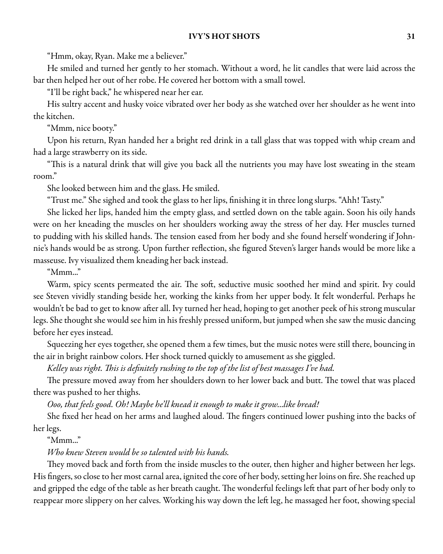"Hmm, okay, Ryan. Make me a believer."

He smiled and turned her gently to her stomach. Without a word, he lit candles that were laid across the bar then helped her out of her robe. He covered her bottom with a small towel.

"I'll be right back," he whispered near her ear.

His sultry accent and husky voice vibrated over her body as she watched over her shoulder as he went into the kitchen.

"Mmm, nice booty."

Upon his return, Ryan handed her a bright red drink in a tall glass that was topped with whip cream and had a large strawberry on its side.

"This is a natural drink that will give you back all the nutrients you may have lost sweating in the steam room."

She looked between him and the glass. He smiled.

"Trust me." She sighed and took the glass to her lips, finishing it in three long slurps. "Ahh! Tasty."

She licked her lips, handed him the empty glass, and settled down on the table again. Soon his oily hands were on her kneading the muscles on her shoulders working away the stress of her day. Her muscles turned to pudding with his skilled hands. The tension eased from her body and she found herself wondering if Johnnie's hands would be as strong. Upon further reflection, she figured Steven's larger hands would be more like a masseuse. Ivy visualized them kneading her back instead.

"Mmm..."

Warm, spicy scents permeated the air. The soft, seductive music soothed her mind and spirit. Ivy could see Steven vividly standing beside her, working the kinks from her upper body. It felt wonderful. Perhaps he wouldn't be bad to get to know after all. Ivy turned her head, hoping to get another peek of his strong muscular legs. She thought she would see him in his freshly pressed uniform, but jumped when she saw the music dancing before her eyes instead.

Squeezing her eyes together, she opened them a few times, but the music notes were still there, bouncing in the air in bright rainbow colors. Her shock turned quickly to amusement as she giggled.

Kelley was right. This is definitely rushing to the top of the list of best massages I've had.

The pressure moved away from her shoulders down to her lower back and butt. The towel that was placed there was pushed to her thighs.

Ooo, that feels good. Oh! Maybe he'll knead it enough to make it grow...like bread!

She fixed her head on her arms and laughed aloud. The fingers continued lower pushing into the backs of her legs.

 $"Mmm..."$ 

Who knew Steven would be so talented with his hands.

They moved back and forth from the inside muscles to the outer, then higher and higher between her legs. His fingers, so close to her most carnal area, ignited the core of her body, setting her loins on fire. She reached up and gripped the edge of the table as her breath caught. The wonderful feelings left that part of her body only to reappear more slippery on her calves. Working his way down the left leg, he massaged her foot, showing special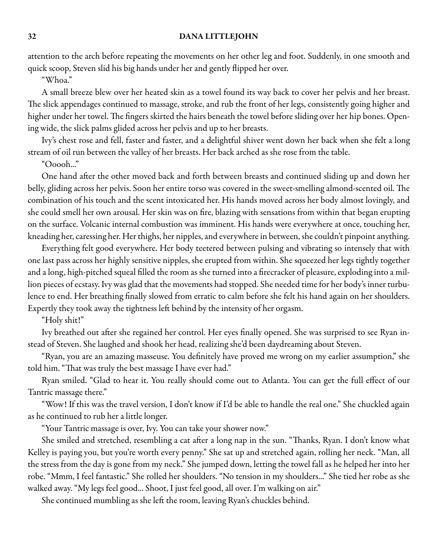attention to the arch before repeating the movements on her other leg and foot. Suddenly, in one smooth and quick scoop, Steven slid his big hands under her and gently flipped her over.

"Whoa."

A small breeze blew over her heated skin as a towel found its way back to cover her pelvis and her breast. The slick appendages continued to massage, stroke, and rub the front of her legs, consistently going higher and higher under her towel. The fingers skirted the hairs beneath the towel before sliding over her hip bones. Opening wide, the slick palms glided across her pelvis and up to her breasts.

Ivy's chest rose and fell, faster and faster, and a delightful shiver went down her back when she felt a long stream of oil run between the valley of her breasts. Her back arched as she rose from the table.

"Ooooh..."

One hand after the other moved back and forth between breasts and continued sliding up and down her belly, gliding across her pelvis. Soon her entire torso was covered in the sweet-smelling almond-scented oil. The combination of his touch and the scent intoxicated her. His hands moved across her body almost lovingly, and she could smell her own arousal. Her skin was on fire, blazing with sensations from within that began erupting on the surface. Volcanic internal combustion was imminent. His hands were everywhere at once, touching her, kneading her, caressing her. Her thighs, her nipples, and everywhere in between, she couldn't pinpoint anything.

Everything felt good everywhere. Her body teetered between pulsing and vibrating so intensely that with one last pass across her highly sensitive nipples, she erupted from within. She squeezed her legs tightly together and a long, high-pitched squeal filled the room as she turned into a firecracker of pleasure, exploding into a million pieces of ecstasy. Ivy was glad that the movements had stopped. She needed time for her body's inner turbulence to end. Her breathing finally slowed from erratic to calm before she felt his hand again on her shoulders. Expertly they took away the tightness left behind by the intensity of her orgasm.

"Holy shit!"

Ivy breathed out after she regained her control. Her eyes finally opened. She was surprised to see Ryan instead of Steven. She laughed and shook her head, realizing she'd been daydreaming about Steven.

"Ryan, you are an amazing masseuse. You definitely have proved me wrong on my earlier assumption," she told him. "That was truly the best massage I have ever had."

Ryan smiled. "Glad to hear it. You really should come out to Atlanta. You can get the full effect of our Tantric massage there."

"Wow! If this was the travel version, I don't know if I'd be able to handle the real one." She chuckled again as he continued to rub her a little longer.

"Your Tantric massage is over, Ivy. You can take your shower now."

She smiled and stretched, resembling a cat after a long nap in the sun. "Thanks, Ryan. I don't know what Kelley is paying you, but you're worth every penny." She sat up and stretched again, rolling her neck. "Man, all the stress from the day is gone from my neck." She jumped down, letting the towel fall as he helped her into her robe. "Mmm, I feel fantastic." She rolled her shoulders. "No tension in my shoulders..." She tied her robe as she walked away. "My legs feel good... Shoot, I just feel good, all over. I'm walking on air."

She continued mumbling as she left the room, leaving Ryan's chuckles behind.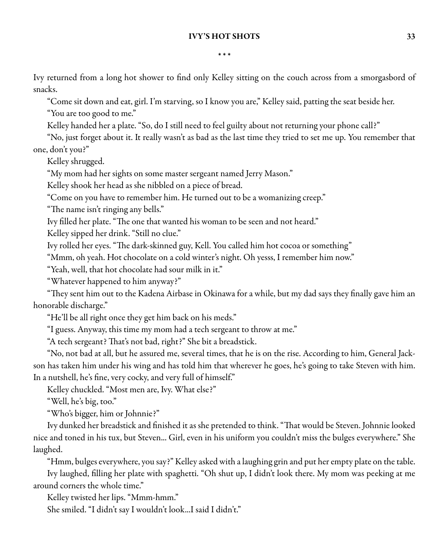#### \* \* \*

Ivy returned from a long hot shower to find only Kelley sitting on the couch across from a smorgasbord of snacks.

"Come sit down and eat, girl. I'm starving, so I know you are," Kelley said, patting the seat beside her.

"You are too good to me."

Kelley handed her a plate. "So, do I still need to feel guilty about not returning your phone call?"

"No, just forget about it. It really wasn't as bad as the last time they tried to set me up. You remember that one, don't you?"

Kelley shrugged.

"My mom had her sights on some master sergeant named Jerry Mason."

Kelley shook her head as she nibbled on a piece of bread.

"Come on you have to remember him. He turned out to be a womanizing creep."

"The name isn't ringing any bells."

Ivy filled her plate. "The one that wanted his woman to be seen and not heard."

Kelley sipped her drink. "Still no clue."

Ivy rolled her eyes. "The dark-skinned guy, Kell. You called him hot cocoa or something"

"Mmm, oh yeah. Hot chocolate on a cold winter's night. Oh yesss, I remember him now."

"Yeah, well, that hot chocolate had sour milk in it."

"Whatever happened to him anyway?"

"They sent him out to the Kadena Airbase in Okinawa for a while, but my dad says they finally gave him an honorable discharge."

"He'll be all right once they get him back on his meds."

"I guess. Anyway, this time my mom had a tech sergeant to throw at me."

"A tech sergeant? That's not bad, right?" She bit a breadstick.

"No, not bad at all, but he assured me, several times, that he is on the rise. According to him, General Jackson has taken him under his wing and has told him that wherever he goes, he's going to take Steven with him. In a nutshell, he's fine, very cocky, and very full of himself."

Kelley chuckled. "Most men are, Ivy. What else?"

"Well, he's big, too."

"Who's bigger, him or Johnnie?"

Ivy dunked her breadstick and finished it as she pretended to think. "That would be Steven. Johnnie looked nice and toned in his tux, but Steven... Girl, even in his uniform you couldn't miss the bulges everywhere." She laughed.

"Hmm, bulges everywhere, you say?" Kelley asked with a laughing grin and put her empty plate on the table.

Ivy laughed, filling her plate with spaghetti. "Oh shut up, I didn't look there. My mom was peeking at me around corners the whole time."

Kelley twisted her lips. "Mmm-hmm."

She smiled. "I didn't say I wouldn't look...I said I didn't."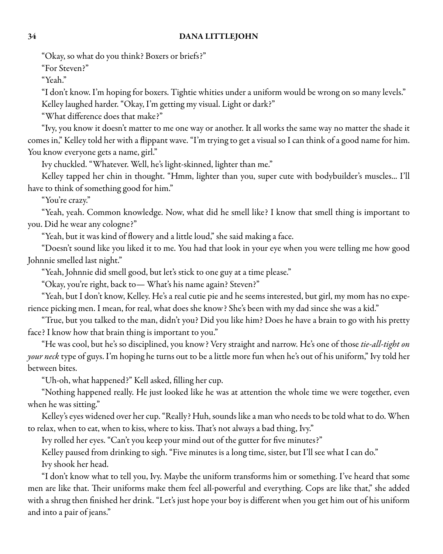"Okay, so what do you think? Boxers or briefs?"

"For Steven?"

"Yeah."

"I don't know. I'm hoping for boxers. Tightie whities under a uniform would be wrong on so many levels." Kelley laughed harder. "Okay, I'm getting my visual. Light or dark?"

"What difference does that make?"

"Ivy, you know it doesn't matter to me one way or another. It all works the same way no matter the shade it comes in," Kelley told her with a flippant wave. "I'm trying to get a visual so I can think of a good name for him. You know everyone gets a name, girl."

Ivy chuckled. "Whatever. Well, he's light-skinned, lighter than me."

Kelley tapped her chin in thought. "Hmm, lighter than you, super cute with bodybuilder's muscles... I'll have to think of something good for him."

"You're crazy."

"Yeah, yeah. Common knowledge. Now, what did he smell like? I know that smell thing is important to you. Did he wear any cologne?"

"Yeah, but it was kind of flowery and a little loud," she said making a face.

"Doesn't sound like you liked it to me. You had that look in your eye when you were telling me how good Johnnie smelled last night."

"Yeah, Johnnie did smell good, but let's stick to one guy at a time please."

"Okay, you're right, back to— What's his name again? Steven?"

"Yeah, but I don't know, Kelley. He's a real cutie pie and he seems interested, but girl, my mom has no experience picking men. I mean, for real, what does she know? She's been with my dad since she was a kid."

"True, but you talked to the man, didn't you? Did you like him? Does he have a brain to go with his pretty face? I know how that brain thing is important to you."

"He was cool, but he's so disciplined, you know? Very straight and narrow. He's one of those tie-all-tight on your neck type of guys. I'm hoping he turns out to be a little more fun when he's out of his uniform," Ivy told her between bites.

"Uh-oh, what happened?" Kell asked, filling her cup.

"Nothing happened really. He just looked like he was at attention the whole time we were together, even when he was sitting."

Kelley's eyes widened over her cup. "Really? Huh, sounds like a man who needs to be told what to do. When to relax, when to eat, when to kiss, where to kiss. That's not always a bad thing, Ivy."

Ivy rolled her eyes. "Can't you keep your mind out of the gutter for five minutes?"

Kelley paused from drinking to sigh. "Five minutes is a long time, sister, but I'll see what I can do." Ivy shook her head.

"I don't know what to tell you, Ivy. Maybe the uniform transforms him or something. I've heard that some men are like that. Their uniforms make them feel all-powerful and everything. Cops are like that," she added with a shrug then finished her drink. "Let's just hope your boy is different when you get him out of his uniform and into a pair of jeans."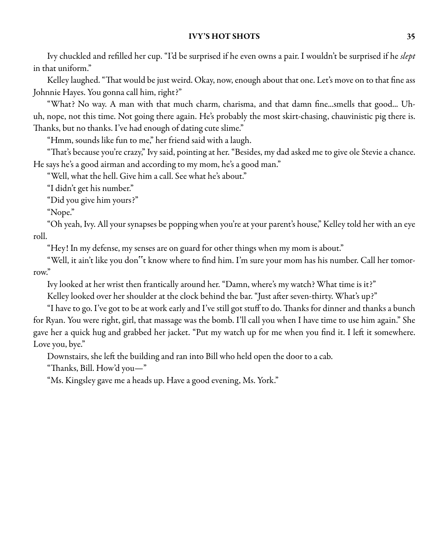Ivy chuckled and refilled her cup. "I'd be surprised if he even owns a pair. I wouldn't be surprised if he slept in that uniform."

Kelley laughed. "That would be just weird. Okay, now, enough about that one. Let's move on to that fine ass Johnnie Hayes. You gonna call him, right?"

"What? No way. A man with that much charm, charisma, and that damn fine...smells that good... Uhuh, nope, not this time. Not going there again. He's probably the most skirt-chasing, chauvinistic pig there is. Thanks, but no thanks. I've had enough of dating cute slime."

"Hmm, sounds like fun to me," her friend said with a laugh.

"That's because you're crazy," Ivy said, pointing at her. "Besides, my dad asked me to give ole Stevie a chance. He says he's a good airman and according to my mom, he's a good man."

"Well, what the hell. Give him a call. See what he's about."

"I didn't get his number."

"Did you give him yours?"

"Nope."

"Oh yeah, Ivy. All your synapses be popping when you'reat your parent's house," Kelley told her with an eye roll.

"Hey! In my defense, my senses are on guard for other things when my mom is about."

"Well, it ain't like you don"t know where to find him. I'm sure your mom has his number. Call her tomorrow."

Ivy looked at her wrist then frantically around her. "Damn, where's my watch? What time is it?"

Kelley looked over her shoulder at the clock behind the bar. "Just after seven-thirty. What's up?"

"I have to go. I've got to be at work early and I've still got stuff to do. Thanks for dinner and thanks a bunch for Ryan. You were right, girl, that massage was the bomb. I'll call you when I have time to use him again." She gave her a quick hug and grabbed her jacket. "Put my watch up for me when you find it. I left it somewhere. Love you, bye."

Downstairs, she left the building and ran into Bill who held open the door to a cab.

"Thanks, Bill. How'd you—"

"Ms. Kingsley gave me a heads up. Have a good evening, Ms. York."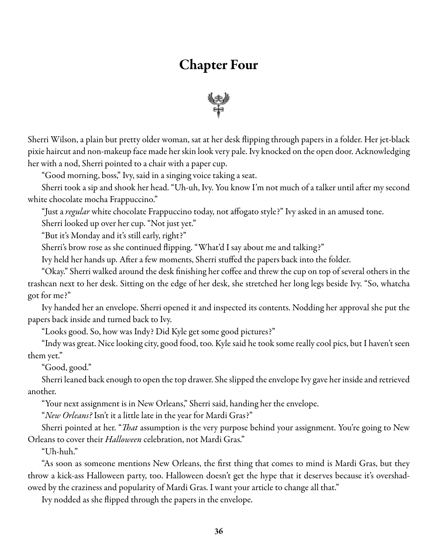## Chapter Four



Sherri Wilson, a plain but pretty older woman, sat at her desk flipping through papers in a folder. Her jet-black pixie haircut and non-makeup face made her skin look very pale. Ivy knocked on the open door. Acknowledging her with a nod, Sherri pointed to a chair with a paper cup.

"Good morning, boss," Ivy, said in a singing voice taking a seat.

Sherri took asip and shook her head. "Uh-uh, Ivy. You know I'm not much ofatalker untilafter my second white chocolate mocha Frappuccino."

"Just a *regular* white chocolate Frappuccino today, not affogato style?" Ivy asked in an amused tone.

Sherri looked up over her cup. "Not just yet."

"But it's Monday and it's still early, right?"

Sherri's brow rose as she continued flipping. "What'd I say about me and talking?"

Ivy held her hands up. After a few moments, Sherri stuffed the papers back into the folder.

"Okay." Sherri walked around the desk finishing hercoffeeand threw thecup on top of several others in the trashcan next to her desk. Sitting on the edge of her desk, she stretched her long legs beside Ivy. "So, whatcha got for me?"

Ivy handed her an envelope. Sherri opened it and inspected its contents. Nodding her approval she put the papers back inside and turned back to Ivy.

"Looks good. So, how was Indy? Did Kyle get some good pictures?"

"Indy was great. Nicelooking city, good food, too. Kylesaid hetook somereally coolpics, but I haven't seen them yet."

"Good, good."

Sherri leaned back enough to open the top drawer. She slipped the envelope Ivy gave her inside and retrieved another.

"Your next assignment is in New Orleans," Sherri said, handing her the envelope.

"New Orleans? Isn't it a little late in the year for Mardi Gras?"

Sherri pointed at her. "*That* assumption is the very purpose behind your assignment. You're going to New Orleans to cover their *Halloween* celebration, not Mardi Gras."

"Uh-huh."

"As soon as someone mentions New Orleans, the first thing that comes to mind is Mardi Gras, but they throw a kick-ass Halloween party, too. Halloween doesn't get the hype that it deserves because it's overshadowed by the craziness and popularity of Mardi Gras. I want your article to change all that."

Ivy nodded as she flipped through the papers in the envelope.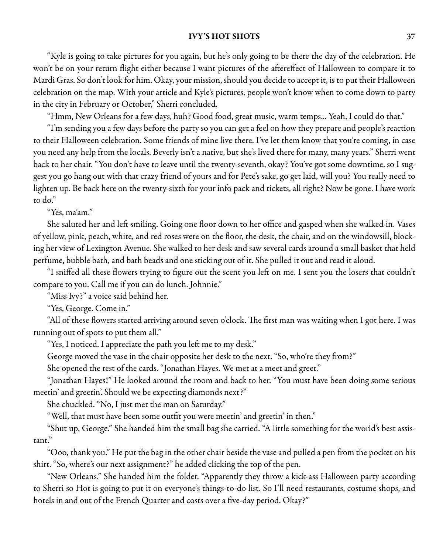"Kyle is going to take pictures for you again, but he's only going to be there the day of the celebration. He won't be on your return flight either because I want pictures of the aftereffect of Halloween to compare it to Mardi Gras. So don't look for him. Okay, your mission, should you decide to accept it, is to put their Halloween celebration on the map. With your article and Kyle's pictures, people won't know when to come down to party in the city in February or October," Sherri concluded.

"Hmm, New Orleans for a few days, huh? Good food, great music, warm temps... Yeah, I could do that."

"I'm sending you a few days before the party so you can get a feel on how they prepare and people's reaction to their Halloween celebration. Some friends of mine live there. I've let them know that you're coming, in case you need any help from the locals. Beverly isn't a native, but she's lived there for many, many years." Sherri went back to her chair. "You don't have to leave until the twenty-seventh, okay? You've got some downtime, so I suggest you go hang out with that crazy friend of yours and for Pete's sake, go get laid, will you? You really need to lighten up. Be back here on the twenty-sixth for your info pack and tickets, all right? Now be gone. I have work to do."

"Yes, ma'am."

She saluted her and left smiling. Going one floor down to her office and gasped when she walked in. Vases of yellow, pink, peach, white, and red roses were on the floor, the desk, the chair, and on the windowsill, blocking her view of Lexington Avenue. She walked to her desk and saw several cards around a small basket that held perfume, bubble bath, and bath beads and one sticking out of it. She pulled it out and read it aloud.

"I sniffed all these flowers trying to figure out the scent you left on me. I sent you the losers that couldn't compare to you. Call me if you can do lunch. Johnnie."

"Miss Ivy?" a voice said behind her.

"Yes, George. Come in."

"All of these flowers started arriving around seven o'clock. The first man was waiting when I got here. I was running out of spots to put them all."

"Yes, I noticed. I appreciate the path you left me to my desk."

George moved the vase in the chair opposite her desk to the next. "So, who're they from?"

She opened the rest of the cards. "Jonathan Hayes. We met at a meet and greet."

"Jonathan Hayes!" He looked around the room and back to her. "You must have been doing some serious meetin' and greetin'. Should we be expecting diamonds next?"

She chuckled. "No, I just met the man on Saturday."

"Well, that must have been some outfit you were meetin' and greetin' in then."

"Shut up, George." She handed him the small bag she carried. "A little something for the world's best assistant."

"Ooo, thank you." He put the bag in the other chair beside the vase and pulled a pen from the pocket on his shirt. "So, where's our next assignment?" he added clicking the top of the pen.

"New Orleans." She handed him the folder. "Apparently they throw a kick-ass Halloween party according to Sherri so Hot is going to put it on everyone's things-to-do list. So I'll need restaurants, costume shops, and hotels in and out of the French Quarter and costs over a five-day period. Okay?"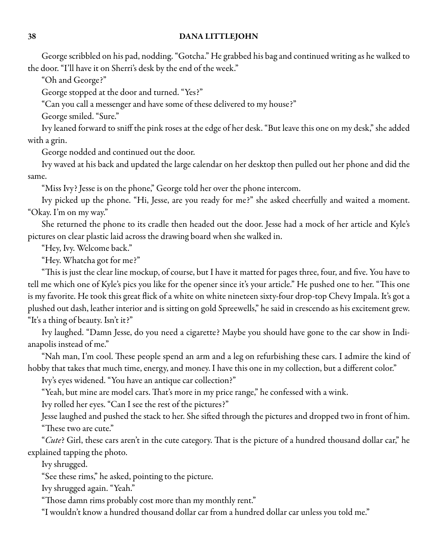George scribbled on his pad, nodding. "Gotcha." He grabbed his bag and continued writing as he walked to the door. "I'll have it on Sherri's desk by the end of the week."

"Oh and George?"

George stopped at the door and turned. "Yes?"

"Can you call a messenger and have some of these delivered to my house?"

George smiled. "Sure."

Ivy leaned forward to sniff the pink roses at the edge of her desk. "But leave this one on my desk," she added with a grin.

George nodded and continued out the door.

Ivy waved at his back and updated the large calendar on her desktop then pulled out her phone and did the same.

"Miss Ivy? Jesse is on the phone," George told her over the phone intercom.

Ivy picked up the phone. "Hi, Jesse, are you ready for me?" she asked cheerfully and waited a moment. "Okay. I'm on my way."

She returned the phone to its cradle then headed out the door. Jesse had a mock of her article and Kyle's pictures on clear plastic laid across the drawing board when she walked in.

"Hey, Ivy. Welcome back."

"Hey. Whatcha got for me?"

"This is just the clear line mockup, of course, but I have it matted for pages three, four, and five. You have to tell me which one of Kyle's pics you like for the opener since it's your article." He pushed one to her. "This one is my favorite. He took this great flick of a white on white nineteen sixty-four drop-top Chevy Impala. It's got a plushed out dash, leather interior and is sitting on gold Spreewells," he said in crescendo as his excitement grew. "It's a thing of beauty. Isn't it?"

Ivy laughed. "Damn Jesse, do you need a cigarette? Maybe you should have gone to the car show in Indianapolis instead of me."

"Nah man, I'm cool. These people spend an arm and a leg on refurbishing these cars. I admire the kind of hobby that takes that much time, energy, and money. I have this one in my collection, but a different color."

Ivy's eyes widened. "You have an antique car collection?"

"Yeah, but mine are model cars. That's more in my price range," he confessed with a wink.

Ivy rolled her eyes. "Can I see the rest of the pictures?"

Jesse laughed and pushed the stack to her. She sifted through the pictures and dropped two in front of him. "These two are cute."

"Cute? Girl, these cars aren't in the cute category. That is the picture of a hundred thousand dollar car," he explained tapping the photo.

Ivy shrugged.

"See these rims," he asked, pointing to the picture.

Ivy shrugged again. "Yeah."

"Those damn rims probably cost more than my monthly rent."

"I wouldn't know a hundred thousand dollar car from a hundred dollar car unless you told me."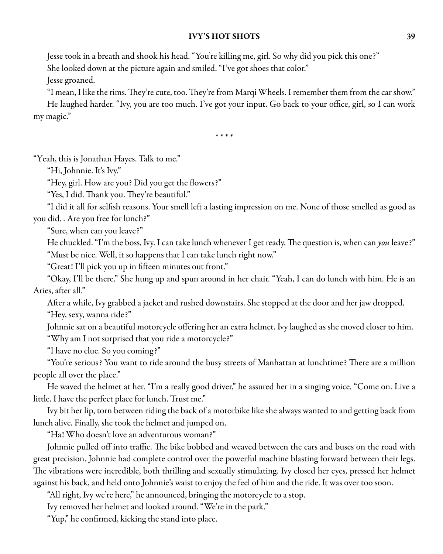Jesse took in a breath and shook his head. "You're killing me, girl. So why did you pick this one?"

She looked down at the picture again and smiled. "I've got shoes that color."

Jesse groaned.

"I mean, I like the rims. They're cute, too. They're from Marqi Wheels. I remember them from the car show." He laughed harder. "Ivy, you are too much. I've got your input. Go back to your office, girl, so I can work

my magic."

\* \* \* \*

"Yeah, this is Jonathan Hayes. Talk to me."

"Hi, Johnnie. It's Ivy."

"Hey, girl. How are you? Did you get the flowers?"

"Yes, I did. Thank you. They're beautiful."

"I did it all for selfish reasons. Your smell left a lasting impression on me. None of those smelled as good as you did. . Are you free for lunch?"

"Sure, when can you leave?"

He chuckled. "I'm the boss, Ivy. I can take lunch whenever I get ready. The question is, when can you leave?" "Must be nice. Well, it so happens that I can take lunch right now."

"Great! I'll pick you up in fifteen minutes out front."

"Okay, I'll be there." She hung up and spun around in her chair. "Yeah, I can do lunch with him. He is an Aries, after all."

After a while, Ivy grabbed a jacket and rushed downstairs. She stopped at the door and her jaw dropped.

"Hey, sexy, wanna ride?"

Johnnie sat on a beautiful motorcycle offering her an extra helmet. Ivy laughed as she moved closer to him.

"Why am I not surprised that you ride a motorcycle?"

"I have no clue. So you coming?"

"You're serious? You want to ride around the busy streets of Manhattan at lunchtime? There are a million people all over the place."

He waved the helmet at her. "I'm a really good driver," he assured her in a singing voice. "Come on. Live a little. I have the perfect place for lunch. Trust me."

Ivy bit her lip, torn between riding the back of a motorbike like she always wanted to and getting back from lunch alive. Finally, she took the helmet and jumped on.

"Ha! Who doesn't love an adventurous woman?"

Johnnie pulled off into traffic. The bike bobbed and weaved between the cars and buses on the road with great precision. Johnnie had complete control over the powerful machine blasting forward between their legs. The vibrations were incredible, both thrilling and sexually stimulating. Ivy closed her eyes, pressed her helmet against his back, and held onto Johnnie's waist to enjoy the feel of him and the ride. It was over too soon.

"All right, Ivy we're here," he announced, bringing the motorcycle to a stop.

Ivy removed her helmet and looked around. "We're in the park."

"Yup," he confirmed, kicking the stand into place.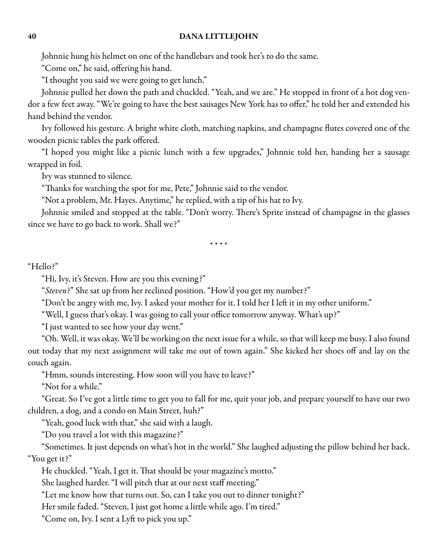Johnnie hung his helmet on one of the handlebars and took her's to do the same.

"Come on," he said, offering his hand.

"I thought you said we were going to get lunch."

Johnnie pulled her down the path and chuckled. "Yeah, and we are." He stopped in front of a hot dog vendor a few feet away. "We're going to have the best sausages New York has to offer," he told her and extended his hand behind the vendor.

Ivy followed his gesture. A bright white cloth, matching napkins, and champagne flutes covered one of the wooden picnic tables the park offered.

"I hoped you might like a picnic lunch with a few upgrades," Johnnie told her, handing her a sausage wrapped in foil.

Ivy was stunned to silence.

"Thanks for watching the spot for me, Pete," Johnnie said to the vendor.

"Not a problem, Mr. Hayes. Anytime," he replied, with a tip of his hat to Ivy.

Johnnie smiled and stopped at the table. "Don't worry. There's Sprite instead of champagne in the glasses since we have to go back to work. Shall we?"

\* \* \* \*

"Hello?"

"Hi, Ivy, it's Steven. How are you this evening?"

"Steven?" She sat up from her reclined position. "How'd you get my number?"

"Don't be angry with me, Ivy. I asked your mother for it. I told her I left it in my other uniform."

"Well, I guess that's okay. I was going to call your office tomorrow anyway. What's up?"

"I just wanted to see how your day went."

"Oh. Well, it was okay. We'll be working on the next issue for a while, so that will keep me busy. I also found out today that my next assignment will take me out of town again." She kicked her shoes off and lay on the couch again.

"Hmm, sounds interesting. How soon will you have to leave?"

"Not for a while."

"Great. So I've got a little time to get you to fall for me, quit your job, and prepare yourself to have our two children, a dog, and a condo on Main Street, huh?"

"Yeah, good luck with that," she said with a laugh.

"Do you travel a lot with this magazine?"

"Sometimes. It just depends on what's hot in the world." She laughed adjusting the pillow behind her back. "You get it?"

He chuckled. "Yeah, I get it. That should be your magazine's motto."

She laughed harder. "I will pitch that at our next staff meeting."

"Let me know how that turns out. So, can I take you out to dinner tonight?"

Her smile faded. "Steven, I just got home a little while ago. I'm tired."

"Come on, Ivy. I sent a Lyft to pick you up."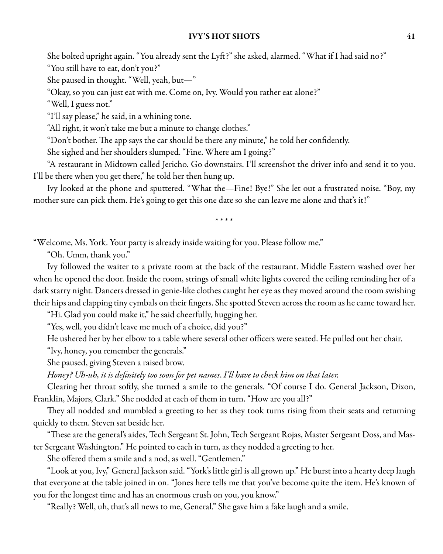She bolted upright again. "You already sent the Lyft?" she asked, alarmed. "What if I had said no?"

"You still have to eat, don't you?"

She paused in thought. "Well, yeah, but—"

"Okay, so you can just eat with me. Come on, Ivy. Would you rather eat alone?"

"Well, I guess not."

"I'll say please," he said, in a whining tone.

"All right, it won't take me but a minute to change clothes."

"Don't bother. The app says the car should be there any minute," he told her confidently.

She sighed and her shoulders slumped. "Fine. Where am I going?"

"A restaurant in Midtown called Jericho. Go downstairs. I'll screenshot the driver info and send it to you. I'll be there when you get there," he told her then hung up.

Ivy looked at the phone and sputtered. "What the—Fine! Bye!" She let out a frustrated noise. "Boy, my mother sure can pick them. He's going to get this one date so she can leave me alone and that's it!"

\* \* \* \*

"Welcome, Ms. York. Your party is already inside waiting for you. Please follow me."

"Oh. Umm, thank you."

Ivy followed the waiter to a private room at the back of the restaurant. Middle Eastern washed over her when he opened the door. Inside the room, strings of small white lights covered the ceiling reminding her of a dark starry night. Dancers dressed in genie-like clothes caught her eye as they moved around the room swishing their hips and clapping tiny cymbals on their fingers. She spotted Steven across the room as he came toward her.

"Hi. Glad you could make it," he said cheerfully, hugging her.

"Yes, well, you didn't leave me much of a choice, did you?"

He ushered her by her elbow to a table where several other officers were seated. He pulled out her chair.

"Ivy, honey, you remember the generals."

She paused, giving Steven a raised brow.

Honey? Uh-uh, it is definitely too soon for pet names. I'll have to check him on that later.

Clearing her throat softly, she turned a smile to the generals. "Of course I do. General Jackson, Dixon, Franklin, Majors, Clark." She nodded at each of them in turn. "How are you all?"

They all nodded and mumbled a greeting to her as they took turns rising from their seats and returning quickly to them. Steven sat beside her.

"These are the general's aides, Tech Sergeant St. John, Tech Sergeant Rojas, Master Sergeant Doss, and Master Sergeant Washington." He pointed to each in turn, as they nodded a greeting to her.

She offered them a smile and a nod, as well. "Gentlemen."

"Look at you, Ivy," General Jackson said. "York's little girl isall grown up." He burst into a hearty deep laugh that everyone at the table joined in on. "Jones here tells me that you've become quite the item. He's known of you for the longest time and has an enormous crush on you, you know."

"Really? Well, uh, that's all news to me, General." She gave him a fake laugh and a smile.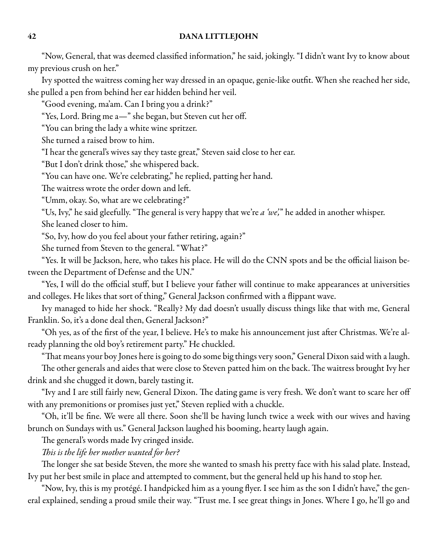"Now, General, that was deemed classified information," he said, jokingly. "I didn't want Ivy to know about my previous crush on her."

Ivy spotted the waitress coming her way dressed in an opaque, genie-like outfit. When she reached her side, she pulled a pen from behind her ear hidden behind her veil.

"Good evening, ma'am. Can I bring you a drink?"

"Yes, Lord. Bring me a—" she began, but Steven cut her off.

"You can bring the lady a white wine spritzer.

She turned a raised brow to him.

"I hear the general's wives say they taste great," Steven said close to her ear.

"But I don't drink those," she whispered back.

"You can have one. We're celebrating," he replied, patting her hand.

The waitress wrote the order down and left.

"Umm, okay. So, what are we celebrating?"

"Us, Ivy," he said gleefully. "The general is very happy that we're a 'we'," he added in another whisper. She leaned closer to him.

"So, Ivy, how do you feel about your father retiring, again?"

She turned from Steven to the general. "What?"

"Yes. It will be Jackson, here, who takes his place. He will do the CNN spots and be the official liaison between the Department of Defense and the UN."

"Yes, I will do the official stuff, but I believe your father will continue to make appearances at universities and colleges. He likes that sort of thing," General Jackson confirmed with a flippant wave.

Ivy managed to hide her shock. "Really? My dad doesn't usually discuss things like that with me, General Franklin. So, it's a done deal then, General Jackson?"

"Oh yes, as of the first of the year, I believe. He's to make his announcement just after Christmas. We're already planning the old boy's retirement party." He chuckled.

"That means your boy Jones here is going to do some big things very soon," General Dixon said with a laugh.

The other generals and aides that were close to Steven patted him on the back. The waitress brought Ivy her drink and she chugged it down, barely tasting it.

"Ivy and I are still fairly new, General Dixon. The dating game is very fresh. We don't want to scare her off with any premonitions or promises just yet," Steven replied with a chuckle.

"Oh, it'll be fine. We were all there. Soon she'll be having lunch twice a week with our wives and having brunch on Sundays with us." General Jackson laughed his booming, hearty laugh again.

The general's words made Ivy cringed inside.

This is the life her mother wanted for her?

The longer she sat beside Steven, the more she wanted to smash his pretty face with his salad plate. Instead, Ivy put her best smile in place and attempted to comment, but the general held up his hand to stop her.

"Now, Ivy, this is my protégé. I handpicked him as a young flyer. I see him as the son I didn't have," the general explained, sending a proud smile their way. "Trust me. I see great things in Jones. Where I go, he'll go and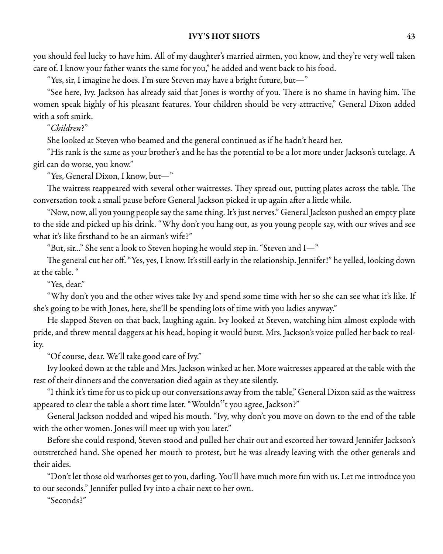you should feel lucky to have him. All of my daughter's married airmen, you know, and they're very well taken care of. I know your father wants the same for you," he added and went back to his food.

"Yes, sir, I imagine he does. I'm sure Steven may have a bright future, but—"

"See here, Ivy. Jackson has already said that Jones is worthy of you. There is no shame in having him. The women speak highly of his pleasant features. Your children should be very attractive," General Dixon added with a soft smirk.

"Children?"

She looked at Steven who beamed and the general continued as if he hadn't heard her.

"His rank is the same as your brother's and he has the potential to be a lot more under Jackson's tutelage. A girl can do worse, you know."

"Yes, General Dixon, I know, but—"

The waitress reappeared with several other waitresses. They spread out, putting plates across the table. The conversation took a small pause before General Jackson picked it up again after a little while.

"Now, now, all you young people say the same thing. It's just nerves." General Jackson pushed an empty plate to the side and picked up his drink. "Why don't you hang out, as you young people say, with our wives and see what it's like firsthand to be an airman's wife?"

"But, sir..." She sent a look to Steven hoping he would step in. "Steven and I—"

The general cut her off. "Yes, yes, I know. It's still early in the relationship. Jennifer!" he yelled, looking down at the table. "

"Yes, dear."

"Why don't you and the other wives take Ivy and spend some time with her so she can see what it's like. If she's going to be with Jones, here, she'll be spending lots of time with you ladies anyway."

He slapped Steven on that back, laughing again. Ivy looked at Steven, watching him almost explode with pride, and threw mental daggers at his head, hoping it would burst. Mrs. Jackson's voice pulled her back to reality.

"Of course, dear. We'll take good care of Ivy."

Ivy looked down at the table and Mrs. Jackson winked at her. More waitresses appeared at the table with the rest of their dinners and the conversation died again as they ate silently.

"I think it's time for us to pick up our conversations away from the table," General Dixon said as the waitress appeared to clear the table a short time later. "Wouldn"t you agree, Jackson?"

General Jackson nodded and wiped his mouth. "Ivy, why don't you move on down to the end of the table with the other women. Jones will meet up with you later."

Before she could respond, Steven stood and pulled her chair out and escorted her toward Jennifer Jackson's outstretched hand. She opened her mouth to protest, but he was already leaving with the other generals and their aides.

"Don't let those old warhorses get to you, darling. You'll have much morefun with us. Let meintroduce you to our seconds." Jennifer pulled Ivy into a chair next to her own.

"Seconds?"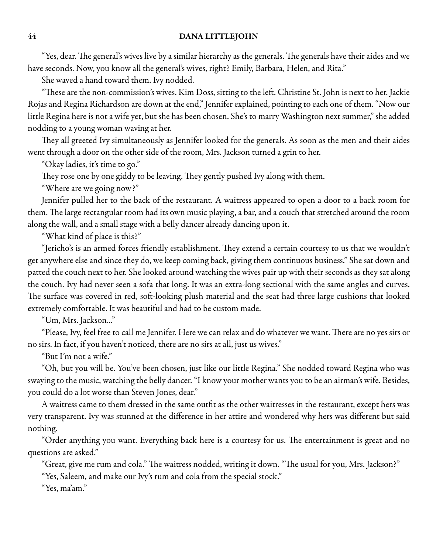"Yes, dear. The general's wives live by a similar hierarchy as the generals. The generals have their aides and we have seconds. Now, you know all the general's wives, right? Emily, Barbara, Helen, and Rita."

She waved a hand toward them. Ivy nodded.

"These are the non-commission's wives. Kim Doss, sitting to the left. Christine St. John is next to her. Jackie Rojas and Regina Richardson are down at the end," Jennifer explained, pointing to each one of them. "Now our little Regina here is not a wife yet, but she has been chosen. She's to marry Washington next summer," she added nodding to a young woman waving at her.

They all greeted Ivy simultaneously as Jennifer looked for the generals. As soon as the men and their aides went through a door on the other side of the room, Mrs. Jackson turned a grin to her.

"Okay ladies, it's time to go."

They rose one by one giddy to be leaving. They gently pushed Ivy along with them.

"Where are we going now?"

Jennifer pulled her to the back of the restaurant. A waitress appeared to open a door to a back room for them. The large rectangular room had its own music playing, a bar, and a couch that stretched around the room along the wall, and a small stage with a belly dancer already dancing upon it.

"What kind of place is this?"

"Jericho's is an armed forces friendly establishment. They extend a certain courtesy to us that we wouldn't get anywhere else and since they do, we keep coming back, giving them continuous business." She sat down and patted the couch next to her. She looked around watching the wives pair up with their seconds as they sat along the couch. Ivy had never seen a sofa that long. It was an extra-long sectional with the same angles and curves. The surface was covered in red, soft-looking plush material and the seat had three large cushions that looked extremely comfortable. It was beautiful and had to be custom made.

"Um, Mrs. Jackson..."

"Please, Ivy, feel free to call me Jennifer. Here we can relax and do whatever we want. There are no yes sirs or no sirs. In fact, if you haven't noticed, there are no sirs at all, just us wives."

"But I'm not a wife."

"Oh, but you will be. You've been chosen, just like our little Regina." She nodded toward Regina who was swaying to the music, watching the belly dancer. "I know your mother wants you to be an airman's wife. Besides, you could do a lot worse than Steven Jones, dear."

A waitress came to them dressed in the same outfit as the other waitresses in the restaurant, except hers was very transparent. Ivy was stunned at the difference in her attire and wondered why hers was different but said nothing.

"Order anything you want. Everything back here is a courtesy for us. The entertainment is great and no questions are asked."

"Great, give me rum and cola." The waitress nodded, writing it down. "The usual for you, Mrs. Jackson?"

"Yes, Saleem, and make our Ivy's rum and cola from the special stock."

"Yes, ma'am."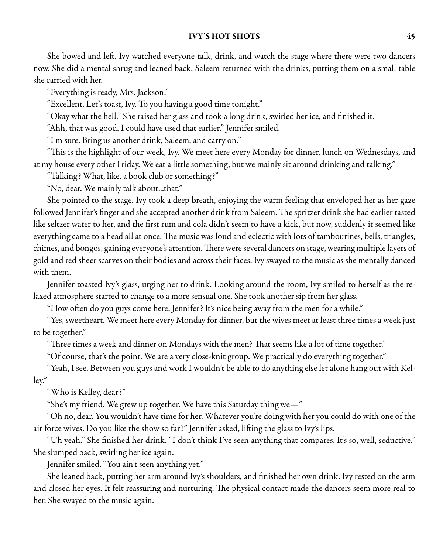She bowed and left. Ivy watched everyone talk, drink, and watch the stage where there were two dancers now. She did a mental shrug and leaned back. Saleem returned with the drinks, putting them on a small table she carried with her.

"Everything is ready, Mrs. Jackson."

"Excellent. Let's toast, Ivy. To you having a good time tonight."

"Okay what the hell." She raised her glass and took a long drink, swirled her ice, and finished it.

"Ahh, that was good. I could have used that earlier." Jennifer smiled.

"I'm sure. Bring us another drink, Saleem, and carry on."

"This is the highlight of our week, Ivy. We meet here every Monday for dinner, lunch on Wednesdays, and at my house every other Friday. We eat a little something, but we mainly sit around drinking and talking."

"Talking? What, like, a book club or something?"

"No, dear. We mainly talk about...that."

She pointed to the stage. Ivy took a deep breath, enjoying the warm feeling that enveloped her as her gaze followed Jennifer's finger and she accepted another drink from Saleem. The spritzer drink she had earlier tasted like seltzer water to her, and the first rum and cola didn't seem to have a kick, but now, suddenly it seemed like everything came to a head all at once. The music was loud and eclectic with lots of tambourines, bells, triangles, chimes, and bongos, gaining everyone's attention. There were several dancers on stage, wearing multiple layers of gold and red sheer scarves on their bodies and across their faces. Ivy swayed to the music as she mentally danced with them.

Jennifer toasted Ivy's glass, urging her to drink. Looking around the room, Ivy smiled to herself as the relaxed atmosphere started to change to a more sensual one. She took another sip from her glass.

"How often do you guys come here, Jennifer? It's nice being away from the men for a while."

"Yes, sweetheart. We meet here every Monday for dinner, but the wives meet at least three times a week just to be together."

"Three times a week and dinner on Mondays with the men? That seems like a lot of time together."

"Of course, that's the point. We are a very close-knit group. We practically do everything together."

"Yeah, I see. Between you guys and work I wouldn't be able to do anything else let alone hang out with Kelley."

"Who is Kelley, dear?"

"She's my friend. We grew up together. We have this Saturday thing we—"

"Oh no, dear. You wouldn't have time for her. Whatever you're doing with her you could do with one of the air force wives. Do you like the show so far?" Jennifer asked, lifting the glass to Ivy's lips.

"Uh yeah." She finished her drink. "I don't think I've seen anything that compares. It's so, well, seductive." She slumped back, swirling her ice again.

Jennifer smiled. "You ain't seen anything yet."

She leaned back, putting her arm around Ivy's shoulders, and finished her own drink. Ivy rested on the arm and closed her eyes. It felt reassuring and nurturing. The physical contact made the dancers seem more real to her. She swayed to the music again.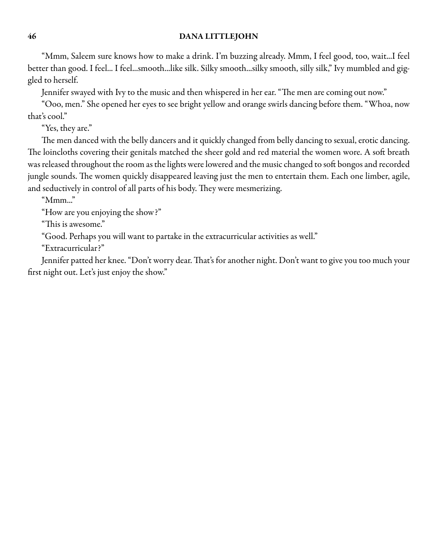"Mmm, Saleem sure knows how to make a drink. I'm buzzing already. Mmm, I feel good, too, wait...I feel better than good. I feel... I feel...smooth...like silk. Silky smooth...silky smooth, silly silk," Ivy mumbled and giggled to herself.

Jennifer swayed with Ivy to the music and then whispered in her ear. "The men are coming out now."

"Ooo, men." She opened her eyes to see bright yellow and orange swirls dancing before them. "Whoa, now that's cool."

"Yes, they are."

The men danced with the belly dancers and it quickly changed from belly dancing to sexual, erotic dancing. The loincloths covering their genitals matched the sheer gold and red material the women wore. A soft breath was released throughout the room as the lights were lowered and the music changed to soft bongos and recorded jungle sounds. The women quickly disappeared leaving just the men to entertain them. Each one limber, agile, and seductively in control of all parts of his body. They were mesmerizing.

"Mmm..."

"How are you enjoying the show?"

"This is awesome."

"Good. Perhaps you will want to partake in the extracurricular activities as well."

"Extracurricular?"

Jennifer patted her knee. "Don't worry dear. That's for another night. Don't want to give you too much your first night out. Let's just enjoy the show."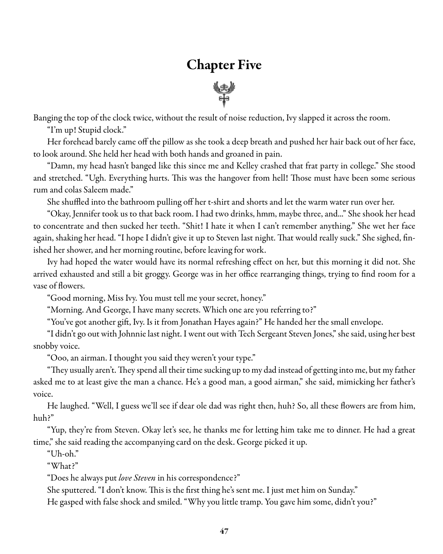# Chapter Five



Banging the top of the clock twice, without the result of noise reduction, Ivy slapped it across the room. "I'm up! Stupid clock."

Her forehead barely came off the pillow as she took a deep breath and pushed her hair back out of her face, to look around. She held her head with both hands and groaned in pain.

"Damn, my head hasn't banged like this since me and Kelley crashed that frat party in college." She stood and stretched. "Ugh. Everything hurts. This was the hangover from hell! Those must have been some serious rum and colas Saleem made."

She shuffled into the bathroom pulling off her t-shirt and shorts and let the warm water run over her.

"Okay, Jennifer took us to that back room. I had two drinks, hmm, maybe three,and..." She shook her head to concentrate and then sucked her teeth. "Shit! I hate it when I can't remember anything." She wet her face again, shaking her head. "I hope I didn't give it up to Steven last night. That would really suck." She sighed, finished her shower, and her morning routine, before leaving for work.

Ivy had hoped the water would have its normal refreshing effect on her, but this morning it did not. She arrived exhausted and still a bit groggy. George was in her office rearranging things, trying to find room for a vase of flowers.

"Good morning, Miss Ivy. You must tell me your secret, honey."

"Morning. And George, I have many secrets. Which one are you referring to?"

"You've got another gift, Ivy. Is it from Jonathan Hayes again?" He handed her the small envelope.

"I didn't go out with Johnnielast night. I went out with Tech Sergeant Steven Jones,"shesaid, using her best snobby voice.

"Ooo, an airman. I thought you said they weren't your type."

"They usually aren't. They spend all their time sucking up to my dad instead of getting into me, but my father asked me to at least give the man a chance. He's a good man, a good airman," she said, mimicking her father's voice.

He laughed. "Well, I guess we'll see if dear ole dad was right then, huh? So, all these flowers are from him, huh?"

"Yup, they're from Steven. Okay let's see, he thanks me for letting him take me to dinner. He had a great time," she said reading the accompanying card on the desk. George picked it up.

"Uh-oh."

"What?"

"Does he always put *love Steven* in his correspondence?"

She sputtered. "I don't know. This is the first thing he's sent me. I just met him on Sunday."

He gasped with false shock and smiled. "Why you little tramp. You gave him some, didn't you?"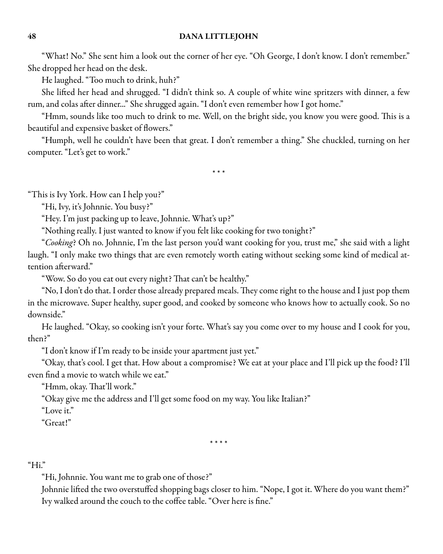"What! No." She sent him a look out the corner of her eye. "Oh George, I don't know. I don't remember." She dropped her head on the desk.

He laughed. "Too much to drink, huh?"

She lifted her head and shrugged. "I didn't think so. A couple of white wine spritzers with dinner, a few rum, and colas after dinner..." She shrugged again. "I don't even remember how I got home."

"Hmm, sounds like too much to drink to me. Well, on the bright side, you know you were good. This is a beautiful and expensive basket of flowers."

"Humph, well he couldn't have been that great. I don't remember a thing." She chuckled, turning on her computer. "Let's get to work."

\* \* \*

"This is Ivy York. How can I help you?"

"Hi, Ivy, it's Johnnie. You busy?"

"Hey. I'm just packing up to leave, Johnnie. What's up?"

"Nothing really. I just wanted to know if you felt like cooking for two tonight?"

"Cooking? Oh no. Johnnie, I'm the last person you'd want cooking for you, trust me," she said with a light laugh. "I only make two things that are even remotely worth eating without seeking some kind of medical attention afterward."

"Wow. So do you eat out every night? That can't be healthy."

"No, I don't do that. I order those already prepared meals. They come right to the house and I just pop them in the microwave. Super healthy, super good, and cooked by someone who knows how to actually cook. So no downside."

He laughed. "Okay, so cooking isn't your forte. What's say you come over to my house and I cook for you, then?"

"I don't know if I'm ready to be inside your apartment just yet."

"Okay, that's cool. I get that. How about a compromise? We eat at your place and I'll pick up the food? I'll even find a movie to watch while we eat."

"Hmm, okay. That'll work."

"Okay give me the address and I'll get some food on my way. You like Italian?"

"Love it."

"Great!"

\* \* \* \*

"Hi."

"Hi, Johnnie. You want me to grab one of those?"

Johnnie lifted the two overstuffed shopping bags closer to him. "Nope, I got it. Where do you want them?" Ivy walked around the couch to the coffee table. "Over here is fine."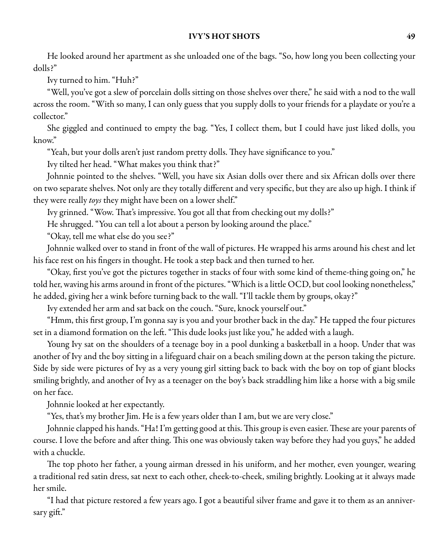He looked around her apartment as she unloaded one of the bags. "So, how long you been collecting your dolls?"

Ivy turned to him. "Huh?"

"Well, you've got a slew of porcelain dolls sitting on those shelves over there," he said with a nod to the wall across the room. "With so many, I can only guess that you supply dolls to your friends for a playdate or you're a collector."

She giggled and continued to empty the bag. "Yes, I collect them, but I could have just liked dolls, you know."

"Yeah, but your dolls aren't just random pretty dolls. They have significance to you."

Ivy tilted her head. "What makes you think that?"

Johnnie pointed to the shelves. "Well, you have six Asian dolls over there and six African dolls over there on two separate shelves. Not only are they totally different and very specific, but they are also up high. I think if they were really toys they might have been on a lower shelf."

Ivy grinned. "Wow. That's impressive. You got all that from checking out my dolls?"

He shrugged. "You can tell a lot about a person by looking around the place."

"Okay, tell me what else do you see?"

Johnnie walked over to stand in front of the wall of pictures. He wrapped his arms around his chest and let his face rest on his fingers in thought. He took a step back and then turned to her.

"Okay, first you've got the pictures together in stacks of four with some kind of theme-thing going on," he told her, waving his arms around in front of the pictures. "Which is a little OCD, but cool looking nonetheless," he added, giving her a wink before turning back to the wall. "I'll tackle them by groups, okay?"

Ivy extended her arm and sat back on the couch. "Sure, knock yourself out."

"Hmm, this first group, I'm gonnasay is you and your brother back in the day." He tapped the four pictures set in a diamond formation on the left. "This dude looks just like you," he added with a laugh.

Young Ivy sat on the shoulders of a teenage boy in a pool dunking a basketball in a hoop. Under that was another of Ivy and the boy sitting in a lifeguard chair on a beach smiling down at the person taking the picture. Side by side were pictures of Ivy as a very young girl sitting back to back with the boy on top of giant blocks smiling brightly, and another of Ivy as a teenager on the boy's back straddling him like a horse with a big smile on her face.

Johnnie looked at her expectantly.

"Yes, that's my brother Jim. He is a few years older than I am, but we are very close."

Johnnie clapped his hands. "Ha! I'm getting good at this. This group is even easier. These are your parents of course. I love the before and after thing. This one was obviously taken way before they had you guys," he added with a chuckle.

The top photo her father, a young airman dressed in his uniform, and her mother, even younger, wearing a traditional red satin dress, sat next to each other, cheek-to-cheek, smiling brightly. Looking at it always made her smile.

"I had that picture restored a few years ago. I got a beautiful silver frame and gave it to them as an anniversary gift."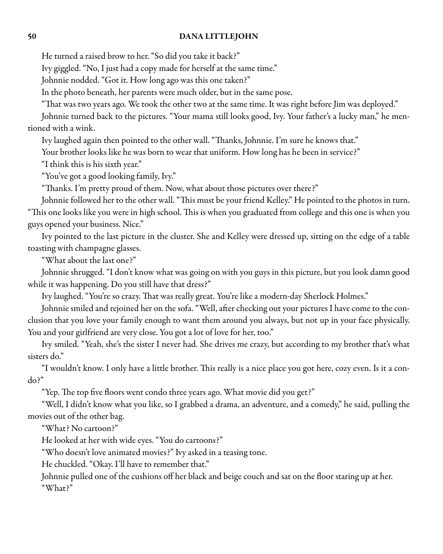He turned a raised brow to her. "So did you take it back?"

Ivy giggled. "No, I just had a copy made for herself at the same time."

Johnnie nodded. "Got it. How long ago was this one taken?"

In the photo beneath, her parents were much older, but in the same pose.

"That was two years ago. We took the other two at the same time. It was right before Jim was deployed."

Johnnie turned back to the pictures. "Your mama still looks good, Ivy. Your father's a lucky man," he mentioned with a wink.

Ivy laughed again then pointed to the other wall. "Thanks, Johnnie. I'm sure he knows that."

Your brother looks like he was born to wear that uniform. How long has he been in service?"

"I think this is his sixth year."

"You've got a good looking family, Ivy."

"Thanks. I'm pretty proud of them. Now, what about those pictures over there?"

Johnnie followed her to the other wall. "This must be your friend Kelley." He pointed to the photos in turn. "This one looks like you were in high school. This is when you graduated from college and this one is when you guys opened your business. Nice."

Ivy pointed to the last picture in the cluster. She and Kelley were dressed up, sitting on the edge of a table toasting with champagne glasses.

"What about the last one?"

Johnnie shrugged. "I don't know what was going on with you guys in this picture, but you look damn good while it was happening. Do you still have that dress?"

Ivy laughed. "You're so crazy. That was really great. You're like a modern-day Sherlock Holmes."

Johnnie smiled and rejoined her on the sofa. "Well, after checking out your pictures I have come to the conclusion that you love your family enough to want them around you always, but not up in your face physically. You and your girlfriend are very close. You got a lot of love for her, too."

Ivy smiled. "Yeah, she's the sister I never had. She drives me crazy, but according to my brother that's what sisters do."

"I wouldn't know. I only have a little brother. This really is a nice place you got here, cozy even. Is it a condo?"

"Yep. The top five floors went condo three years ago. What movie did you get?"

"Well, I didn't know what you like, so I grabbed a drama, an adventure, and a comedy," he said, pulling the movies out of the other bag.

"What? No cartoon?"

He looked at her with wide eyes. "You do cartoons?"

"Who doesn't love animated movies?" Ivy asked in a teasing tone.

He chuckled. "Okay. I'll have to remember that."

Johnnie pulled one of the cushions off her black and beige couch and sat on the floor staring up at her. "What?"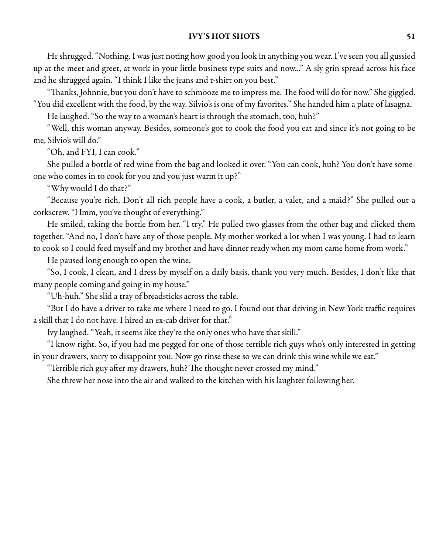He shrugged. "Nothing. I was just noting how good you look in anything you wear. I've seen you all gussied up at the meet and greet, at work in your little business type suits and now..." A sly grin spread across his face and he shrugged again. "I think I like the jeans and t-shirt on you best."

"Thanks, Johnnie, but you don't have to schmooze me to impress me. The food will do for now." She giggled. "You did excellent with the food, by the way. Silvio's is one of my favorites." She handed him a plate of lasagna.

He laughed. "So the way to a woman's heart is through the stomach, too, huh?"

"Well, this woman anyway. Besides, someone's got to cook the food you eat and since it's not going to be me, Silvio's will do."

"Oh, and FYI, I can cook."

She pulled a bottle of red wine from the bag and looked it over. "You can cook, huh? You don't have someone who comes in to cook for you and you just warm it up?"

"Why would I do that?"

"Because you're rich. Don't all rich people have a cook, a butler, a valet, and a maid?" She pulled out a corkscrew. "Hmm, you've thought of everything."

He smiled, taking the bottle from her. "I try." He pulled two glasses from the other bag and clicked them together. "And no, I don't have any of those people. My mother worked a lot when I was young. I had to learn to cook so I could feed myself and my brother and have dinner ready when my mom came home from work."

He paused long enough to open the wine.

"So, I cook, I clean, and I dress by myself on a daily basis, thank you very much. Besides, I don't like that many people coming and going in my house."

"Uh-huh." She slid a tray of breadsticks across the table.

"But I do have a driver to take me where I need to go. I found out that driving in New York traffic requires a skill that I do not have. I hired an ex-cab driver for that."

Ivy laughed. "Yeah, it seems like they're the only ones who have that skill."

"I know right. So, if you had me pegged for one of those terrible rich guys who's only interested in getting in your drawers, sorry to disappoint you. Now go rinse these so we can drink this wine while we eat."

"Terrible rich guy after my drawers, huh? The thought never crossed my mind."

She threw her nose into the air and walked to the kitchen with his laughter following her.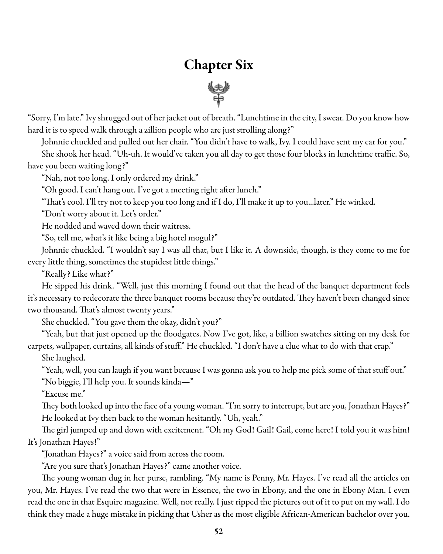# Chapter Six



"Sorry, I'm late." Ivy shrugged out of her jacket out of breath. "Lunchtime in the city, I swear. Do you know how hard it is to speed walk through a zillion people who are just strolling along?"

Johnnie chuckled and pulled out her chair. "You didn't have to walk, Ivy. I could have sent my car for you."

She shook her head. "Uh-uh. It would've taken you all day to get those four blocks in lunchtime traffic. So, have you been waiting long?"

"Nah, not too long. I only ordered my drink."

"Oh good. I can't hang out. I've got a meeting right after lunch."

"That's cool. I'll try not to keep you too long and if I do, I'll make it up to you...later." He winked.

"Don't worry about it. Let's order."

He nodded and waved down their waitress.

"So, tell me, what's it like being a big hotel mogul?"

Johnnie chuckled. "I wouldn't say I was all that, but I like it. A downside, though, is they come to me for every little thing, sometimes the stupidest little things."

"Really? Like what?"

He sipped his drink. "Well, just this morning I found out that the head of the banquet department feels it's necessary to redecorate the three banquet rooms because they're outdated. They haven't been changed since two thousand. That's almost twenty years."

She chuckled. "You gave them the okay, didn't you?"

"Yeah, but that just opened up the floodgates. Now I've got, like, a billion swatches sitting on my desk for carpets, wallpaper, curtains, all kinds of stuff." He chuckled. "I don't have a clue what to do with that crap."

She laughed.

"Yeah, well, you can laugh if you want because I was gonna ask you to help me pick some of that stuff out." "No biggie, I'll help you. It sounds kinda—"

"Excuse me."

They both looked up into the face of a young woman. "I'm sorry to interrupt, but are you, Jonathan Hayes?" He looked at Ivy then back to the woman hesitantly. "Uh, yeah."

The girl jumped up and down with excitement. "Oh my God! Gail! Gail, come here! I told you it was him! It's Jonathan Hayes!"

"Jonathan Hayes?" a voice said from across the room.

"Are you sure that's Jonathan Hayes?" came another voice.

The young woman dug in her purse, rambling. "My name is Penny, Mr. Hayes. I've read all the articles on you, Mr. Hayes. I've read the two that were in Essence, the two in Ebony, and the one in Ebony Man. I even read the one in that Esquire magazine. Well, not really. I just ripped the pictures out of it to put on my wall. I do think they made a huge mistake in picking that Usher as the most eligible African-American bachelor over you.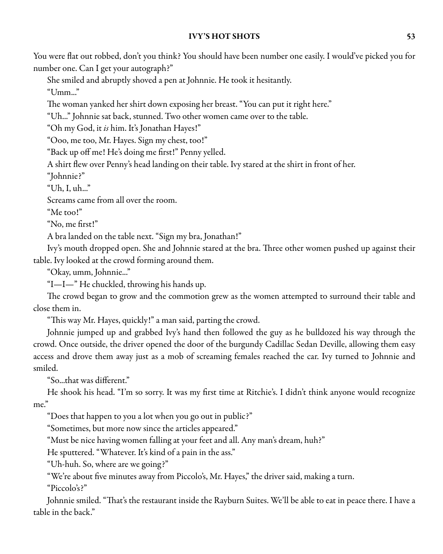You were flat out robbed, don't you think? You should have been number one easily. I would've picked you for number one. Can I get your autograph?"

She smiled and abruptly shoved a pen at Johnnie. He took it hesitantly.

"Umm..."

The woman yanked her shirt down exposing her breast. "You can put it right here."

"Uh..." Johnnie sat back, stunned. Two other women came over to the table.

"Oh my God, it is him. It's Jonathan Hayes!"

"Ooo, me too, Mr. Hayes. Sign my chest, too!"

"Back up off me! He's doing me first!" Penny yelled.

A shirt flew over Penny's head landing on their table. Ivy stared at the shirt in front of her.

"Johnnie?"

"Uh, I, uh..."

Screams came from all over the room.

"Me too!"

"No, me first!"

A bra landed on the table next. "Sign my bra, Jonathan!"

Ivy's mouth dropped open. She and Johnnie stared at the bra. Three other women pushed up against their table. Ivy looked at the crowd forming around them.

"Okay, umm, Johnnie..."

"I—I—" He chuckled, throwing his hands up.

The crowd began to grow and the commotion grew as the women attempted to surround their table and close them in.

"This way Mr. Hayes, quickly!" a man said, parting the crowd.

Johnnie jumped up and grabbed Ivy's hand then followed the guy as he bulldozed his way through the crowd. Once outside, the driver opened the door of the burgundy Cadillac Sedan Deville, allowing them easy access and drove them away just as a mob of screaming females reached the car. Ivy turned to Johnnie and smiled.

"So...that was different."

He shook his head. "I'm so sorry. It was my first time at Ritchie's. I didn't think anyone would recognize me."

"Does that happen to you a lot when you go out in public?"

"Sometimes, but more now since the articles appeared."

"Must be nice having women falling at your feet and all. Any man's dream, huh?"

He sputtered. "Whatever. It's kind of a pain in the ass."

"Uh-huh. So, where are we going?"

"We're about five minutes away from Piccolo's, Mr. Hayes," the driver said, making a turn.

"Piccolo's?"

Johnnie smiled. "That's the restaurant inside the Rayburn Suites. We'll be able to eat in peace there. I have a table in the back."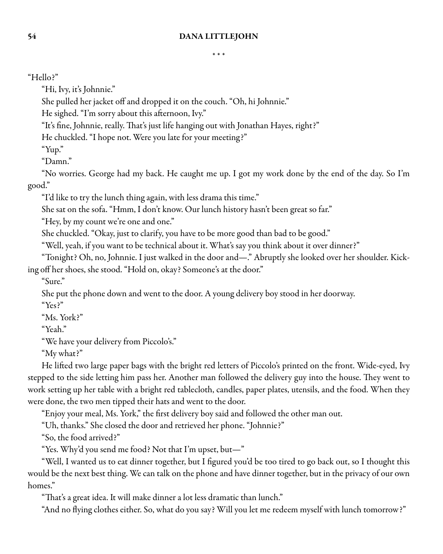#### \* \* \*

"Hello?"

"Hi, Ivy, it's Johnnie."

She pulled her jacket off and dropped it on the couch. "Oh, hi Johnnie."

He sighed. "I'm sorry about this afternoon, Ivy."

"It's fine, Johnnie, really. That's just life hanging out with Jonathan Hayes, right?"

He chuckled. "I hope not. Were you late for your meeting?"

"Yup."

"Damn."

"No worries. George had my back. He caught me up. I got my work done by the end of the day. So I'm good."

"I'd like to try the lunch thing again, with less drama this time."

She sat on the sofa. "Hmm, I don't know. Our lunch history hasn't been great so far."

"Hey, by my count we're one and one."

She chuckled. "Okay, just to clarify, you have to be more good than bad to be good."

"Well, yeah, if you want to be technical about it. What's say you think about it over dinner?"

"Tonight? Oh, no, Johnnie. I just walked in the door and—." Abruptly she looked over her shoulder. Kicking off her shoes, she stood. "Hold on, okay? Someone's at the door."

"Sure."

She put the phone down and went to the door. A young delivery boy stood in her doorway.

 $"Y_{ex}$ 

"Ms. York?"

"Yeah."

"We have your delivery from Piccolo's."

"My what?"

He lifted two large paper bags with the bright red letters of Piccolo's printed on the front. Wide-eyed, Ivy stepped to the side letting him pass her. Another man followed the delivery guy into the house. They went to work setting up her table with a bright red tablecloth, candles, paper plates, utensils, and the food. When they were done, the two men tipped their hats and went to the door.

"Enjoy your meal, Ms. York," the first delivery boy said and followed the other man out.

"Uh, thanks." She closed the door and retrieved her phone. "Johnnie?"

"So, the food arrived?"

"Yes. Why'd you send me food? Not that I'm upset, but—"

"Well, I wanted us to eat dinner together, but I figured you'd be too tired to go back out, so I thought this would be the next best thing. We can talk on the phone and have dinner together, but in the privacy of our own homes."

"That's a great idea. It will make dinner a lot less dramatic than lunch."

"And no flying clothes either. So, what do you say? Will you let me redeem myself with lunch tomorrow?"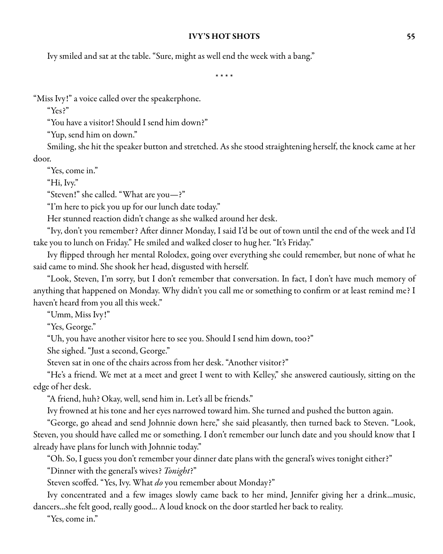Ivy smiled and sat at the table. "Sure, might as well end the week with a bang."

\* \* \* \*

"Miss Ivy!" a voice called over the speakerphone.

"Yes?"

"You have a visitor! Should I send him down?"

"Yup, send him on down."

Smiling, she hit the speaker button and stretched. As she stood straightening herself, the knock came at her door.

"Yes, come in."

"Hi, Ivy."

"Steven!" she called. "What are you—?"

"I'm here to pick you up for our lunch date today."

Her stunned reaction didn't change as she walked around her desk.

"Ivy, don't you remember? After dinner Monday, I said I'd be out of town until the end of the week and I'd take you to lunch on Friday." He smiled and walked closer to hug her. "It's Friday."

Ivy flipped through her mental Rolodex, going over everything she could remember, but none of what he said came to mind. She shook her head, disgusted with herself.

"Look, Steven, I'm sorry, but I don't remember that conversation. In fact, I don't have much memory of anything that happened on Monday. Why didn't you call me or something to confirm or at least remind me? I haven't heard from you all this week."

"Umm, Miss Ivy!"

"Yes, George."

"Uh, you have another visitor here to see you. Should I send him down, too?"

She sighed. "Just a second, George."

Steven sat in one of the chairs across from her desk. "Another visitor?"

"He's a friend. We met at a meet and greet I went to with Kelley," she answered cautiously, sitting on the edge of her desk.

"A friend, huh? Okay, well, send him in. Let's all be friends."

Ivy frowned at his tone and her eyes narrowed toward him. She turned and pushed the button again.

"George, go ahead and send Johnnie down here," she said pleasantly, then turned back to Steven. "Look, Steven, you should have called me or something. I don't remember our lunch date and you should know that I already have plans for lunch with Johnnie today."

"Oh. So, I guess you don't remember your dinner date plans with the general's wives tonight either?"

"Dinner with the general's wives? *Tonight*?"

Steven scoffed. "Yes, Ivy. What do you remember about Monday?"

Ivy concentrated and a few images slowly came back to her mind, Jennifer giving her a drink...music, dancers...she felt good, really good... A loud knock on the door startled her back to reality.

"Yes, come in."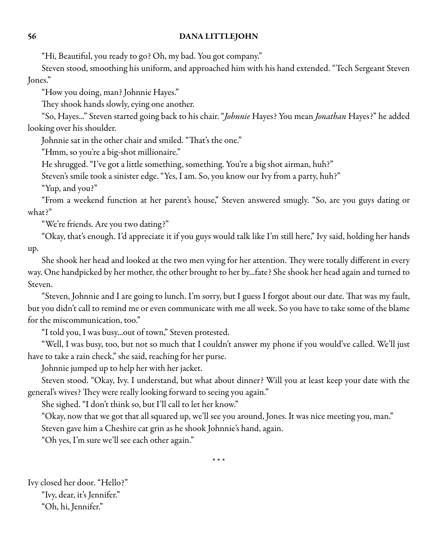"Hi, Beautiful, you ready to go? Oh, my bad. You got company."

Steven stood, smoothing his uniform, and approached him with his hand extended. "Tech Sergeant Steven Jones."

"How you doing, man? Johnnie Hayes."

They shook hands slowly, eying one another.

"So, Hayes..." Steven started going back to his chair. "*Johnnie* Hayes? You mean *Jonathan* Hayes?" he added looking over his shoulder.

Johnnie sat in the other chair and smiled. "That's the one."

"Hmm, so you're a big-shot millionaire."

He shrugged. "I've got a little something, something. You're a big shot airman, huh?"

Steven's smile took a sinister edge. "Yes, I am. So, you know our Ivy from a party, huh?"

"Yup, and you?"

"From a weekend function at her parent's house," Steven answered smugly. "So, are you guys dating or what?"

"We're friends. Are you two dating?"

"Okay, that's enough. I'd appreciate it if you guys would talk like I'm still here," Ivy said, holding her hands up.

She shook her head and looked at the two men vying for her attention. They were totally different in every way. One handpicked by her mother, the other brought to her by...fate? Sheshook her head again and turned to Steven.

"Steven, Johnnie and I are going to lunch. I'm sorry, but I guess I forgot about our date. That was my fault, but you didn't call to remind me or even communicate with me all week. So you have to take some of the blame for the miscommunication, too."

"I told you, I was busy...out of town," Steven protested.

"Well, I was busy, too, but not so much that I couldn't answer my phone if you would've called. We'll just have to take a rain check," she said, reaching for her purse.

Johnnie jumped up to help her with her jacket.

Steven stood. "Okay, Ivy. I understand, but what about dinner? Will you at least keep your date with the general's wives? They were really looking forward to seeing you again."

She sighed. "I don't think so, but I'll call to let her know."

"Okay, now that we got that all squared up, we'll see you around, Jones. It was nice meeting you, man."

Steven gave him a Cheshire cat grin as he shook Johnnie's hand, again.

"Oh yes, I'm sure we'll see each other again."

\* \* \*

Ivy closed her door. "Hello?" "Ivy, dear, it's Jennifer." "Oh, hi, Jennifer."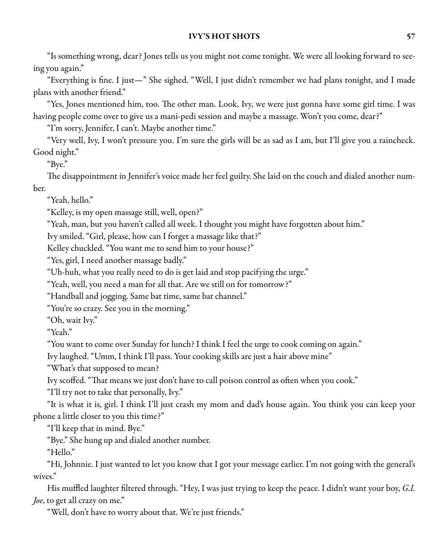"Is something wrong, dear? Jones tells us you might not come tonight. We were all looking forward to seeing you again."

"Everything is fine. I just—" She sighed. "Well, I just didn't remember we had plans tonight, and I made plans with another friend."

"Yes, Jones mentioned him, too. The other man. Look, Ivy, we were just gonna have some girl time. I was having people come over to give us a mani-pedi session and maybe a massage. Won't you come, dear?"

"I'm sorry, Jennifer, I can't. Maybe another time."

"Very well, Ivy, I won't pressure you. I'm sure the girls will be as sad as I am, but I'll give you a raincheck. Good night."

"Bye."

The disappointment in Jennifer's voice made her feel guilty. She laid on the couch and dialed another number.

"Yeah, hello."

"Kelley, is my open massage still, well, open?"

"Yeah, man, but you haven't called all week. I thought you might have forgotten about him."

Ivy smiled. "Girl, please, how can I forget a massage like that?"

Kelley chuckled. "You want me to send him to your house?"

"Yes, girl, I need another massage badly."

"Uh-huh, what you really need to do is get laid and stop pacifying the urge."

"Yeah, well, you need a man for all that. Are we still on for tomorrow?"

"Handball and jogging. Same bat time, same bat channel."

"You're so crazy. See you in the morning."

"Oh, wait Ivy."

"Yeah."

"You want to come over Sunday for lunch? I think I feel the urge to cook coming on again."

Ivy laughed. "Umm, I think I'll pass. Your cooking skills are just a hair above mine"

"What's that supposed to mean?

Ivy scoffed. "That means we just don't have to call poison control as often when you cook."

"I'll try not to take that personally, Ivy."

"It is what it is, girl. I think I'll just crash my mom and dad's house again. You think you can keep your phone a little closer to you this time?"

"I'll keep that in mind. Bye."

"Bye." She hung up and dialed another number.

"Hello."

"Hi, Johnnie. I just wanted to let you know that I got your message earlier. I'm not going with the general's wives."

His muffled laughter filtered through. "Hey, I was just trying to keep the peace. I didn't want your boy, G.I. Joe, to get all crazy on me."

"Well, don't have to worry about that. We're just friends."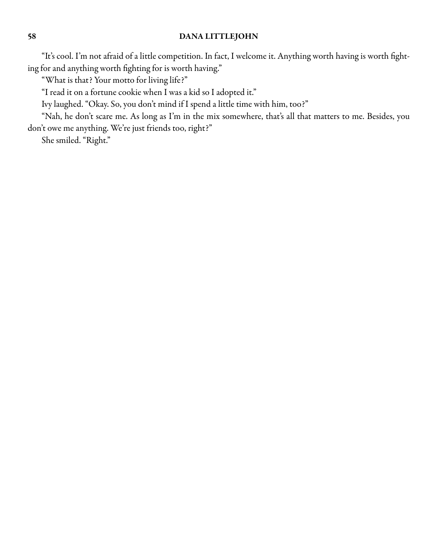"It's cool. I'm not afraid of a little competition. In fact, I welcome it. Anything worth having is worth fighting for and anything worth fighting for is worth having."

"What is that? Your motto for living life?"

"I read it on a fortune cookie when I was a kid so I adopted it."

Ivy laughed. "Okay. So, you don't mind if I spend a little time with him, too?"

"Nah, he don't scare me. As long as I'm in the mix somewhere, that's all that matters to me. Besides, you don't owe me anything. We're just friends too, right?"

She smiled. "Right."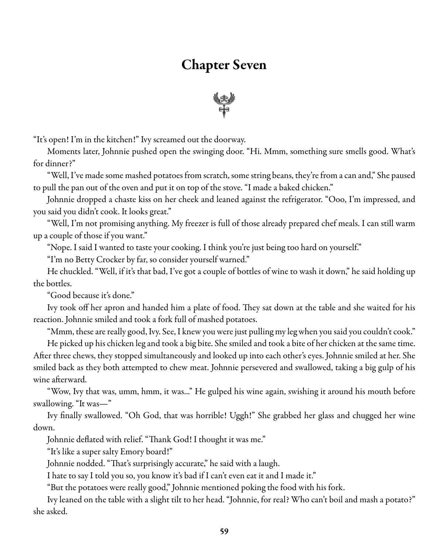# Chapter Seven



"It's open! I'm in the kitchen!" Ivy screamed out the doorway.

Moments later, Johnnie pushed open the swinging door. "Hi. Mmm, something sure smells good. What's for dinner?"

"Well, I've made some mashed potatoes from scratch, some string beans, they're from a can and," She paused to pull the pan out of the oven and put it on top of the stove. "I made a baked chicken."

Johnnie dropped a chaste kiss on her cheek and leaned against the refrigerator. "Ooo, I'm impressed, and you said you didn't cook. It looks great."

"Well, I'm not promising anything. My freezer is full of those already prepared chef meals. I can still warm up a couple of those if you want."

"Nope. I said I wanted to taste your cooking. I think you're just being too hard on yourself."

"I'm no Betty Crocker by far, so consider yourself warned."

He chuckled. "Well, if it's that bad, I've got a couple of bottles of wine to wash it down," he said holding up the bottles.

"Good because it's done."

Ivy took off her apron and handed him a plate of food. They sat down at the table and she waited for his reaction. Johnnie smiled and took a fork full of mashed potatoes.

"Mmm, these are really good, Ivy. See, I knew you were just pulling my leg when you said you couldn't cook."

He picked up his chicken leg and took a big bite. She smiled and took a bite of her chicken at the same time. After three chews, they stopped simultaneously and looked up into each other's eyes. Johnnie smiled at her. She smiled back as they both attempted to chew meat. Johnnie persevered and swallowed, taking a big gulp of his wine afterward.

"Wow, Ivy that was, umm, hmm, it was..." He gulped his wine again, swishing it around his mouth before swallowing. "It was—"

Ivy finally swallowed. "Oh God, that was horrible! Uggh!" She grabbed her glass and chugged her wine down.

Johnnie deflated with relief. "Thank God! I thought it was me."

"It's like a super salty Emory board!"

Johnnie nodded. "That's surprisingly accurate," he said with a laugh.

I hate to say I told you so, you know it's bad if I can't even eat it and I made it."

"But the potatoes were really good," Johnnie mentioned poking the food with his fork.

Ivy leaned on the table with a slight tilt to her head. "Johnnie, for real? Who can't boil and mash a potato?" she asked.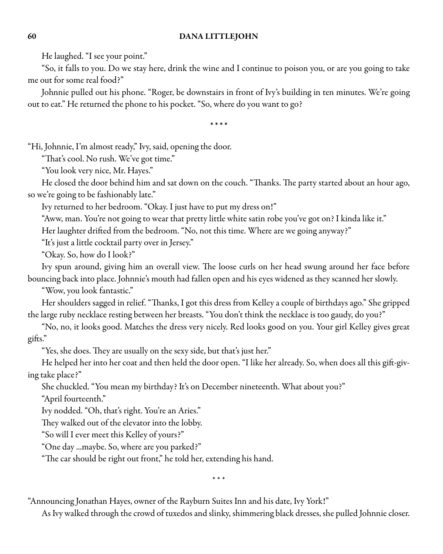He laughed. "I see your point."

"So, it falls to you. Do we stay here, drink the wine and I continue to poison you, or are you going to take me out for some real food?"

Johnnie pulled out his phone. "Roger, be downstairs in front of Ivy's building in ten minutes. We're going out to eat." He returned the phone to his pocket. "So, where do you want to go?

\* \* \* \*

"Hi, Johnnie, I'm almost ready," Ivy, said, opening the door.

"That's cool. No rush. We've got time."

"You look very nice, Mr. Hayes."

He closed the door behind him and sat down on the couch. "Thanks. The party started about an hour ago, so we're going to be fashionably late."

Ivy returned to her bedroom. "Okay. I just have to put my dress on!"

"Aww, man. You're not going to wear that pretty little white satin robe you've got on? I kinda like it."

Her laughter drifted from the bedroom. "No, not this time. Where are we going anyway?"

"It's just a little cocktail party over in Jersey."

"Okay. So, how do I look?"

Ivy spun around, giving him an overall view. The loose curls on her head swung around her face before bouncing back into place. Johnnie's mouth had fallen open and his eyes widened as they scanned her slowly.

"Wow, you look fantastic."

Her shoulders sagged in relief. "Thanks, I got this dress from Kelley a couple of birthdays ago." She gripped the large ruby necklace resting between her breasts. "You don't think the necklace is too gaudy, do you?"

"No, no, it looks good. Matches the dress very nicely. Red looks good on you. Your girl Kelley gives great gifts."

"Yes, she does. They are usually on the sexy side, but that's just her."

He helped her into her coat and then held the door open. "I like her already. So, when does all this gift-giving take place?"

She chuckled. "You mean my birthday? It's on December nineteenth. What about you?"

"April fourteenth."

Ivy nodded. "Oh, that's right. You're an Aries."

They walked out of the elevator into the lobby.

"So will I ever meet this Kelley of yours?"

"One day ...maybe. So, where are you parked?"

"The car should be right out front," he told her, extending his hand.

\* \* \*

"Announcing Jonathan Hayes, owner of the Rayburn Suites Inn and his date, Ivy York!"

As Ivy walked through thecrowd of tuxedosand slinky, shimmering black dresses, shepulled Johnniecloser.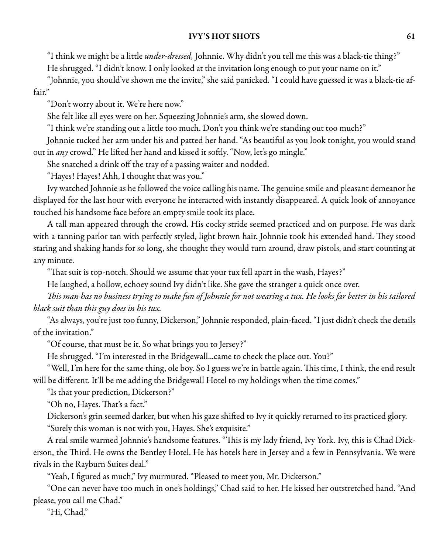"I think we might be a little *under-dressed*, Johnnie. Why didn't you tell me this was a black-tie thing?"

He shrugged. "I didn't know. I only looked at the invitation long enough to put your name on it."

"Johnnie, you should've shown me the invite," she said panicked. "I could have guessed it was a black-tie affair."

"Don't worry about it. We're here now."

She felt like all eyes were on her. Squeezing Johnnie's arm, she slowed down.

"I think we're standing out a little too much. Don't you think we're standing out too much?"

Johnnie tucked her arm under his and patted her hand. "As beautiful as you look tonight, you would stand out in any crowd." He lifted her hand and kissed it softly. "Now, let's go mingle."

She snatched a drink off the tray of a passing waiter and nodded.

"Hayes! Hayes! Ahh, I thought that was you."

Ivy watched Johnnie as he followed the voice calling his name. The genuine smile and pleasant demeanor he displayed for the last hour with everyone he interacted with instantly disappeared. A quick look of annoyance touched his handsome face before an empty smile took its place.

A tall man appeared through the crowd. His cocky stride seemed practiced and on purpose. He was dark with a tanning parlor tan with perfectly styled, light brown hair. Johnnie took his extended hand. They stood staring and shaking hands for so long, she thought they would turn around, draw pistols, and start counting at any minute.

"That suit is top-notch. Should we assume that your tux fell apart in the wash, Hayes?"

He laughed, a hollow, echoey sound Ivy didn't like. She gave the stranger a quick once over.

This man has no business trying to make fun of Johnnie for not wearing a tux. He looks far better in his tailored black suit than this guy does in his tux.

"As always, you're just too funny, Dickerson," Johnnie responded, plain-faced. "I just didn't check the details of the invitation."

"Of course, that must be it. So what brings you to Jersey?"

He shrugged. "I'm interested in the Bridgewall...came to check the place out. You?"

"Well, I'm here for the same thing, ole boy. So I guess we're in battle again. This time, I think, the end result will be different. It'll be me adding the Bridgewall Hotel to my holdings when the time comes."

"Is that your prediction, Dickerson?"

"Oh no, Hayes. That's a fact."

Dickerson's grin seemed darker, but when his gaze shifted to Ivy it quickly returned to its practiced glory.

"Surely this woman is not with you, Hayes. She's exquisite."

A real smile warmed Johnnie's handsome features. "This is my lady friend, Ivy York. Ivy, this is Chad Dickerson, the Third. He owns the Bentley Hotel. He has hotels here in Jersey and a few in Pennsylvania. We were rivals in the Rayburn Suites deal."

"Yeah, I figured as much," Ivy murmured. "Pleased to meet you, Mr. Dickerson."

"One can never have too much in one's holdings," Chad said to her. He kissed her outstretched hand. "And please, you call me Chad."

"Hi, Chad."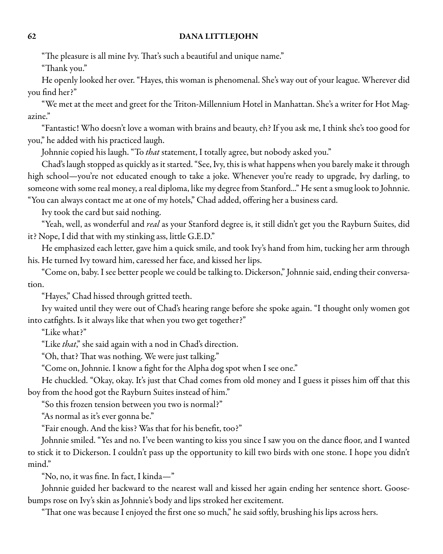"The pleasure is all mine Ivy. That's such a beautiful and unique name."

"Thank you."

He openly looked her over. "Hayes, this woman is phenomenal. She's way out of your league. Wherever did you find her?"

"We met at the meet and greet for the Triton-Millennium Hotel in Manhattan. She's a writer for Hot Magazine."

"Fantastic! Who doesn't love a woman with brains and beauty, eh? If you ask me, I think she's too good for you," he added with his practiced laugh.

Johnnie copied his laugh. "To that statement, I totally agree, but nobody asked you."

Chad's laugh stopped as quickly as it started. "See, Ivy, this is what happens when you barely make it through high school—you're not educated enough to take a joke. Whenever you're ready to upgrade, Ivy darling, to someone with some real money, a real diploma, like my degree from Stanford..." He sent a smug look to Johnnie. "You can always contact me at one of my hotels," Chad added, offering her a business card.

Ivy took the card but said nothing.

"Yeah, well, as wonderful and *real* as your Stanford degree is, it still didn't get you the Rayburn Suites, did it? Nope, I did that with my stinking ass, little G.E.D."

He emphasized each letter, gave him a quick smile, and took Ivy's hand from him, tucking her arm through his. He turned Ivy toward him, caressed her face, and kissed her lips.

"Come on, baby. I see better people we could be talking to. Dickerson," Johnnie said, ending their conversation.

"Hayes," Chad hissed through gritted teeth.

Ivy waited until they were out of Chad's hearing range before she spoke again. "I thought only women got into catfights. Is it always like that when you two get together?"

"Like what?"

"Like that," she said again with a nod in Chad's direction.

"Oh, that? That was nothing. We were just talking."

"Come on, Johnnie. I know a fight for the Alpha dog spot when I see one."

He chuckled. "Okay, okay. It's just that Chad comes from old money and I guess it pisses him off that this boy from the hood got the Rayburn Suites instead of him."

"So this frozen tension between you two is normal?"

"As normal as it's ever gonna be."

"Fair enough. And the kiss? Was that for his benefit, too?"

Johnnie smiled. "Yes and no. I've been wanting to kiss you since I saw you on the dance floor, and I wanted to stick it to Dickerson. I couldn't pass up the opportunity to kill two birds with one stone. I hope you didn't mind."

"No, no, it was fine. In fact, I kinda—"

Johnnie guided her backward to the nearest wall and kissed her again ending her sentence short. Goosebumps rose on Ivy's skin as Johnnie's body and lips stroked her excitement.

"That one was because I enjoyed the first one so much," he said softly, brushing his lips across hers.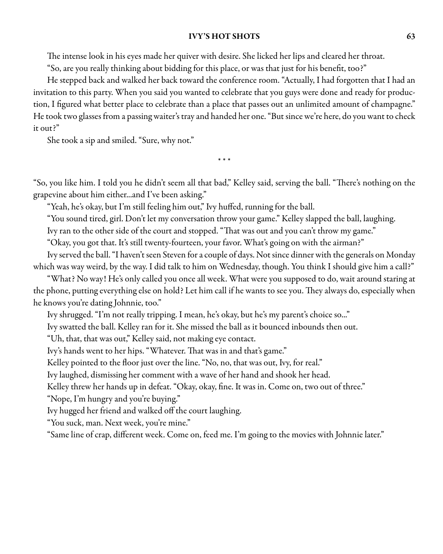The intense look in his eyes made her quiver with desire. She licked her lips and cleared her throat.

"So, are you really thinking about bidding for this place, or was that just for his benefit, too?"

He stepped back and walked her back toward the conference room. "Actually, I had forgotten that I had an invitation to this party. When you said you wanted to celebrate that you guys were done and ready for production, I figured what better place to celebrate than a place that passes out an unlimited amount of champagne." He took two glasses from a passing waiter's tray and handed her one. "But since we're here, do you want to check it out?"

She took a sip and smiled. "Sure, why not."

\* \* \*

"So, you like him. I told you he didn't seem all that bad," Kelley said, serving the ball. "There's nothing on the grapevine about him either...and I've been asking."

"Yeah, he's okay, but I'm still feeling him out," Ivy huffed, running for the ball.

"You sound tired, girl. Don't let my conversation throw your game." Kelley slapped the ball, laughing.

Ivy ran to the other side of the court and stopped. "That was out and you can't throw my game."

"Okay, you got that. It's still twenty-fourteen, your favor. What's going on with the airman?"

Ivy served the ball. "I haven't seen Steven for a couple of days. Not since dinner with the generals on Monday which was way weird, by the way. I did talk to him on Wednesday, though. You think I should give him a call?"

"What? No way! He's only called you once all week. What were you supposed to do, wait around staring at the phone, putting everything else on hold? Let him call if he wants to see you. They always do, especially when he knows you're dating Johnnie, too."

Ivy shrugged. "I'm not really tripping. I mean, he's okay, but he's my parent's choice so..."

Ivy swatted the ball. Kelley ran for it. She missed the ball as it bounced inbounds then out.

"Uh, that, that was out," Kelley said, not making eye contact.

Ivy's hands went to her hips. "Whatever. That was in and that's game."

Kelley pointed to the floor just over the line. "No, no, that was out, Ivy, for real."

Ivy laughed, dismissing her comment with a wave of her hand and shook her head.

Kelley threw her hands up in defeat. "Okay, okay, fine. It was in. Come on, two out of three."

"Nope, I'm hungry and you're buying."

Ivy hugged her friend and walked off the court laughing.

"You suck, man. Next week, you're mine."

"Same line of crap, different week. Come on, feed me. I'm going to the movies with Johnnie later."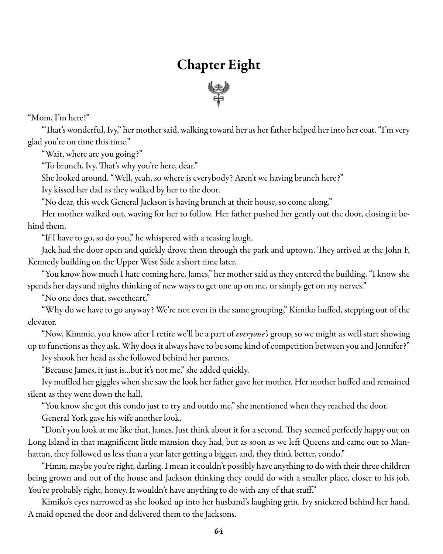# Chapter Eight



"Mom, I'm here!"

"That's wonderful, Ivy," her mother said, walking toward her as her father helped her into her coat. "I'm very glad you're on time this time."

"Wait, where are you going?"

"To brunch, Ivy. That's why you're here, dear."

She looked around. "Well, yeah, so where is everybody? Aren't we having brunch here?"

Ivy kissed her dad as they walked by her to the door.

"No dear, this week General Jackson is having brunch at their house, so come along."

Her mother walked out, waving for her to follow. Her father pushed her gently out the door, closing it behind them.

"If I have to go, so do you," he whispered with a teasing laugh.

Jack had the door open and quickly drove them through the park and uptown. They arrived at the John F. Kennedy building on the Upper West Side a short time later.

"You know how much I hatecoming here, James," her mother said as they entered the building. "I know she spends her days and nights thinking of new ways to get one up on me, or simply get on my nerves."

"No one does that, sweetheart."

"Why do we have to go anyway? We're not even in the same grouping," Kimiko huffed, stepping out of the elevator.

"Now, Kimmie, you know after I retire we'll be a part of *everyone's* group, so we might as well start showing up to functions as they ask. Why does it always have to be some kind of competition between you and Jennifer?"

Ivy shook her head as she followed behind her parents.

"Because James, it just is...but it's not me," she added quickly.

Ivy muffled her giggles when shesaw thelook her father gave her mother. Her mother huffed and remained silent as they went down the hall.

"You know she got this condo just to try and outdo me," she mentioned when they reached the door.

General York gave his wife another look.

"Don't you look at melikethat, James. Just think about it forasecond. They seemed perfectly happy out on Long Island in that magnificent little mansion they had, but as soon as we left Queens and came out to Manhattan, they followed us less than a year later getting a bigger, and, they think better, condo."

"Hmm, maybe you're right, darling. I mean it couldn't possibly have anything to do with their three children being grown and out of the house and Jackson thinking they could do with a smaller place, closer to his job. You're probably right, honey. It wouldn't have anything to do with any of that stuff."

Kimiko's eyes narrowed as she looked up into her husband's laughing grin. Ivy snickered behind her hand. A maid opened the door and delivered them to the Jacksons.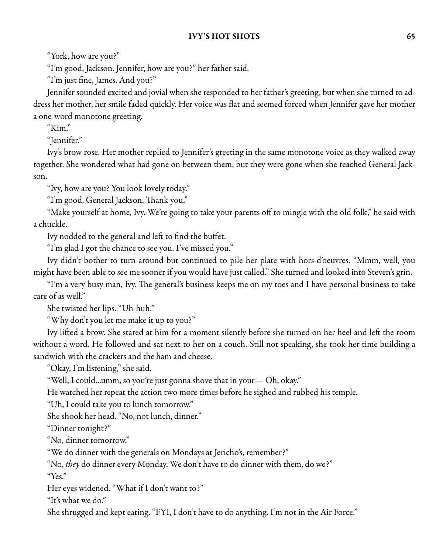"York, how are you?"

"I'm good, Jackson. Jennifer, how are you?" her father said.

"I'm just fine, James. And you?"

Jennifer sounded excited and jovial when she responded to her father's greeting, but when she turned to address her mother, her smile faded quickly. Her voice was flat and seemed forced when Jennifer gave her mother a one-word monotone greeting.

"Kim."

"Jennifer."

Ivy's brow rose. Her mother replied to Jennifer's greeting in the same monotone voice as they walked away together. She wondered what had gone on between them, but they were gone when she reached General Jackson.

"Ivy, how are you? You look lovely today."

"I'm good, General Jackson. Thank you."

"Make yourself at home, Ivy. We're going to take your parents off to mingle with the old folk," he said with a chuckle.

Ivy nodded to the general and left to find the buffet.

"I'm glad I got the chance to see you. I've missed you."

Ivy didn't bother to turn around but continued to pile her plate with hors-d'oeuvres. "Mmm, well, you might have been able to see me sooner if you would have just called." She turned and looked into Steven's grin.

"I'm a very busy man, Ivy. The general's business keeps me on my toes and I have personal business to take care of as well."

She twisted her lips. "Uh-huh."

"Why don't you let me make it up to you?"

Ivy lifted a brow. She stared at him for a moment silently before she turned on her heel and left the room without a word. He followed and sat next to her on a couch. Still not speaking, she took her time building a sandwich with the crackers and the ham and cheese.

"Okay, I'm listening," she said.

"Well, I could...umm, so you're just gonna shove that in your— Oh, okay."

He watched her repeat the action two more times before he sighed and rubbed his temple.

"Uh, I could take you to lunch tomorrow."

She shook her head. "No, not lunch, dinner."

"Dinner tonight?"

"No, dinner tomorrow."

"We do dinner with the generals on Mondays at Jericho's, remember?"

"No, they do dinner every Monday. We don't have to do dinner with them, do we?"

"Yes."

Her eyes widened. "What if I don't want to?"

"It's what we do."

She shrugged and kept eating. "FYI, I don't have to do anything. I'm not in the Air Force."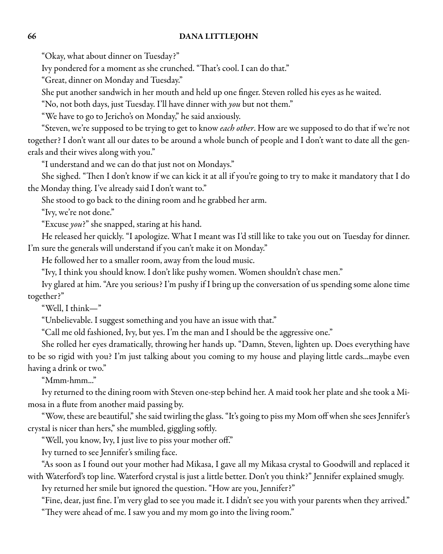"Okay, what about dinner on Tuesday?"

Ivy pondered for a moment as she crunched. "That's cool. I can do that."

"Great, dinner on Monday and Tuesday."

She put another sandwich in her mouth and held up one finger. Steven rolled his eyes as he waited.

"No, not both days, just Tuesday. I'll have dinner with you but not them."

"We have to go to Jericho's on Monday," he said anxiously.

"Steven, we're supposed to be trying to get to know each other. How are we supposed to do that if we're not together? I don't want all our dates to be around a whole bunch of people and I don't want to date all the generals and their wives along with you."

"I understand and we can do that just not on Mondays."

She sighed. "Then I don't know if we can kick it at all if you're going to try to make it mandatory that I do the Monday thing. I've already said I don't want to."

She stood to go back to the dining room and he grabbed her arm.

"Ivy, we're not done."

"Excuse you?" she snapped, staring at his hand.

He released her quickly. "I apologize. What I meant was I'd still like to take you out on Tuesday for dinner. I'm sure the generals will understand if you can't make it on Monday."

He followed her to a smaller room, away from the loud music.

"Ivy, I think you should know. I don't like pushy women. Women shouldn't chase men."

Ivy glared at him. "Are you serious? I'm pushy if I bring up the conversation of us spending some alone time together?"

"Well, I think—"

"Unbelievable. I suggest something and you have an issue with that."

"Call me old fashioned, Ivy, but yes. I'm the man and I should be the aggressive one."

She rolled her eyes dramatically, throwing her hands up. "Damn, Steven, lighten up. Does everything have to be so rigid with you? I'm just talking about you coming to my house and playing little cards...maybe even having a drink or two."

"Mmm-hmm..."

Ivy returned to the dining room with Steven one-step behind her. A maid took her plateand shetook a Mimosa in a flute from another maid passing by.

"Wow, theseare beautiful,"shesaid twirling the glass."It's going topiss my Mom off when shesees Jennifer's crystal is nicer than hers," she mumbled, giggling softly.

"Well, you know, Ivy, I just live to piss your mother off."

Ivy turned to see Jennifer's smiling face.

"As soon as I found out your mother had Mikasa, I gave all my Mikasa crystal to Goodwill and replaced it with Waterford's top line. Waterford crystal is just a little better. Don't you think?" Jennifer explained smugly.

Ivy returned her smile but ignored the question. "How are you, Jennifer?"

"Fine, dear, just fine. I'm very glad to see you made it. I didn't see you with your parents when they arrived."

"They were ahead of me. I saw you and my mom go into the living room."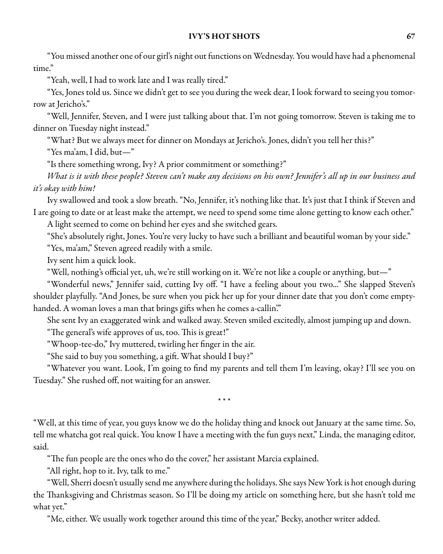"You missed another one of our girl's night out functions on Wednesday. You would have had aphenomenal time."

"Yeah, well, I had to work late and I was really tired."

"Yes, Jones told us. Since we didn't get to see you during the week dear, I look forward to seeing you tomorrow at Jericho's."

"Well, Jennifer, Steven, and I were just talking about that. I'm not going tomorrow. Steven is taking me to dinner on Tuesday night instead."

"What? But we always meet for dinner on Mondays at Jericho's. Jones, didn't you tell her this?"

"Yes ma'am, I did, but—"

"Is there something wrong, Ivy? A prior commitment or something?"

What is it with these people? Steven can't make any decisions on his own? Jennifer's all up in our business and it's okay with him!

Ivy swallowed and took a slow breath. "No, Jennifer, it's nothing like that. It's just that I think if Steven and I are going to date or at least make the attempt, we need to spend some time alone getting to know each other."

A light seemed to come on behind her eyes and she switched gears.

"She's absolutely right, Jones. You're very lucky to have such a brilliant and beautiful woman by your side."

"Yes, ma'am," Steven agreed readily with a smile.

Ivy sent him a quick look.

"Well, nothing's official yet, uh, we're still working on it. We're not like a couple or anything, but—"

"Wonderful news," Jennifer said, cutting Ivy off. "I have a feeling about you two..." She slapped Steven's shoulder playfully. "And Jones, be sure when you pick her up for your dinner date that you don't come emptyhanded. A woman loves a man that brings gifts when he comes a-callin'."

She sent Ivy an exaggerated wink and walked away. Steven smiled excitedly, almost jumping up and down.

"The general's wife approves of us, too. This is great!"

"Whoop-tee-do," Ivy muttered, twirling her finger in the air.

"She said to buy you something, a gift. What should I buy?"

"Whatever you want. Look, I'm going to find my parents and tell them I'm leaving, okay? I'll see you on Tuesday." She rushed off, not waiting for an answer.

\* \* \*

"Well, at this time of year, you guys know we do the holiday thing and knock out January at the same time. So, tell me whatcha got real quick. You know I have a meeting with the fun guys next," Linda, the managing editor, said.

"The fun people are the ones who do the cover," her assistant Marcia explained.

"All right, hop to it. Ivy, talk to me."

"Well, Sherri doesn't usually send meanywhere during the holidays. Shesays New York is hotenough during the Thanksgiving and Christmas season. So I'll be doing my article on something here, but she hasn't told me what yet."

"Me, either. We usually work together around this time of the year," Becky, another writer added.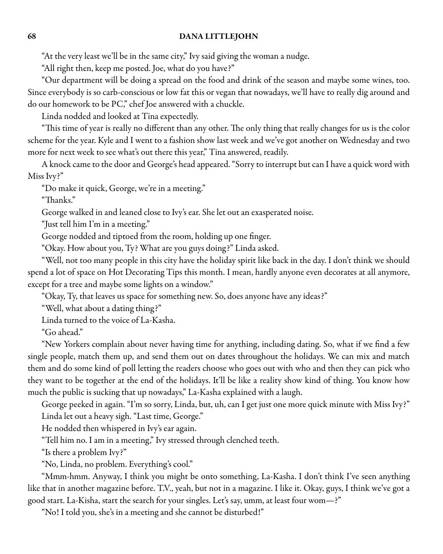"At the very least we'll be in the same city," Ivy said giving the woman a nudge.

"All right then, keep me posted. Joe, what do you have?"

"Our department will be doing a spread on the food and drink of the season and maybe some wines, too. Since everybody is so carb-conscious or low fat this or vegan that nowadays, we'll have to really dig around and do our homework to be PC," chef Joe answered with a chuckle.

Linda nodded and looked at Tina expectedly.

"This time of year is really no different than any other. The only thing that really changes for us is the color scheme for the year. Kyle and I went to a fashion show last week and we've got another on Wednesday and two more for next week to see what's out there this year," Tina answered, readily.

A knock came to the door and George's head appeared. "Sorry to interrupt but can I have a quick word with Miss Ivy?"

"Do make it quick, George, we're in a meeting."

"Thanks."

George walked in and leaned close to Ivy's ear. She let out an exasperated noise.

"Just tell him I'm in a meeting."

George nodded and tiptoed from the room, holding up one finger.

"Okay. How about you, Ty? What are you guys doing?" Linda asked.

"Well, not too many people in this city have the holiday spirit like back in the day. I don't think we should spend a lot of space on Hot Decorating Tips this month. I mean, hardly anyone even decorates at all anymore, except for a tree and maybe some lights on a window."

"Okay, Ty, that leaves us space for something new. So, does anyone have any ideas?"

"Well, what about a dating thing?"

Linda turned to the voice of La-Kasha.

"Go ahead."

"New Yorkers complain about never having time for anything, including dating. So, what if we find a few single people, match them up, and send them out on dates throughout the holidays. We can mix and match them and do some kind of poll letting the readers choose who goes out with who and then they can pick who they want to be together at the end of the holidays. It'll be like a reality show kind of thing. You know how much the public is sucking that up nowadays," La-Kasha explained with a laugh.

George peeked in again. "I'm so sorry, Linda, but, uh, can I get just one more quick minute with Miss Ivy?"

Linda let out a heavy sigh. "Last time, George."

He nodded then whispered in Ivy's ear again.

"Tell him no. I am in a meeting," Ivy stressed through clenched teeth.

"Is there a problem Ivy?"

"No, Linda, no problem. Everything's cool."

"Mmm-hmm. Anyway, I think you might be onto something, La-Kasha. I don't think I've seen anything like that in another magazine before. T.V., yeah, but not in a magazine. I like it. Okay, guys, I think we've got a good start. La-Kisha, start the search for your singles. Let's say, umm, at least four wom—?"

"No! I told you, she's in a meeting and she cannot be disturbed!"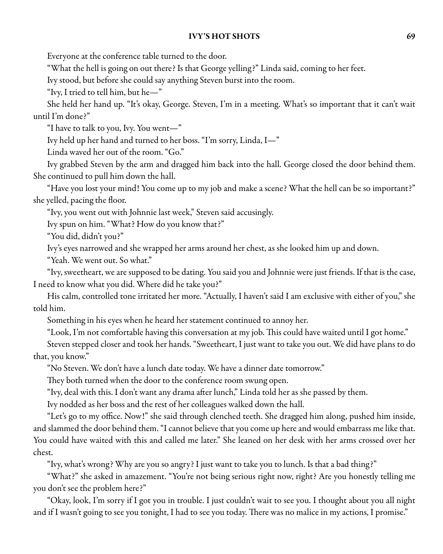Everyone at the conference table turned to the door.

"What the hell is going on out there? Is that George yelling?" Linda said, coming to her feet.

Ivy stood, but before she could say anything Steven burst into the room.

"Ivy, I tried to tell him, but he—"

She held her hand up. "It's okay, George. Steven, I'm in a meeting. What's so important that it can't wait until I'm done?"

"I have to talk to you, Ivy. You went—"

Ivy held up her hand and turned to her boss. "I'm sorry, Linda, I—"

Linda waved her out of the room. "Go."

Ivy grabbed Steven by the arm and dragged him back into the hall. George closed the door behind them. She continued to pull him down the hall.

"Have you lost your mind! You come up to my job and make a scene? What the hell can be so important?" she yelled, pacing the floor.

"Ivy, you went out with Johnnie last week," Steven said accusingly.

Ivy spun on him. "What? How do you know that?"

"You did, didn't you?"

Ivy's eyes narrowed and she wrapped her arms around her chest, as she looked him up and down.

"Yeah. We went out. So what."

"Ivy, sweetheart, we are supposed to be dating. You said you and Johnnie were just friends. If that is the case, I need to know what you did. Where did he take you?"

His calm, controlled tone irritated her more. "Actually, I haven't said I am exclusive with either of you," she told him.

Something in his eyes when he heard her statement continued to annoy her.

"Look, I'm not comfortable having this conversation at my job. This could have waited until I got home."

Steven stepped closerand took her hands. "Sweetheart, I just want to take you out. We did have plans to do that, you know."

"No Steven. We don't have a lunch date today. We have a dinner date tomorrow."

They both turned when the door to the conference room swung open.

"Ivy, deal with this. I don't want any drama after lunch," Linda told her as she passed by them.

Ivy nodded as her boss and the rest of her colleagues walked down the hall.

"Let's go to my office. Now!" she said through clenched teeth. She dragged him along, pushed him inside, and slammed the door behind them. "I cannot believe that you come up here and would embarrass me like that. You could have waited with this and called me later." She leaned on her desk with her arms crossed over her chest.

"Ivy, what's wrong? Why are you so angry? I just want to take you to lunch. Is that a bad thing?"

"What?" she asked in amazement. "You're not being serious right now, right? Are you honestly telling me you don't see the problem here?"

"Okay, look, I'm sorry if I got you in trouble. I just couldn't wait to see you. I thought about you all night and if I wasn't going to see you tonight, I had to see you today. There was no malice in my actions, I promise."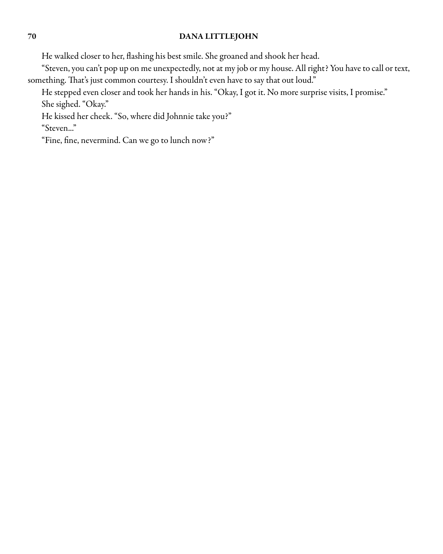He walked closer to her, flashing his best smile. She groaned and shook her head.

"Steven, you can't pop up on me unexpectedly, not at my job or my house. All right? You have to call or text, something. That's just common courtesy. I shouldn't even have to say that out loud."

He stepped even closer and took her hands in his. "Okay, I got it. No more surprise visits, I promise." She sighed. "Okay."

He kissed her cheek. "So, where did Johnnie take you?"

"Steven..."

"Fine, fine, nevermind. Can we go to lunch now?"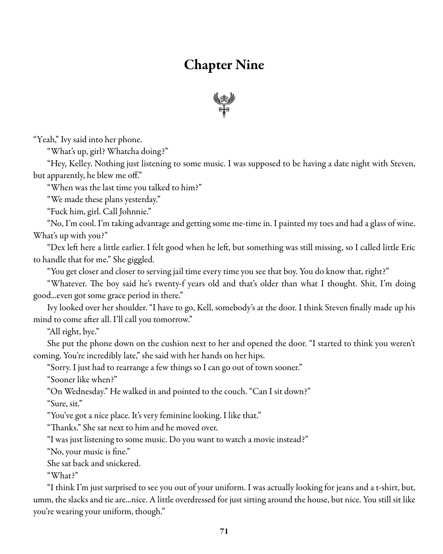# Chapter Nine



"Yeah," Ivy said into her phone.

"What's up, girl? Whatcha doing?"

"Hey, Kelley. Nothing just listening to some music. I was supposed to be having a date night with Steven, but apparently, he blew me off."

"When was the last time you talked to him?"

"We made these plans yesterday."

"Fuck him, girl. Call Johnnie."

"No, I'm cool. I'm taking advantage and getting some me-time in. I painted my toes and had a glass of wine. What's up with you?"

"Dex left here a little earlier. I felt good when he left, but something was still missing, so I called little Eric to handle that for me." She giggled.

"You get closer and closer to serving jail time every time you see that boy. You do know that, right?"

"Whatever. The boy said he's twenty-f years old and that's older than what I thought. Shit, I'm doing good...even got some grace period in there."

Ivy looked over her shoulder. "I have to go, Kell, somebody's at the door. I think Steven finally made up his mind to come after all. I'll call you tomorrow."

"All right, bye."

She put the phone down on the cushion next to her and opened the door. "I started to think you weren't coming. You're incredibly late," she said with her hands on her hips.

"Sorry. I just had to rearrange a few things so I can go out of town sooner."

"Sooner like when?"

"On Wednesday." He walked in and pointed to the couch. "Can I sit down?"

"Sure, sit."

"You've got a nice place. It's very feminine looking. I like that."

"Thanks." She sat next to him and he moved over.

"I was just listening to some music. Do you want to watch a movie instead?"

"No, your music is fine."

She sat back and snickered.

"What?"

"I think I'm just surprised to see you out of your uniform. I was actually looking for jeans and a t-shirt, but, umm, the slacks and tie are...nice. A little overdressed for just sitting around the house, but nice. You still sit like you're wearing your uniform, though."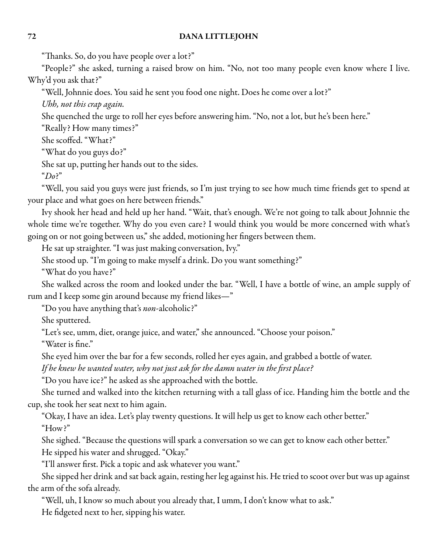"Thanks. So, do you have people over a lot?"

"People?" she asked, turning a raised brow on him. "No, not too many people even know where I live. Why'd you ask that?"

"Well, Johnnie does. You said he sent you food one night. Does he come over a lot?"

Uhh, not this crap again.

She quenched the urge to roll her eyes before answering him. "No, not a lot, but he's been here."

"Really? How many times?"

She scoffed. "What?"

"What do you guys do?"

She sat up, putting her hands out to the sides.

 $"Do?"$ 

"Well, you said you guys were just friends, so I'm just trying to see how much time friends get to spend at your place and what goes on here between friends."

Ivy shook her head and held up her hand. "Wait, that's enough. We're not going to talk about Johnnie the whole time we're together. Why do you even care? I would think you would be more concerned with what's going on or not going between us," she added, motioning her fingers between them.

He sat up straighter. "I was just making conversation, Ivy."

She stood up. "I'm going to make myself a drink. Do you want something?"

"What do you have?"

She walked across the room and looked under the bar. "Well, I have a bottle of wine, an ample supply of rum and I keep some gin around because my friend likes—"

"Do you have anything that's non-alcoholic?"

She sputtered.

"Let's see, umm, diet, orange juice, and water," she announced. "Choose your poison."

"Water is fine."

She eyed him over the bar for a few seconds, rolled her eyes again, and grabbed a bottle of water.

If he knew he wanted water, why not just ask for the damn water in the first place?

"Do you have ice?" he asked as she approached with the bottle.

She turned and walked into the kitchen returning with a tall glass of ice. Handing him the bottle and the cup, she took her seat next to him again.

"Okay, I have an idea. Let's play twenty questions. It will help us get to know each other better."

"How?"

She sighed. "Because the questions will spark a conversation so we can get to know each other better."

He sipped his water and shrugged. "Okay."

"I'll answer first. Pick a topic and ask whatever you want."

She sipped her drink and sat back again, resting her leg against his. He tried to scoot over but was up against the arm of the sofa already.

"Well, uh, I know so much about you already that, I umm, I don't know what to ask."

He fidgeted next to her, sipping his water.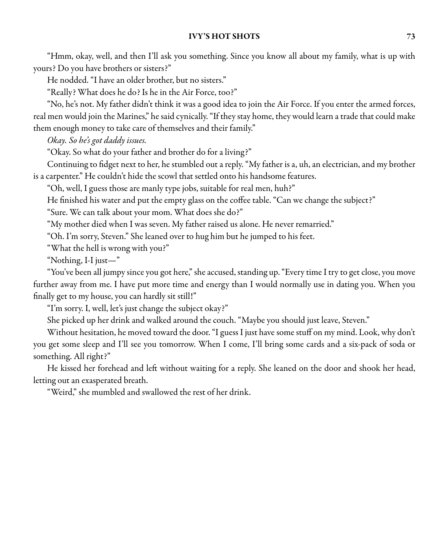"Hmm, okay, well, and then I'll ask you something. Since you know all about my family, what is up with yours? Do you have brothers or sisters?"

He nodded. "I have an older brother, but no sisters."

"Really? What does he do? Is he in the Air Force, too?"

"No, he's not. My father didn't think it was a good idea to join the Air Force. If you enter the armed forces, real men would join the Marines," he said cynically. "If they stay home, they would learn a trade that could make them enough money to take care of themselves and their family."

Okay. So he's got daddy issues.

"Okay. So what do your father and brother do for a living?"

Continuing to fidget next to her, he stumbled out a reply. "My father is a, uh, an electrician, and my brother is a carpenter." He couldn't hide the scowl that settled onto his handsome features.

"Oh, well, I guess those are manly type jobs, suitable for real men, huh?"

He finished his water and put the empty glass on the coffee table. "Can we change the subject?"

"Sure. We can talk about your mom. What does she do?"

"My mother died when I was seven. My father raised us alone. He never remarried."

"Oh. I'm sorry, Steven." She leaned over to hug him but he jumped to his feet.

"What the hell is wrong with you?"

"Nothing, I-I just—"

"You've been all jumpy since you got here," she accused, standing up. "Every time I try to get close, you move further away from me. I have put more time and energy than I would normally use in dating you. When you finally get to my house, you can hardly sit still!"

"I'm sorry. I, well, let's just change the subject okay?"

She picked up her drink and walked around the couch. "Maybe you should just leave, Steven."

Without hesitation, he moved toward the door. "I guess I just have some stuff on my mind. Look, why don't you get some sleep and I'll see you tomorrow. When I come, I'll bring some cards and a six-pack of soda or something. All right?"

He kissed her forehead and left without waiting for a reply. She leaned on the door and shook her head, letting out an exasperated breath.

"Weird," she mumbled and swallowed the rest of her drink.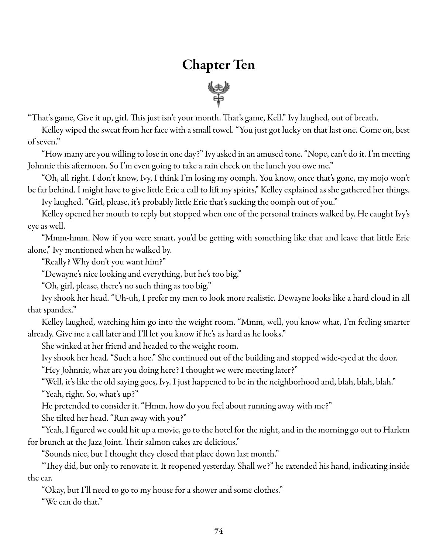# Chapter Ten



"That's game, Give it up, girl. This just isn't your month. That's game, Kell." Ivy laughed, out of breath.

Kelley wiped the sweat from her face with a small towel. "You just got lucky on that last one. Come on, best of seven."

"How many are you willing to losein one day?"Ivy asked in an amused tone."Nope,can't do it. I'm meeting Johnnie this afternoon. So I'm even going to take a rain check on the lunch you owe me."

"Oh, all right. I don't know, Ivy, I think I'm losing my oomph. You know, once that's gone, my mojo won't be far behind. I might have to give little Eric a call to lift my spirits," Kelley explained as she gathered her things.

Ivy laughed. "Girl, please, it's probably little Eric that's sucking the oomph out of you."

Kelley opened her mouth to reply but stopped when one of the personal trainers walked by. Hecaught Ivy's eye as well.

"Mmm-hmm. Now if you were smart, you'd be getting with something like that and leave that little Eric alone," Ivy mentioned when he walked by.

"Really? Why don't you want him?"

"Dewayne's nice looking and everything, but he's too big."

"Oh, girl, please, there's no such thing as too big."

Ivy shook her head. "Uh-uh, I prefer my men to look more realistic. Dewayne looks like a hard cloud in all that spandex."

Kelley laughed, watching him go into the weight room. "Mmm, well, you know what, I'm feeling smarter already. Give me a call later and I'll let you know if he's as hard as he looks."

She winked at her friend and headed to the weight room.

Ivy shook her head. "Such a hoe." She continued out of the building and stopped wide-eyed at the door.

"Hey Johnnie, what are you doing here? I thought we were meeting later?"

"Well, it's like the old saying goes, Ivy. I just happened to be in the neighborhood and, blah, blah, blah." "Yeah, right. So, what's up?"

He pretended to consider it. "Hmm, how do you feel about running away with me?"

She tilted her head. "Run away with you?"

"Yeah, I figured wecould hit up a movie, go to the hotel for the night,and in the morning go out to Harlem for brunch at the Jazz Joint. Their salmon cakes are delicious."

"Sounds nice, but I thought they closed that place down last month."

"They did, but only to renovate it. It reopened yesterday. Shall we?" he extended his hand, indicating inside the car.

"Okay, but I'll need to go to my house for a shower and some clothes."

"We can do that."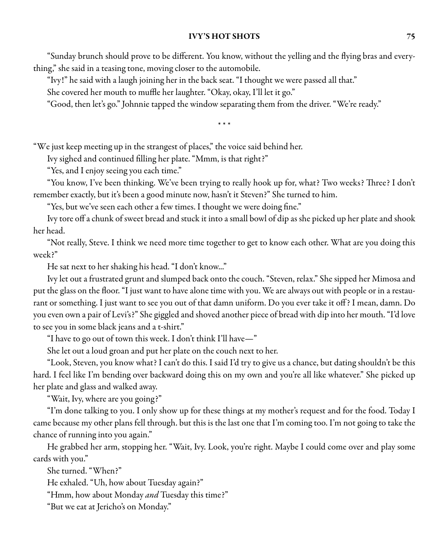"Sunday brunch should prove to be different. You know, without the yelling and the flying bras and everything," she said in a teasing tone, moving closer to the automobile.

"Ivy!" he said with a laugh joining her in the back seat. "I thought we were passed all that."

She covered her mouth to muffle her laughter. "Okay, okay, I'll let it go."

"Good, then let's go." Johnnie tapped the window separating them from the driver. "We're ready."

\* \* \*

"We just keep meeting up in the strangest of places," the voice said behind her.

Ivy sighed and continued filling her plate. "Mmm, is that right?"

"Yes, and I enjoy seeing you each time."

"You know, I've been thinking. We've been trying to really hook up for, what? Two weeks? Three? I don't remember exactly, but it's been a good minute now, hasn't it Steven?" She turned to him.

"Yes, but we've seen each other a few times. I thought we were doing fine."

Ivy tore off a chunk of sweet bread and stuck it into a small bowl of dip as she picked up her plate and shook her head.

"Not really, Steve. I think we need more time together to get to know each other. What are you doing this week?"

He sat next to her shaking his head. "I don't know..."

Ivy let out a frustrated grunt and slumped back onto the couch. "Steven, relax." She sipped her Mimosa and put the glass on the floor. "I just want to have alone time with you. We are always out with people or in a restaurant or something. I just want to see you out of that damn uniform. Do you ever take it off? I mean, damn. Do you even own a pair of Levi's?" She giggled and shoved another piece of bread with dip into her mouth. "I'd love to see you in some black jeans and a t-shirt."

"I have to go out of town this week. I don't think I'll have—"

She let out a loud groan and put her plate on the couch next to her.

"Look, Steven, you know what? I can't do this. I said I'd try to give us a chance, but dating shouldn't be this hard. I feel like I'm bending over backward doing this on my own and you're all like whatever." She picked up her plate and glass and walked away.

"Wait, Ivy, where are you going?"

"I'm done talking to you. I only show up for these things at my mother's request and for the food. Today I came because my other plans fell through. but this is the last one that I'm coming too. I'm not going to take the chance of running into you again."

He grabbed her arm, stopping her. "Wait, Ivy. Look, you're right. Maybe I could come over and play some cards with you."

She turned. "When?"

He exhaled. "Uh, how about Tuesday again?"

"Hmm, how about Monday and Tuesday this time?"

"But we eat at Jericho's on Monday."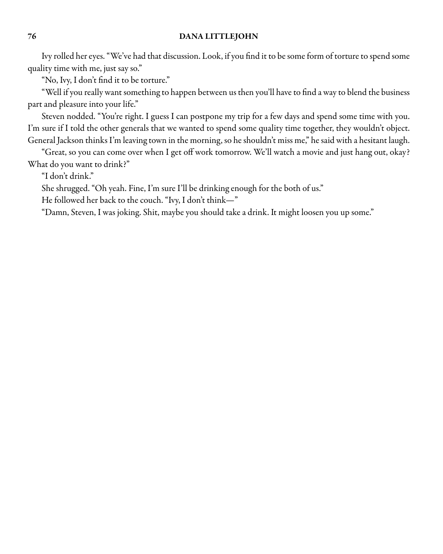Ivy rolled her eyes. "We've had that discussion. Look, if you find it to be some form of torture to spend some quality time with me, just say so."

"No, Ivy, I don't find it to be torture."

"Well if you really want something to happen between us then you'll have to find a way to blend the business part and pleasure into your life."

Steven nodded. "You're right. I guess I can postpone my trip for a few days and spend some time with you. I'm sure if I told the other generals that we wanted to spend some quality time together, they wouldn't object. General Jackson thinks I'm leaving town in the morning, so he shouldn't miss me," he said with a hesitant laugh.

"Great, so you can come over when I get off work tomorrow. We'll watch a movie and just hang out, okay? What do you want to drink?"

"I don't drink."

She shrugged. "Oh yeah. Fine, I'm sure I'll be drinking enough for the both of us."

He followed her back to the couch. "Ivy, I don't think—"

"Damn, Steven, I was joking. Shit, maybe you should take a drink. It might loosen you up some."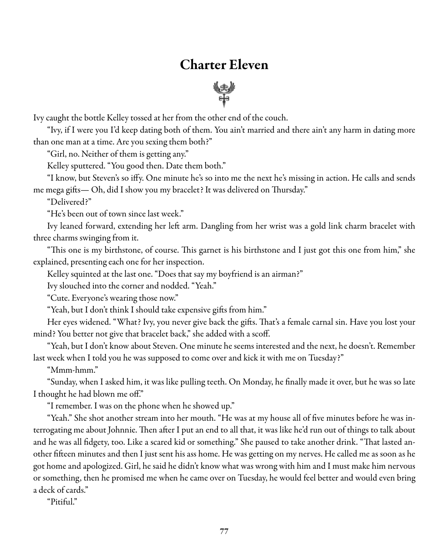# Charter Eleven



Ivy caught the bottle Kelley tossed at her from the other end of the couch.

"Ivy, if I were you I'd keep dating both of them. You ain't married and there ain't any harm in dating more than one man at a time. Are you sexing them both?"

"Girl, no. Neither of them is getting any."

Kelley sputtered. "You good then. Date them both."

"I know, but Steven's so iffy. One minute he's so into me the next he's missing in action. He calls and sends me mega gifts— Oh, did I show you my bracelet? It was delivered on Thursday."

"Delivered?"

"He's been out of town since last week."

Ivy leaned forward, extending her left arm. Dangling from her wrist was a gold link charm bracelet with three charms swinging from it.

"This one is my birthstone, of course. This garnet is his birthstone and I just got this one from him," she explained, presenting each one for her inspection.

Kelley squinted at the last one. "Does that say my boyfriend is an airman?"

Ivy slouched into the corner and nodded. "Yeah."

"Cute. Everyone's wearing those now."

"Yeah, but I don't think I should take expensive gifts from him."

Her eyes widened. "What? Ivy, you never give back the gifts. That's a female carnal sin. Have you lost your mind? You better not give that bracelet back," she added with a scoff.

"Yeah, but I don't know about Steven. One minute heseems interested and the next, he doesn't. Remember last week when I told you he was supposed to come over and kick it with me on Tuesday?"

"Mmm-hmm."

"Sunday, when I asked him, it was like pulling teeth. On Monday, he finally made it over, but he was so late I thought he had blown me off."

"I remember. I was on the phone when he showed up."

"Yeah." She shot another stream into her mouth. "He was at my house all of five minutes before he was interrogating me about Johnnie. Then after I put an end to all that, it was like he'd run out of things to talk about and he was all fidgety, too. Like a scared kid or something." She paused to take another drink. "That lasted another fifteen minutes and then I just sent his ass home. He was getting on my nerves. He called me as soon as he got homeand apologized. Girl, hesaid he didn't know what was wrong with him and I must make him nervous or something, then he promised me when he came over on Tuesday, he would feel better and would even bring a deck of cards."

"Pitiful."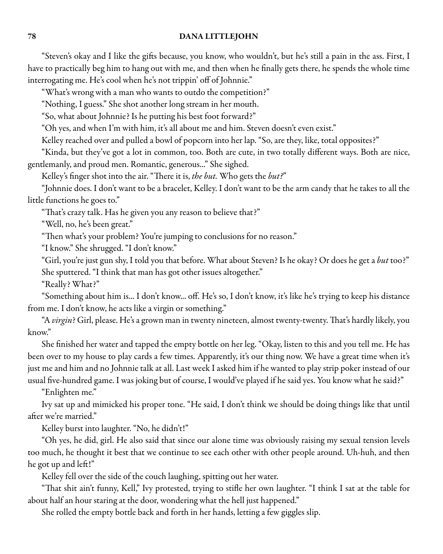"Steven's okay and I like the gifts because, you know, who wouldn't, but he's still a pain in the ass. First, I have to practically beg him to hang out with me, and then when he finally gets there, he spends the whole time interrogating me. He's cool when he's not trippin' off of Johnnie."

"What's wrong with a man who wants to outdo the competition?"

"Nothing, I guess." She shot another long stream in her mouth.

"So, what about Johnnie? Is he putting his best foot forward?"

"Oh yes, and when I'm with him, it's all about me and him. Steven doesn't even exist."

Kelley reached over and pulled a bowl of popcorn into her lap. "So, are they, like, total opposites?"

"Kinda, but they've got a lot in common, too. Both are cute, in two totally different ways. Both are nice, gentlemanly, and proud men. Romantic, generous..." She sighed.

Kelley's finger shot into the air. "There it is, the but. Who gets the but?"

"Johnnie does. I don't want to be a bracelet, Kelley. I don't want to be the arm candy that he takes to all the little functions he goes to."

"That's crazy talk. Has he given you any reason to believe that?"

"Well, no, he's been great."

"Then what's your problem? You're jumping to conclusions for no reason."

"I know." She shrugged. "I don't know."

"Girl, you're just gun shy, I told you that before. What about Steven? Is he okay? Or does he get a but too?" She sputtered. "I think that man has got other issues altogether."

"Really? What?"

"Something about him is... I don't know... off. He's so, I don't know, it's like he's trying to keep his distance from me. I don't know, he acts like a virgin or something."

"A virgin? Girl, please. He's a grown man in twenty nineteen, almost twenty-twenty. That's hardly likely, you know."

She finished her water and tapped the empty bottle on her leg. "Okay, listen to this and you tell me. He has been over to my house to play cards a few times. Apparently, it's our thing now. We have a great time when it's just me and him and no Johnnie talk at all. Last week I asked him if he wanted to play strip poker instead of our usual five-hundred game. I was joking but of course, I would've played if he said yes. You know what he said?"

"Enlighten me."

Ivy sat up and mimicked his proper tone. "He said, I don't think we should be doing things like that until after we're married."

Kelley burst into laughter. "No, he didn't!"

"Oh yes, he did, girl. He also said that since our alone time was obviously raising my sexual tension levels too much, he thought it best that we continue to see each other with other people around. Uh-huh, and then he got up and left!"

Kelley fell over the side of the couch laughing, spitting out her water.

"That shit ain't funny, Kell," Ivy protested, trying to stifle her own laughter. "I think I sat at the table for about half an hour staring at the door, wondering what the hell just happened."

She rolled the empty bottle back and forth in her hands, letting a few giggles slip.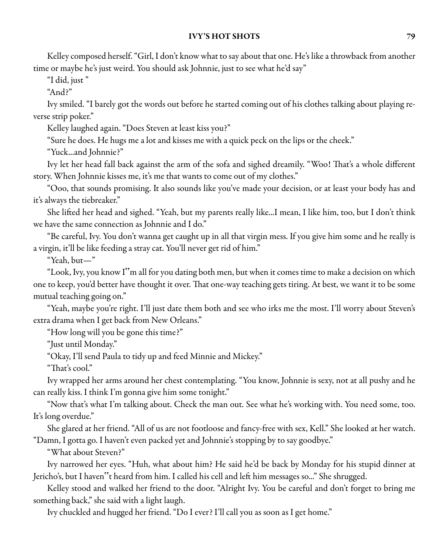Kelley composed herself. "Girl, I don't know what to say about that one. He's like a throwback from another time or maybe he's just weird. You should ask Johnnie, just to see what he'd say"

"I did, just "

"And?"

Ivy smiled. "I barely got the words out before he started coming out of his clothes talking about playing reverse strip poker."

Kelley laughed again. "Does Steven at least kiss you?"

"Sure he does. He hugs me a lot and kisses me with a quick peck on the lips or the cheek."

"Yuck...and Johnnie?"

Ivy let her head fall back against the arm of the sofa and sighed dreamily. "Woo! That's a whole different story. When Johnnie kisses me, it's me that wants to come out of my clothes."

"Ooo, that sounds promising. It also sounds like you've made your decision, or at least your body has and it's always the tiebreaker."

She lifted her head and sighed. "Yeah, but my parents really like...I mean, I like him, too, but I don't think we have the same connection as Johnnie and I do."

"Be careful, Ivy. You don't wanna get caught up in all that virgin mess. If you give him some and he really is a virgin, it'll be like feeding a stray cat. You'll never get rid of him."

"Yeah, but—"

"Look, Ivy, you know I"m all for you dating both men, but when it comes time to make a decision on which one to keep, you'd better have thought it over. That one-way teaching gets tiring. At best, we want it to be some mutual teaching going on."

"Yeah, maybe you're right. I'll just date them both and see who irks me the most. I'll worry about Steven's extra drama when I get back from New Orleans."

"How long will you be gone this time?"

"Just until Monday."

"Okay, I'll send Paula to tidy up and feed Minnie and Mickey."

"That's cool."

Ivy wrapped her arms around her chest contemplating. "You know, Johnnie is sexy, not at all pushy and he can really kiss. I think I'm gonna give him some tonight."

"Now that's what I'm talking about. Check the man out. See what he's working with. You need some, too. It's long overdue."

She glared at her friend. "All of us are not footloose and fancy-free with sex, Kell." She looked at her watch. "Damn, I gotta go. I haven't even packed yet and Johnnie's stopping by to say goodbye."

"What about Steven?"

Ivy narrowed her eyes. "Huh, what about him? He said he'd be back by Monday for his stupid dinner at Jericho's, but I haven"t heard from him. I called his cell and left him messages so..." She shrugged.

Kelley stood and walked her friend to the door. "Alright Ivy. You be careful and don't forget to bring me something back," she said with a light laugh.

Ivy chuckled and hugged her friend. "Do I ever? I'll call you as soon as I get home."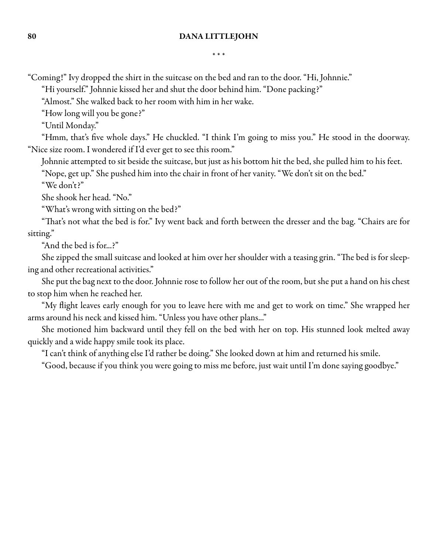#### \* \* \*

"Coming!" Ivy dropped the shirt in the suitcase on the bed and ran to the door. "Hi, Johnnie."

"Hi yourself." Johnnie kissed her and shut the door behind him. "Done packing?"

"Almost." She walked back to her room with him in her wake.

"How long will you be gone?"

"Until Monday."

"Hmm, that's five whole days." He chuckled. "I think I'm going to miss you." He stood in the doorway. "Nice size room. I wondered if I'd ever get to see this room."

Johnnie attempted to sit beside the suitcase, but just as his bottom hit the bed, she pulled him to his feet. "Nope, get up." She pushed him into the chair in front of her vanity. "We don't sit on the bed."

"We don't?"

She shook her head. "No."

"What's wrong with sitting on the bed?"

"That's not what the bed is for." Ivy went back and forth between the dresser and the bag. "Chairs are for sitting."

"And the bed is for...?"

She zipped the small suitcase and looked at him over her shoulder with a teasing grin. "The bed is for sleeping and other recreational activities."

She put the bag next to the door. Johnnie rose to follow her out of the room, but she put a hand on his chest to stop him when he reached her.

"My flight leaves early enough for you to leave here with me and get to work on time." She wrapped her arms around his neck and kissed him. "Unless you have other plans..."

She motioned him backward until they fell on the bed with her on top. His stunned look melted away quickly and a wide happy smile took its place.

"I can't think of anything else I'd rather be doing." She looked down at him and returned his smile.

"Good, because if you think you were going to miss me before, just wait until I'm done saying goodbye."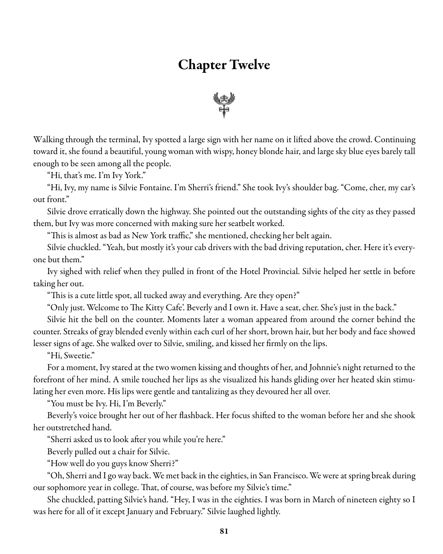# Chapter Twelve



Walking through the terminal, Ivy spotted a large sign with her name on it lifted above the crowd. Continuing toward it, she found a beautiful, young woman with wispy, honey blonde hair, and large sky blue eyes barely tall enough to be seen among all the people.

"Hi, that's me. I'm Ivy York."

"Hi, Ivy, my name is Silvie Fontaine. I'm Sherri's friend." She took Ivy's shoulder bag. "Come, cher, my car's out front."

Silvie drove erratically down the highway. She pointed out the outstanding sights of the city as they passed them, but Ivy was more concerned with making sure her seatbelt worked.

"This is almost as bad as New York traffic," she mentioned, checking her belt again.

Silvie chuckled. "Yeah, but mostly it's your cab drivers with the bad driving reputation, cher. Here it's everyone but them."

Ivy sighed with relief when they pulled in front of the Hotel Provincial. Silvie helped her settle in before taking her out.

"This is a cute little spot, all tucked away and everything. Are they open?"

"Only just. Welcome to The Kitty Cafe'. Beverly and I own it. Have a seat, cher. She's just in the back."

Silvie hit the bell on the counter. Moments later a woman appeared from around the corner behind the counter. Streaks of gray blended evenly within each curl of her short, brown hair, but her body and faceshowed lesser signs of age. She walked over to Silvie, smiling, and kissed her firmly on the lips.

"Hi, Sweetie."

For a moment, Ivy stared at the two women kissing and thoughts of her, and Johnnie's night returned to the forefront of her mind. A smile touched her lips as she visualized his hands gliding over her heated skin stimulating her even more. His lips were gentle and tantalizing as they devoured her all over.

"You must be Ivy. Hi, I'm Beverly."

Beverly's voice brought her out of her flashback. Her focus shifted to the woman before her and she shook her outstretched hand.

"Sherri asked us to look after you while you're here."

Beverly pulled out a chair for Silvie.

"How well do you guys know Sherri?"

"Oh, Sherri and I go way back. We met back in the eighties, in San Francisco. We were at spring break during our sophomore year in college. That, of course, was before my Silvie's time."

She chuckled, patting Silvie's hand. "Hey, I was in the eighties. I was born in March of nineteen eighty so I was here for all of it except January and February." Silvie laughed lightly.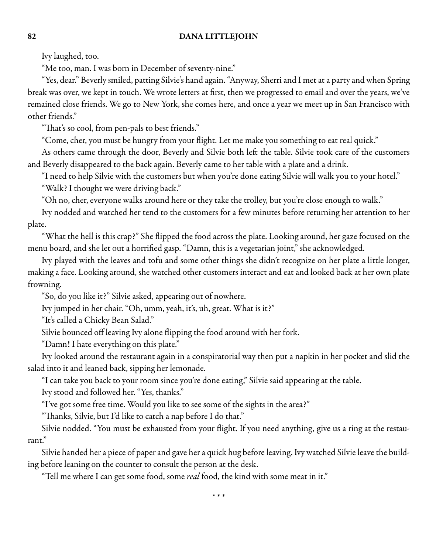Ivy laughed, too.

"Me too, man. I was born in December of seventy-nine."

"Yes, dear." Beverly smiled, patting Silvie's hand again. "Anyway, Sherri and I met at a party and when Spring break was over, we kept in touch. We wrote letters at first, then we progressed to email and over the years, we've remained close friends. We go to New York, she comes here, and once a year we meet up in San Francisco with other friends."

"That's so cool, from pen-pals to best friends."

"Come, cher, you must be hungry from your flight. Let me make you something to eat real quick."

As others came through the door, Beverly and Silvie both left the table. Silvie took care of the customers and Beverly disappeared to the back again. Beverly came to her table with a plate and a drink.

"I need to help Silvie with the customers but when you're done eating Silvie will walk you to your hotel." "Walk? I thought we were driving back."

"Oh no, cher, everyone walks around here or they take the trolley, but you're close enough to walk."

Ivy nodded and watched her tend to the customers for a few minutes before returning her attention to her plate.

"What the hell is this crap?" She flipped the food across the plate. Looking around, her gaze focused on the menu board, and she let out a horrified gasp. "Damn, this is a vegetarian joint," she acknowledged.

Ivy played with the leaves and tofu and some other things she didn't recognize on her plate a little longer, making a face. Looking around, she watched other customers interact and eat and looked back at her own plate frowning.

"So, do you like it?" Silvie asked, appearing out of nowhere.

Ivy jumped in her chair. "Oh, umm, yeah, it's, uh, great. What is it?"

"It's called a Chicky Bean Salad."

Silvie bounced off leaving Ivy alone flipping the food around with her fork.

"Damn! I hate everything on this plate."

Ivy looked around the restaurant again in a conspiratorial way then put a napkin in her pocket and slid the salad into it and leaned back, sipping her lemonade.

"I can take you back to your room since you're done eating," Silvie said appearing at the table.

Ivy stood and followed her. "Yes, thanks."

"I've got some free time. Would you like to see some of the sights in the area?"

"Thanks, Silvie, but I'd like to catch a nap before I do that."

Silvie nodded. "You must be exhausted from your flight. If you need anything, give us a ring at the restaurant."

Silvie handed her a piece of paper and gave her a quick hug before leaving. Ivy watched Silvie leave the building before leaning on the counter to consult the person at the desk.

"Tell me where I can get some food, some *real* food, the kind with some meat in it."

\* \* \*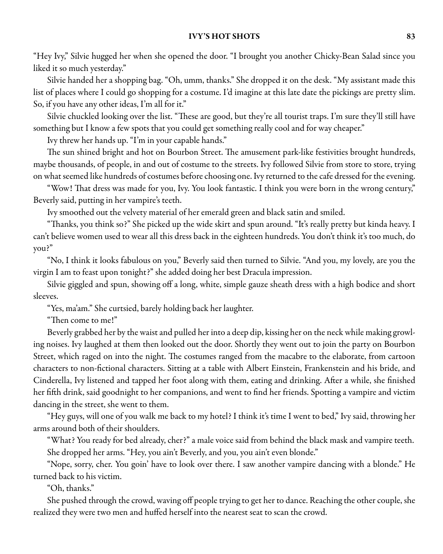"Hey Ivy," Silvie hugged her when she opened the door. "I brought you another Chicky-Bean Salad since you liked it so much yesterday."

Silvie handed her a shopping bag. "Oh, umm, thanks." She dropped it on the desk. "My assistant made this list of places where I could go shopping for a costume. I'd imagine at this late date the pickings are pretty slim. So, if you have any other ideas, I'm all for it."

Silvie chuckled looking over the list. "These are good, but they're all tourist traps. I'm sure they'll still have something but I know a few spots that you could get something really cool and for way cheaper."

Ivy threw her hands up. "I'm in your capable hands."

The sun shined bright and hot on Bourbon Street. The amusement park-like festivities brought hundreds, maybe thousands, of people, in and out of costume to the streets. Ivy followed Silvie from store to store, trying on what seemed like hundreds of costumes before choosing one. Ivy returned to the cafe dressed for the evening.

"Wow! That dress was made for you, Ivy. You look fantastic. I think you were born in the wrong century," Beverly said, putting in her vampire's teeth.

Ivy smoothed out the velvety material of her emerald green and black satin and smiled.

"Thanks, you think so?" She picked up the wide skirt and spun around. "It's really pretty but kinda heavy. I can't believe women used to wearall this dress back in the eighteen hundreds. You don't think it's too much, do you?"

"No, I think it looks fabulous on you," Beverly said then turned to Silvie. "And you, my lovely, are you the virgin I am to feast upon tonight?" she added doing her best Dracula impression.

Silvie giggled and spun, showing off a long, white, simple gauze sheath dress with a high bodice and short sleeves.

"Yes, ma'am." She curtsied, barely holding back her laughter.

"Then come to me!"

Beverly grabbed her by the waist and pulled her into a deep dip, kissing her on the neck while making growling noises. Ivy laughed at them then looked out the door. Shortly they went out to join the party on Bourbon Street, which raged on into the night. The costumes ranged from the macabre to the elaborate, from cartoon characters to non-fictional characters. Sitting at a table with Albert Einstein, Frankenstein and his bride, and Cinderella, Ivy listened and tapped her foot along with them, eating and drinking. After a while, she finished her fifth drink, said goodnight to her companions, and went to find her friends. Spotting a vampire and victim dancing in the street, she went to them.

"Hey guys, will one of you walk me back to my hotel? I think it's time I went to bed," Ivy said, throwing her arms around both of their shoulders.

"What? You ready for bed already, cher?" a male voice said from behind the black mask and vampire teeth. She dropped her arms. "Hey, you ain't Beverly, and you, you ain't even blonde."

"Nope, sorry, cher. You goin' have to look over there. I saw another vampire dancing with a blonde." He turned back to his victim.

"Oh, thanks."

She pushed through the crowd, waving off people trying to get her to dance. Reaching the other couple, she realized they were two men and huffed herself into the nearest seat to scan the crowd.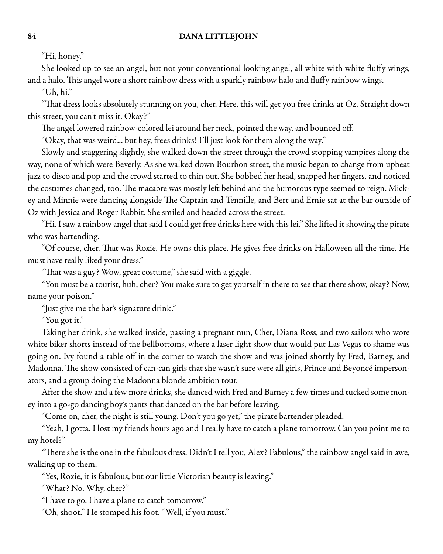"Hi, honey."

She looked up to see an angel, but not your conventional looking angel, all white with white fluffy wings, and a halo. This angel wore a short rainbow dress with a sparkly rainbow halo and fluffy rainbow wings.

"Uh, hi."

"That dress looks absolutely stunning on you, cher. Here, this will get you free drinks at Oz. Straight down this street, you can't miss it. Okay?"

The angel lowered rainbow-colored lei around her neck, pointed the way, and bounced off.

"Okay, that was weird... but hey, frees drinks! I'll just look for them along the way."

Slowly and staggering slightly, she walked down the street through the crowd stopping vampires along the way, none of which were Beverly. As she walked down Bourbon street, the music began to change from upbeat jazz to disco and pop and the crowd started to thin out. She bobbed her head, snapped her fingers, and noticed the costumes changed, too. The macabre was mostly left behind and the humorous type seemed to reign. Mickey and Minnie were dancing alongside The Captain and Tennille, and Bert and Ernie sat at the bar outside of Oz with Jessica and Roger Rabbit. She smiled and headed across the street.

"Hi. I saw a rainbow angel that said I could get free drinks here with this lei." She lifted it showing the pirate who was bartending.

"Of course, cher. That was Roxie. He owns this place. He gives free drinks on Halloween all the time. He must have really liked your dress."

"That was a guy? Wow, great costume," she said with a giggle.

"You must be a tourist, huh, cher? You make sure to get yourself in there to see that there show, okay? Now, name your poison."

"Just give me the bar's signature drink."

"You got it."

Taking her drink, she walked inside, passing a pregnant nun, Cher, Diana Ross, and two sailors who wore white biker shorts instead of the bellbottoms, where a laser light show that would put Las Vegas to shame was going on. Ivy found a table off in the corner to watch the show and was joined shortly by Fred, Barney, and Madonna. The show consisted of can-can girls that she wasn't sure were all girls, Prince and Beyoncé impersonators, and a group doing the Madonna blonde ambition tour.

After the show and a few more drinks, she danced with Fred and Barney a few times and tucked some money into a go-go dancing boy's pants that danced on the bar before leaving.

"Come on, cher, the night is still young. Don't you go yet," the pirate bartender pleaded.

"Yeah, I gotta. I lost my friends hoursago and I really have to catch a plane tomorrow. Can you point me to my hotel?"

"There she is the one in the fabulous dress. Didn't I tell you, Alex? Fabulous," the rainbow angel said in awe, walking up to them.

"Yes, Roxie, it is fabulous, but our little Victorian beauty is leaving."

"What? No. Why, cher?"

"I have to go. I have a plane to catch tomorrow."

"Oh, shoot." He stomped his foot. "Well, if you must."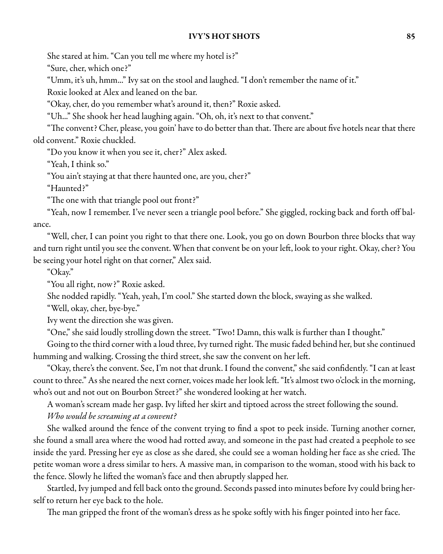She stared at him. "Can you tell me where my hotel is?"

"Sure, cher, which one?"

"Umm, it's uh, hmm..." Ivy sat on the stool and laughed. "I don't remember the name of it."

Roxie looked at Alex and leaned on the bar.

"Okay, cher, do you remember what's around it, then?" Roxie asked.

"Uh..." She shook her head laughing again. "Oh, oh, it's next to that convent."

"The convent? Cher, please, you goin' have to do better than that. There are about five hotels near that there old convent." Roxie chuckled.

"Do you know it when you see it, cher?" Alex asked.

"Yeah, I think so."

"You ain't staying at that there haunted one, are you, cher?"

"Haunted?"

"The one with that triangle pool out front?"

"Yeah, now I remember. I've never seen a triangle pool before." She giggled, rocking back and forth off balance.

"Well, cher, I can point you right to that there one. Look, you go on down Bourbon three blocks that way and turn right until you see the convent. When that convent be on your left, look to your right. Okay, cher? You be seeing your hotel right on that corner," Alex said.

"Okay."

"You all right, now?" Roxie asked.

She nodded rapidly. "Yeah, yeah, I'm cool." She started down the block, swaying as she walked.

"Well, okay, cher, bye-bye."

Ivy went the direction she was given.

"One," she said loudly strolling down the street. "Two! Damn, this walk is further than I thought."

Going to the third corner with a loud three, Ivy turned right. The music faded behind her, but she continued humming and walking. Crossing the third street, she saw the convent on her left.

"Okay, there's the convent. See, I'm not that drunk. I found the convent," she said confidently. "I can at least count to three." As she neared the next corner, voices made her look left. "It's almost two o'clock in the morning, who's out and not out on Bourbon Street?" she wondered looking at her watch.

A woman's scream made her gasp. Ivy lifted her skirt and tiptoed across the street following the sound. Who would be screaming at a convent?

She walked around the fence of the convent trying to find a spot to peek inside. Turning another corner, she found a small area where the wood had rotted away, and someone in the past had created a peephole to see inside the yard. Pressing her eye as close as she dared, she could see a woman holding her face as she cried. The petite woman wore a dress similar to hers. A massive man, in comparison to the woman, stood with his back to the fence. Slowly he lifted the woman's face and then abruptly slapped her.

Startled, Ivy jumped and fell back onto the ground. Seconds passed into minutes before Ivy could bring herself to return her eye back to the hole.

The man gripped the front of the woman's dress as he spoke softly with his finger pointed into her face.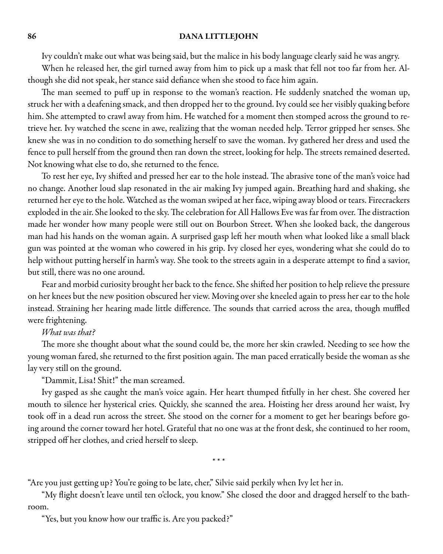Ivy couldn't make out what was being said, but the malice in his body language clearly said he was angry.

When he released her, the girl turned away from him to pick up a mask that fell not too far from her. Although she did not speak, her stance said defiance when she stood to face him again.

The man seemed to puff up in response to the woman's reaction. He suddenly snatched the woman up, struck her with a deafening smack, and then dropped her to the ground. Ivy could see her visibly quaking before him. She attempted to crawl away from him. He watched for a moment then stomped across the ground to retrieve her. Ivy watched the scene in awe, realizing that the woman needed help. Terror gripped her senses. She knew she was in no condition to do something herself to save the woman. Ivy gathered her dress and used the fence to pull herself from the ground then ran down the street, looking for help. The streets remained deserted. Not knowing what else to do, she returned to the fence.

To rest her eye, Ivy shifted and pressed her ear to the hole instead. The abrasive tone of the man's voice had no change. Another loud slap resonated in the air making Ivy jumped again. Breathing hard and shaking, she returned her eye to the hole. Watched as the woman swiped at her face, wiping away blood or tears. Firecrackers exploded in the air. She looked to the sky. The celebration for All Hallows Eve was far from over. The distraction made her wonder how many people were still out on Bourbon Street. When she looked back, the dangerous man had his hands on the woman again. A surprised gasp left her mouth when what looked like a small black gun was pointed at the woman who cowered in his grip. Ivy closed her eyes, wondering what she could do to help without putting herself in harm's way. She took to the streets again in a desperate attempt to find a savior, but still, there was no one around.

Fear and morbid curiosity brought her back to the fence. She shifted her position to help relieve the pressure on her knees but the new position obscured her view. Moving over she kneeled again to press her ear to the hole instead. Straining her hearing made little difference. The sounds that carried across the area, though muffled were frightening.

# What was that?

The more she thought about what the sound could be, the more her skin crawled. Needing to see how the young woman fared, she returned to the first position again. The man paced erratically beside the woman as she lay very still on the ground.

"Dammit, Lisa! Shit!" the man screamed.

Ivy gasped as she caught the man's voice again. Her heart thumped fitfully in her chest. She covered her mouth to silence her hysterical cries. Quickly, she scanned the area. Hoisting her dress around her waist, Ivy took off in a dead run across the street. She stood on the corner for a moment to get her bearings before going around the corner toward her hotel. Grateful that no one was at the front desk, she continued to her room, stripped off her clothes, and cried herself to sleep.

\* \* \*

"Are you just getting up? You're going to be late, cher," Silvie said perkily when Ivy let her in.

"My flight doesn't leave until ten o'clock, you know." She closed the door and dragged herself to the bathroom.

"Yes, but you know how our traffic is. Are you packed?"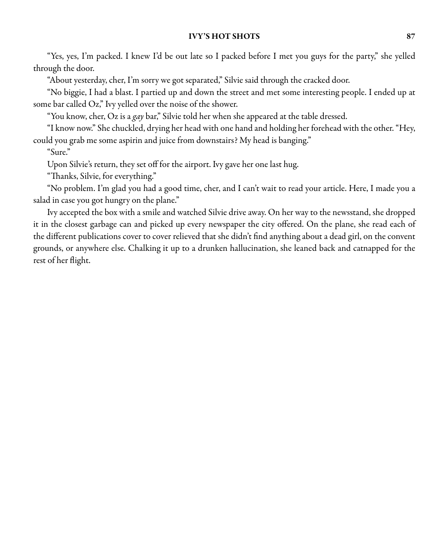"Yes, yes, I'm packed. I knew I'd be out late so I packed before I met you guys for the party," she yelled through the door.

"About yesterday, cher, I'm sorry we got separated," Silvie said through the cracked door.

"No biggie, I had a blast. I partied up and down the street and met some interesting people. I ended up at some bar called Oz," Ivy yelled over the noise of the shower.

"You know, cher, Oz is a gay bar," Silvie told her when she appeared at the table dressed.

"I know now." Shechuckled, drying her head with one hand and holding her forehead with the other. "Hey, could you grab me some aspirin and juice from downstairs? My head is banging."

"Sure."

Upon Silvie's return, they set off for the airport. Ivy gave her one last hug.

"Thanks, Silvie, for everything."

"No problem. I'm glad you had a good time, cher, and I can't wait to read your article. Here, I made you a salad in case you got hungry on the plane."

Ivy accepted the box with a smile and watched Silvie drive away. On her way to the newsstand, she dropped it in the closest garbage can and picked up every newspaper the city offered. On the plane, she read each of the different publications cover to cover relieved that she didn't find anything about a dead girl, on the convent grounds, or anywhere else. Chalking it up to a drunken hallucination, she leaned back and catnapped for the rest of her flight.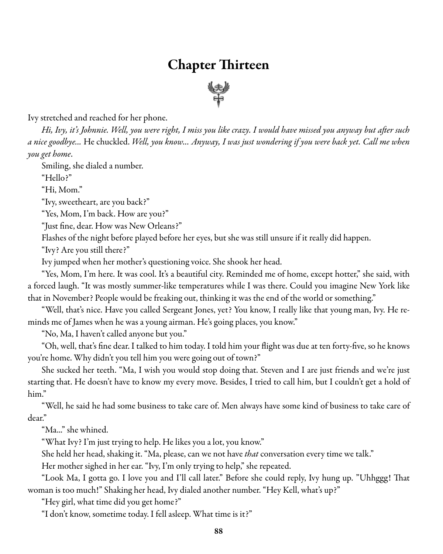# Chapter Thirteen



Ivy stretched and reached for her phone.

Hi, Ivy, it's Johnnie. Well, you were right, I miss you like crazy. I would have missed you anyway but after such a nice goodbye... He chuckled. Well, you know... Anyway, I was just wondering if you were back yet. Call me when you get home.

Smiling, she dialed a number.

"Hello?"

"Hi, Mom."

"Ivy, sweetheart, are you back?"

"Yes, Mom, I'm back. How are you?"

"Just fine, dear. How was New Orleans?"

Flashes of the night before played before her eyes, but she was still unsure if it really did happen.

"Ivy? Are you still there?"

Ivy jumped when her mother's questioning voice. She shook her head.

"Yes, Mom, I'm here. It was cool. It's a beautiful city. Reminded me of home, except hotter," she said, with a forced laugh. "It was mostly summer-like temperatures while I was there. Could you imagine New York like that in November? People would be freaking out, thinking it was the end of the world or something."

"Well, that's nice. Have you called Sergeant Jones, yet? You know, I really like that young man, Ivy. He reminds me of James when he was a young airman. He's going places, you know."

"No, Ma, I haven't called anyone but you."

"Oh, well, that's fine dear. I talked to him today. I told him your flight was dueat ten forty-five, so he knows you're home. Why didn't you tell him you were going out of town?"

She sucked her teeth. "Ma, I wish you would stop doing that. Steven and I are just friends and we're just starting that. He doesn't have to know my every move. Besides, I tried to call him, but I couldn't get a hold of him."

"Well, he said he had some business to take care of. Men always have some kind of business to take care of dear."

"Ma..." she whined.

"What Ivy? I'm just trying to help. He likes you a lot, you know."

She held her head, shaking it. "Ma, please, can we not have that conversation every time we talk."

Her mother sighed in her ear. "Ivy, I'm only trying to help," she repeated.

"Look Ma, I gotta go. I love you and I'll call later." Before she could reply, Ivy hung up. "Uhhggg! That woman is too much!" Shaking her head, Ivy dialed another number. "Hey Kell, what's up?"

"Hey girl, what time did you get home?"

"I don't know, sometime today. I fell asleep. What time is it?"

88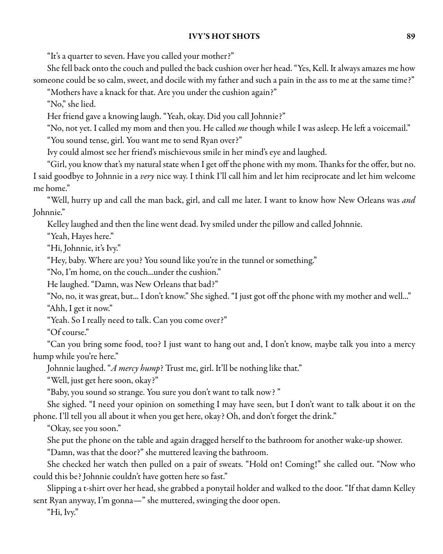"It's a quarter to seven. Have you called your mother?"

She fell back onto the couch and pulled the back cushion over her head. "Yes, Kell. It always amazes me how someone could be so calm, sweet, and docile with my father and such a pain in the ass to me at the same time?"

"Mothers have a knack for that. Are you under the cushion again?"

"No," she lied.

Her friend gave a knowing laugh. "Yeah, okay. Did you call Johnnie?"

"No, not yet. I called my mom and then you. He called me though while I was asleep. He left a voicemail."

"You sound tense, girl. You want me to send Ryan over?"

Ivy could almost see her friend's mischievous smile in her mind's eye and laughed.

"Girl, you know that's my natural state when I get off the phone with my mom. Thanks for the offer, but no. I said goodbye to Johnnie in a very nice way. I think I'll call him and let him reciprocate and let him welcome me home."

"Well, hurry up and call the man back, girl, and call me later. I want to know how New Orleans was and Johnnie."

Kelley laughed and then the line went dead. Ivy smiled under the pillow and called Johnnie.

"Yeah, Hayes here."

"Hi, Johnnie, it's Ivy."

"Hey, baby. Where are you? You sound like you're in the tunnel or something."

"No, I'm home, on the couch...under the cushion."

He laughed. "Damn, was New Orleans that bad?"

"No, no, it was great, but... I don't know." She sighed. "I just got off the phone with my mother and well..." "Ahh, I get it now."

"Yeah. So I really need to talk. Can you come over?"

"Of course."

"Can you bring some food, too? I just want to hang out and, I don't know, maybe talk you into a mercy hump while you're here."

Johnnie laughed. "A mercy hump? Trust me, girl. It'll be nothing like that."

"Well, just get here soon, okay?"

"Baby, you sound so strange. You sure you don't want to talk now? "

She sighed. "I need your opinion on something I may have seen, but I don't want to talk about it on the phone. I'll tell you all about it when you get here, okay? Oh, and don't forget the drink."

"Okay, see you soon."

She put the phone on the table and again dragged herself to the bathroom for another wake-up shower.

"Damn, was that the door?" she muttered leaving the bathroom.

She checked her watch then pulled on a pair of sweats. "Hold on! Coming!" she called out. "Now who could this be? Johnnie couldn't have gotten here so fast."

Slipping a t-shirt over her head, she grabbed a ponytail holder and walked to the door. "If that damn Kelley sent Ryan anyway, I'm gonna—" she muttered, swinging the door open.

"Hi, Ivy."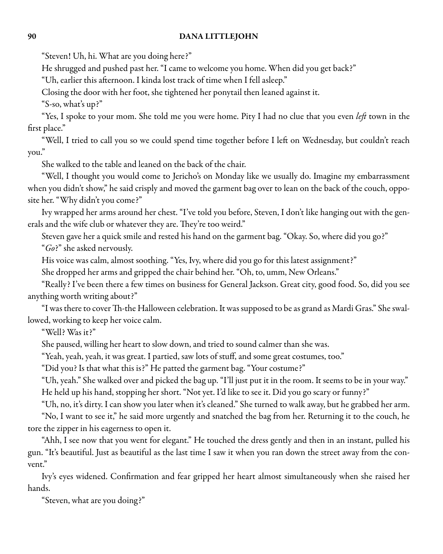"Steven! Uh, hi. What are you doing here?"

He shrugged and pushed past her. "I came to welcome you home. When did you get back?"

"Uh, earlier this afternoon. I kinda lost track of time when I fell asleep."

Closing the door with her foot, she tightened her ponytail then leaned against it.

"S-so, what's up?"

"Yes, I spoke to your mom. She told me you were home. Pity I had no clue that you even *left* town in the first place."

"Well, I tried to call you so we could spend time together before I left on Wednesday, but couldn't reach you."

She walked to the table and leaned on the back of the chair.

"Well, I thought you would come to Jericho's on Monday like we usually do. Imagine my embarrassment when you didn't show," he said crisply and moved the garment bag over to lean on the back of the couch, opposite her. "Why didn't you come?"

Ivy wrapped her arms around her chest. "I've told you before, Steven, I don't like hanging out with the generals and the wife club or whatever they are. They're too weird."

Steven gave her a quick smile and rested his hand on the garment bag. "Okay. So, where did you go?" "Go?" she asked nervously.

His voice was calm, almost soothing. "Yes, Ivy, where did you go for this latest assignment?"

She dropped her arms and gripped the chair behind her. "Oh, to, umm, New Orleans."

"Really? I've been there a few times on business for General Jackson. Great city, good food. So, did you see anything worth writing about?"

"I was there to cover Th-the Halloween celebration. It was supposed to be as grand as Mardi Gras." She swallowed, working to keep her voice calm.

"Well? Was it?"

She paused, willing her heart to slow down, and tried to sound calmer than she was.

"Yeah, yeah, yeah, it was great. I partied, saw lots of stuff, and some great costumes, too."

"Did you? Is that what this is?" He patted the garment bag. "Your costume?"

"Uh, yeah." She walked over and picked the bag up. "I'll just put it in the room. It seems to be in your way." He held up his hand, stopping her short. "Not yet. I'd like to see it. Did you go scary or funny?"

"Uh, no, it's dirty. I can show you later when it's cleaned." She turned to walk away, but he grabbed her arm.

"No, I want to see it," he said more urgently and snatched the bag from her. Returning it to the couch, he tore the zipper in his eagerness to open it.

"Ahh, I see now that you went for elegant." He touched the dress gently and then in an instant, pulled his gun. "It's beautiful. Just as beautiful as the last time I saw it when you ran down the street away from the convent."

Ivy's eyes widened. Confirmation and fear gripped her heart almost simultaneously when she raised her hands.

"Steven, what are you doing?"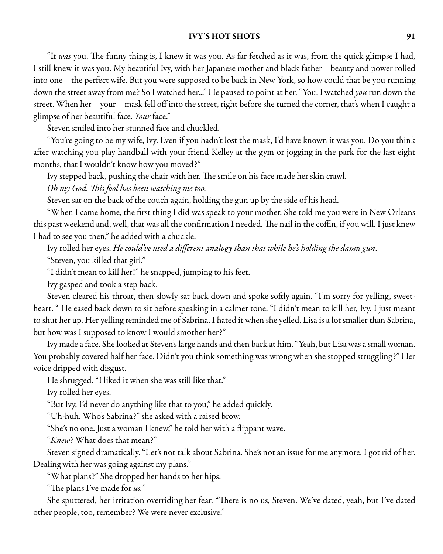"It was you. The funny thing is, I knew it was you. As far fetched as it was, from the quick glimpse I had, I still knew it was you. My beautiful Ivy, with her Japanese mother and black father—beauty and power rolled into one—the perfect wife. But you were supposed to be back in New York, so how could that be you running down the street away from me? So I watched her..." He paused to point at her. "You. I watched you run down the street. When her—your—mask fell off into the street, right before she turned the corner, that's when I caught a glimpse of her beautiful face. Your face."

Steven smiled into her stunned face and chuckled.

"You're going to be my wife, Ivy. Even if you hadn't lost the mask, I'd have known it was you. Do you think after watching you play handball with your friend Kelley at the gym or jogging in the park for the last eight months, that I wouldn't know how you moved?"

Ivy stepped back, pushing the chair with her. The smile on his face made her skin crawl.

Oh my God. This fool has been watching me too.

Steven sat on the back of the couch again, holding the gun up by the side of his head.

"When I came home, the first thing I did was speak to your mother. She told me you were in New Orleans this past weekend and, well, that was all the confirmation I needed. The nail in the coffin, if you will. I just knew I had to see you then," he added with a chuckle.

Ivy rolled her eyes. He could've used a different analogy than that while he's holding the damn gun.

"Steven, you killed that girl."

"I didn't mean to kill her!" he snapped, jumping to his feet.

Ivy gasped and took a step back.

Steven cleared his throat, then slowly sat back down and spoke softly again. "I'm sorry for yelling, sweetheart. " He eased back down to sit before speaking in a calmer tone. "I didn't mean to kill her, Ivy. I just meant to shut her up. Her yelling reminded me of Sabrina. I hated it when she yelled. Lisa is a lot smaller than Sabrina, but how was I supposed to know I would smother her?"

Ivy made a face. She looked at Steven's large hands and then back at him. "Yeah, but Lisa was a small woman. You probably covered half her face. Didn't you think something was wrong when she stopped struggling?" Her voice dripped with disgust.

He shrugged. "I liked it when she was still like that."

Ivy rolled her eyes.

"But Ivy, I'd never do anything like that to you," he added quickly.

"Uh-huh. Who's Sabrina?" she asked with a raised brow.

"She's no one. Just a woman I knew," he told her with a flippant wave.

"Knew? What does that mean?"

Steven signed dramatically. "Let's not talk about Sabrina. She's not an issue for me anymore. I got rid of her. Dealing with her was going against my plans."

"What plans?" She dropped her hands to her hips.

"The plans I've made for us."

She sputtered, her irritation overriding her fear. "There is no us, Steven. We've dated, yeah, but I've dated other people, too, remember? We were never exclusive."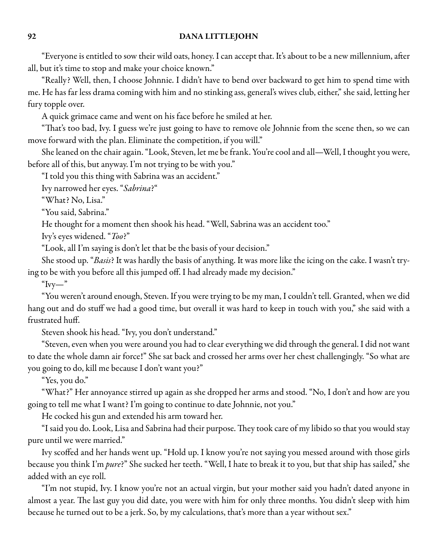"Everyone is entitled to sow their wild oats, honey. I can accept that. It's about to be a new millennium, after all, but it's time to stop and make your choice known."

"Really? Well, then, I choose Johnnie. I didn't have to bend over backward to get him to spend time with me. He has far less drama coming with him and no stinking ass, general's wives club, either," she said, letting her fury topple over.

A quick grimace came and went on his face before he smiled at her.

"That's too bad, Ivy. I guess we're just going to have to remove ole Johnnie from the scene then, so we can move forward with the plan. Eliminate the competition, if you will."

She leaned on the chair again. "Look, Steven, let me be frank. You're cool and all—Well, I thought you were, before all of this, but anyway. I'm not trying to be with you."

"I told you this thing with Sabrina was an accident."

Ivy narrowed her eyes. "Sabrina?"

"What? No, Lisa."

"You said, Sabrina."

He thought for a moment then shook his head. "Well, Sabrina was an accident too."

Ivy's eyes widened. "Too?"

"Look, all I'm saying is don't let that be the basis of your decision."

She stood up. "Basis? It was hardly the basis of anything. It was more like the icing on the cake. I wasn't trying to be with you before all this jumped off. I had already made my decision."

 $"Ivy"$ 

"You weren'taround enough, Steven. If you weretrying to be my man, Icouldn't tell. Granted, when we did hang out and do stuff we had a good time, but overall it was hard to keep in touch with you," she said with a frustrated huff.

Steven shook his head. "Ivy, you don't understand."

"Steven, even when you were around you had to clear everything we did through the general. I did not want to date the whole damn air force!" She sat back and crossed her arms over her chest challengingly. "So what are you going to do, kill me because I don't want you?"

"Yes, you do."

"What?" Her annoyance stirred up again as she dropped her arms and stood. "No, I don't and how are you going to tell me what I want? I'm going to continue to date Johnnie, not you."

He cocked his gun and extended his arm toward her.

"I said you do. Look, Lisa and Sabrina had their purpose. They took care of my libido so that you would stay pure until we were married."

Ivy scoffed and her hands went up. "Hold up. I know you're not saying you messed around with those girls because you think I'm pure?" She sucked her teeth. "Well, I hate to break it to you, but that ship has sailed," she added with an eye roll.

"I'm not stupid, Ivy. I know you're not an actual virgin, but your mother said you hadn't dated anyone in almost a year. The last guy you did date, you were with him for only three months. You didn't sleep with him because he turned out to be a jerk. So, by my calculations, that's more than a year without sex."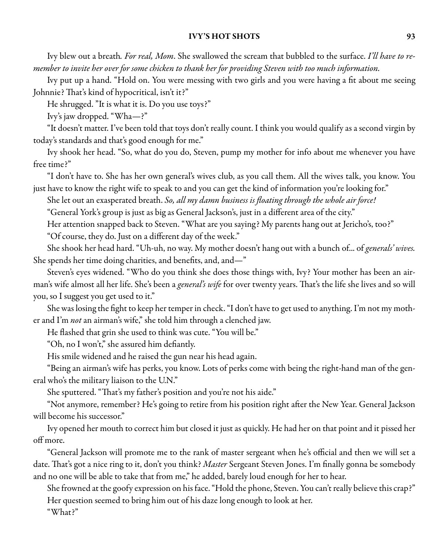Ivy blew out a breath. *For real, Mom*. She swallowed the scream that bubbled to the surface. I'll have to remember to invite her over for some chicken to thank her for providing Steven with too much information.

Ivy put up a hand. "Hold on. You were messing with two girls and you were having a fit about me seeing Johnnie? That's kind of hypocritical, isn't it?"

He shrugged. "It is what it is. Do you use toys?"

Ivy's jaw dropped. "Wha—?"

"It doesn't matter. I've been told that toys don't really count. I think you would qualify as a second virgin by today's standards and that's good enough for me."

Ivy shook her head. "So, what do you do, Steven, pump my mother for info about me whenever you have free time?"

"I don't have to. She has her own general's wives club, as you call them. All the wives talk, you know. You just have to know the right wife to speak to and you can get the kind of information you're looking for."

She let out an exasperated breath. So, all my damn business is floating through the whole air force!

"General York's group is just as big as General Jackson's, just in a different area of the city."

Her attention snapped back to Steven. "What are you saying? My parents hang out at Jericho's, too?"

"Of course, they do. Just on a different day of the week."

She shook her head hard. "Uh-uh, no way. My mother doesn't hang out with a bunch of... of generals' wives. She spends her time doing charities, and benefits, and, and—"

Steven's eyes widened. "Who do you think she does those things with, Ivy? Your mother has been an airman's wife almost all her life. She's been a general's wife for over twenty years. That's the life she lives and so will you, so I suggest you get used to it."

She was losing the fight to keep her temper in check. "I don't have to get used to anything. I'm not my mother and I'm not an airman's wife," she told him through a clenched jaw.

He flashed that grin she used to think was cute. "You will be."

"Oh, no I won't," she assured him defiantly.

His smile widened and he raised the gun near his head again.

"Being an airman's wife has perks, you know. Lots of perks come with being the right-hand man of the general who's the military liaison to the U.N."

She sputtered. "That's my father's position and you're not his aide."

"Not anymore, remember? He's going to retire from his position right after the New Year. General Jackson will become his successor."

Ivy opened her mouth to correct him but closed it just as quickly. He had her on that point and it pissed her off more.

"General Jackson will promote me to the rank of master sergeant when he's official and then we will set a date. That's got a nice ring to it, don't you think? Master Sergeant Steven Jones. I'm finally gonna be somebody and no one will be able to take that from me," he added, barely loud enough for her to hear.

She frowned at the goofy expression on his face. "Hold the phone, Steven. You can't really believe this crap?" Her question seemed to bring him out of his daze long enough to look at her.

"What?"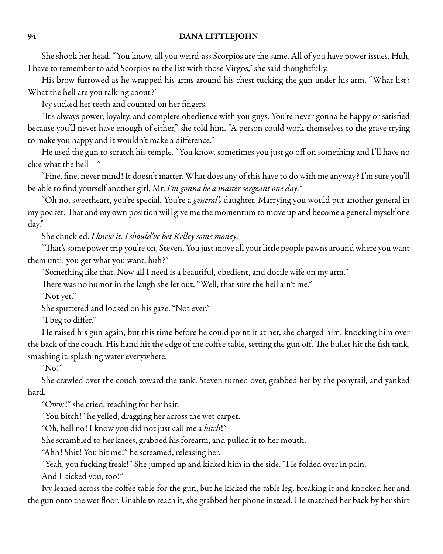She shook her head. "You know, all you weird-ass Scorpios are the same. All of you have power issues. Huh, I have to remember to add Scorpios to the list with those Virgos," she said thoughtfully.

His brow furrowed as he wrapped his arms around his chest tucking the gun under his arm. "What list? What the hell are you talking about?"

Ivy sucked her teeth and counted on her fingers.

"It's always power, loyalty, and complete obedience with you guys. You're never gonna be happy or satisfied because you'll never have enough of either," she told him. "A person could work themselves to the grave trying to make you happy and it wouldn't make a difference."

He used the gun to scratch his temple. "You know, sometimes you just go off on something and I'll have no clue what the hell—"

"Fine, fine, never mind! It doesn't matter. What does any of this have to do with me anyway? I'm sure you'll be able to find yourself another girl, Mr. I'm gonna be a master sergeant one day."

"Oh no, sweetheart, you're special. You're a general's daughter. Marrying you would put another general in my pocket. That and my own position will give me the momentum to move up and become a general myself one day."

She chuckled. I knew it. I should've bet Kelley some money.

"That's some power trip you're on, Steven. You just move all your little people pawns around where you want them until you get what you want, huh?"

"Something like that. Now all I need is a beautiful, obedient, and docile wife on my arm."

There was no humor in the laugh she let out. "Well, that sure the hell ain't me."

"Not yet."

She sputtered and locked on his gaze. "Not ever."

"I beg to differ."

He raised his gun again, but this time before he could point it at her, she charged him, knocking him over the back of the couch. His hand hit the edge of the coffee table, setting the gun off. The bullet hit the fish tank, smashing it, splashing water everywhere.

"No!"

She crawled over the couch toward the tank. Steven turned over, grabbed her by the ponytail, and yanked hard.

"Oww!" she cried, reaching for her hair.

"You bitch!" he yelled, dragging her across the wet carpet.

"Oh, hell no! I know you did not just call me a bitch!"

She scrambled to her knees, grabbed his forearm, and pulled it to her mouth.

"Ahh! Shit! You bit me!" he screamed, releasing her.

"Yeah, you fucking freak!" She jumped up and kicked him in the side. "He folded over in pain.

And I kicked you, too!"

Ivy leaned across the coffee table for the gun, but he kicked the table leg, breaking it and knocked her and the gun onto the wet floor. Unable to reach it, she grabbed her phone instead. He snatched her back by her shirt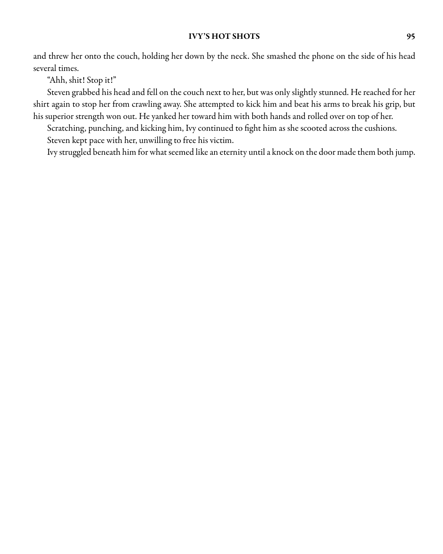and threw her onto the couch, holding her down by the neck. She smashed the phone on the side of his head several times.

"Ahh, shit! Stop it!"

Steven grabbed his head and fell on the couch next to her, but was only slightly stunned. He reached for her shirt again to stop her from crawling away. She attempted to kick him and beat his arms to break his grip, but his superior strength won out. He yanked her toward him with both hands and rolled over on top of her.

Scratching, punching, and kicking him, Ivy continued to fight him as she scooted across the cushions. Steven kept pace with her, unwilling to free his victim.

Ivy struggled beneath him for what seemed like an eternity until a knock on the door made them both jump.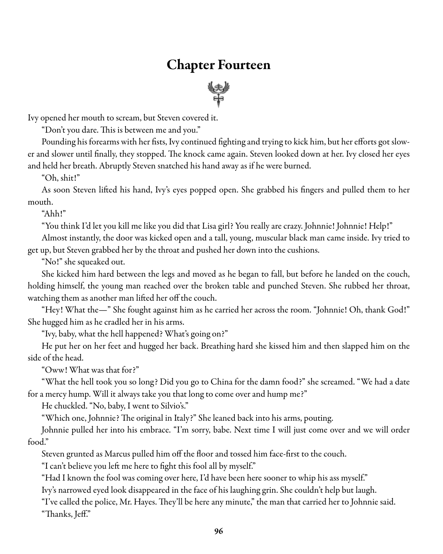# Chapter Fourteen



Ivy opened her mouth to scream, but Steven covered it.

"Don't you dare. This is between me and you."

Pounding his forearms with her fists, Ivy continued fighting and trying to kick him, but her efforts got slower and slower until finally, they stopped. The knock came again. Steven looked down at her. Ivy closed her eyes and held her breath. Abruptly Steven snatched his hand away as if he were burned.

"Oh, shit!"

As soon Steven lifted his hand, Ivy's eyes popped open. She grabbed his fingers and pulled them to her mouth.

"Ahh!"

"You think I'd let you kill me like you did that Lisa girl? You really are crazy. Johnnie! Johnnie! Help!"

Almost instantly, the door was kicked open and a tall, young, muscular black man came inside. Ivy tried to get up, but Steven grabbed her by the throat and pushed her down into the cushions.

"No!" she squeaked out.

She kicked him hard between the legs and moved as he began to fall, but before he landed on the couch, holding himself, the young man reached over the broken table and punched Steven. She rubbed her throat, watching them as another man lifted her off the couch.

"Hey! What the—" She fought against him as he carried her across the room. "Johnnie! Oh, thank God!" She hugged him as he cradled her in his arms.

"Ivy, baby, what the hell happened? What's going on?"

He put her on her feet and hugged her back. Breathing hard she kissed him and then slapped him on the side of the head.

"Oww! What was that for?"

"What the hell took you so long? Did you go to China for the damn food?" she screamed. "We had a date for a mercy hump. Will it always take you that long to come over and hump me?"

He chuckled. "No, baby, I went to Silvio's."

"Which one, Johnnie? The original in Italy?" She leaned back into his arms, pouting.

Johnnie pulled her into his embrace. "I'm sorry, babe. Next time I will just come over and we will order food."

Steven grunted as Marcus pulled him off the floor and tossed him face-first to the couch.

"I can't believe you left me here to fight this fool all by myself."

"Had I known the fool was coming over here, I'd have been here sooner to whip his ass myself."

Ivy's narrowed eyed look disappeared in the face of his laughing grin. She couldn't help but laugh.

"I've called the police, Mr. Hayes. They'll be here any minute," the man that carried her to Johnnie said. "Thanks, Jeff."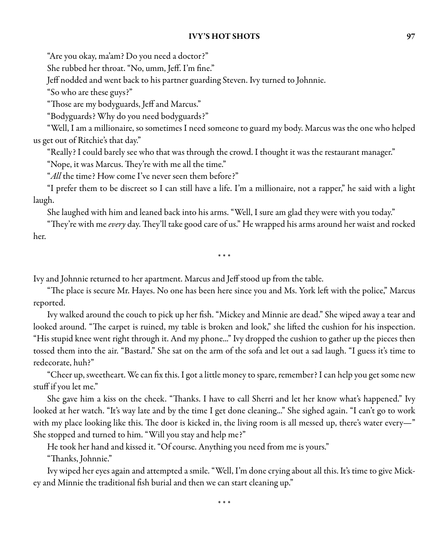"Are you okay, ma'am? Do you need a doctor?"

She rubbed her throat. "No, umm, Jeff. I'm fine."

Jeff nodded and went back to his partner guarding Steven. Ivy turned to Johnnie.

"So who are these guys?"

"Those are my bodyguards, Jeff and Marcus."

"Bodyguards? Why do you need bodyguards?"

"Well, I am a millionaire, so sometimes I need someone to guard my body. Marcus was the one who helped us get out of Ritchie's that day."

"Really? I could barely see who that was through the crowd. I thought it was the restaurant manager."

"Nope, it was Marcus. They're with me all the time."

"All the time? How come I've never seen them before?"

"I prefer them to be discreet so I can still have a life. I'm a millionaire, not a rapper," he said with a light laugh.

She laughed with him and leaned back into his arms. "Well, I sure am glad they were with you today."

"They're with me every day. They'll take good care of us." He wrapped his arms around her waist and rocked her.

\* \* \*

Ivy and Johnnie returned to her apartment. Marcus and Jeff stood up from the table.

"The place is secure Mr. Hayes. No one has been here since you and Ms. York left with the police," Marcus reported.

Ivy walked around the couch to pick up her fish. "Mickey and Minnie are dead." She wiped away a tear and looked around. "The carpet is ruined, my table is broken and look," she lifted the cushion for his inspection. "His stupid knee went right through it. And my phone..." Ivy dropped the cushion to gather up the pieces then tossed them into the air. "Bastard." She sat on the arm of the sofa and let out a sad laugh. "I guess it's time to redecorate, huh?"

"Cheer up, sweetheart. Wecan fix this. I gotalittle money to spare, remember? Ican helpyou get some new stuff if you let me."

She gave him a kiss on the cheek. "Thanks. I have to call Sherri and let her know what's happened." Ivy looked at her watch. "It's way late and by the time I get done cleaning..." She sighed again. "I can't go to work with my place looking like this. The door is kicked in, the living room is all messed up, there's water every—" She stopped and turned to him. "Will you stay and help me?"

He took her hand and kissed it. "Of course. Anything you need from me is yours."

"Thanks, Johnnie."

Ivy wiped her eyes again and attempted a smile. "Well, I'm done crying about all this. It's time to give Mickey and Minnie the traditional fish burial and then we can start cleaning up."

\* \* \*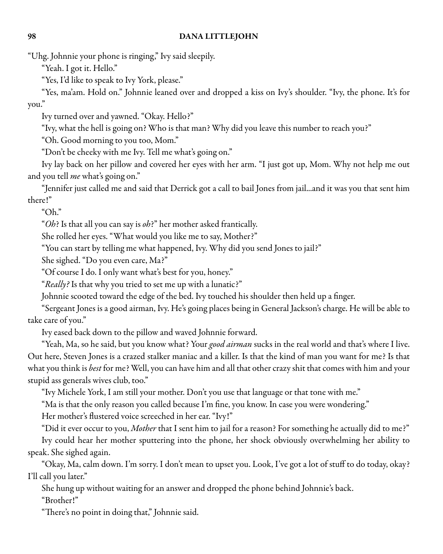"Uhg. Johnnie your phone is ringing," Ivy said sleepily.

"Yeah. I got it. Hello."

"Yes, I'd like to speak to Ivy York, please."

"Yes, ma'am. Hold on." Johnnie leaned over and dropped a kiss on Ivy's shoulder. "Ivy, the phone. It's for you."

Ivy turned over and yawned. "Okay. Hello?"

"Ivy, what the hell is going on? Who is that man? Why did you leave this number to reach you?"

"Oh. Good morning to you too, Mom."

"Don't be cheeky with me Ivy. Tell me what's going on."

Ivy lay back on her pillow and covered her eyes with her arm. "I just got up, Mom. Why not help me out and you tell *me* what's going on."

"Jennifer just called me and said that Derrick got a call to bail Jones from jail...and it was you that sent him there!"

"Oh."

" $Oh$ ? Is that all you can say is  $oh$ ?" her mother asked frantically.

She rolled her eyes. "What would you like me to say, Mother?"

"You can start by telling me what happened, Ivy. Why did you send Jones to jail?"

She sighed. "Do you even care, Ma?"

"Of course I do. I only want what's best for you, honey."

"Really? Is that why you tried to set me up with a lunatic?"

Johnnie scooted toward the edge of the bed. Ivy touched his shoulder then held up a finger.

"Sergeant Jones is a good airman, Ivy. He's going places being in General Jackson's charge. He will be able to take care of you."

Ivy eased back down to the pillow and waved Johnnie forward.

"Yeah, Ma, so he said, but you know what? Your good airman sucks in the real world and that's where I live. Out here, Steven Jones is a crazed stalker maniac and a killer. Is that the kind of man you want for me? Is that what you think is best for me? Well, you can have him and all that other crazy shit that comes with him and your stupid ass generals wives club, too."

"Ivy Michele York, I am still your mother. Don't you use that language or that tone with me."

"Ma is that the only reason you called because I'm fine, you know. In case you were wondering."

Her mother's flustered voice screeched in her ear. "Ivy!"

"Did it ever occur to you, *Mother* that I sent him to jail for a reason? For something he actually did to me?"

Ivy could hear her mother sputtering into the phone, her shock obviously overwhelming her ability to speak. She sighed again.

"Okay, Ma, calm down. I'm sorry. I don't mean to upset you. Look, I've got a lot of stuff to do today, okay? I'll call you later."

She hung up without waiting for an answer and dropped the phone behind Johnnie's back.

"Brother!"

"There's no point in doing that," Johnnie said.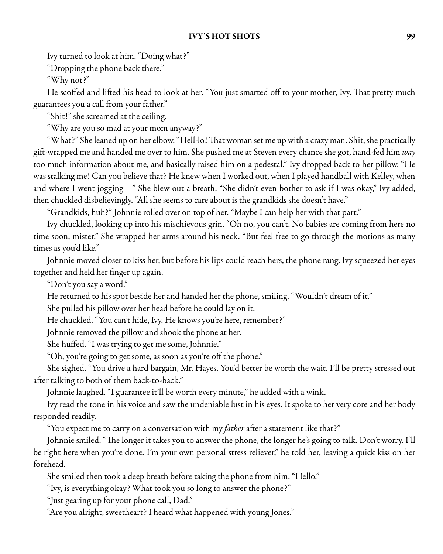Ivy turned to look at him. "Doing what?"

"Dropping the phone back there."

"Why not?"

He scoffed and lifted his head to look at her. "You just smarted off to your mother, Ivy. That pretty much guarantees you a call from your father."

"Shit!" she screamed at the ceiling.

"Why are you so mad at your mom anyway?"

"What?" She leaned up on her elbow. "Hell-lo! That woman set me up with a crazy man. Shit, she practically gift-wrapped me and handed me over to him. She pushed me at Steven every chance she got, hand-fed him way too much information about me, and basically raised him on a pedestal." Ivy dropped back to her pillow. "He was stalking me! Can you believe that? He knew when I worked out, when I played handball with Kelley, when and where I went jogging—" She blew out a breath. "She didn't even bother to ask if I was okay," Ivy added, then chuckled disbelievingly. "All she seems to care about is the grandkids she doesn't have."

"Grandkids, huh?" Johnnie rolled over on top of her. "Maybe I can help her with that part."

Ivy chuckled, looking up into his mischievous grin. "Oh no, you can't. No babies are coming from here no time soon, mister." She wrapped her arms around his neck. "But feel free to go through the motions as many times as you'd like."

Johnnie moved closer to kiss her, but before his lips could reach hers, the phone rang. Ivy squeezed her eyes together and held her finger up again.

"Don't you say a word."

He returned to his spot beside her and handed her the phone, smiling. "Wouldn't dream of it."

She pulled his pillow over her head before he could lay on it.

He chuckled. "You can't hide, Ivy. He knows you're here, remember?"

Johnnie removed the pillow and shook the phone at her.

She huffed. "I was trying to get me some, Johnnie."

"Oh, you're going to get some, as soon as you're off the phone."

She sighed. "You drive a hard bargain, Mr. Hayes. You'd better be worth the wait. I'll be pretty stressed out after talking to both of them back-to-back."

Johnnie laughed. "I guarantee it'll be worth every minute," he added with a wink.

Ivy read the tone in his voice and saw the undeniable lust in his eyes. It spoke to her very core and her body responded readily.

"You expect me to carry on a conversation with my *father* after a statement like that?"

Johnnie smiled. "The longer it takes you to answer the phone, the longer he's going to talk. Don't worry. I'll be right here when you're done. I'm your own personal stress reliever," he told her, leaving a quick kiss on her forehead.

She smiled then took a deep breath before taking the phone from him. "Hello."

"Ivy, is everything okay? What took you so long to answer the phone?"

"Just gearing up for your phone call, Dad."

"Are you alright, sweetheart? I heard what happened with young Jones."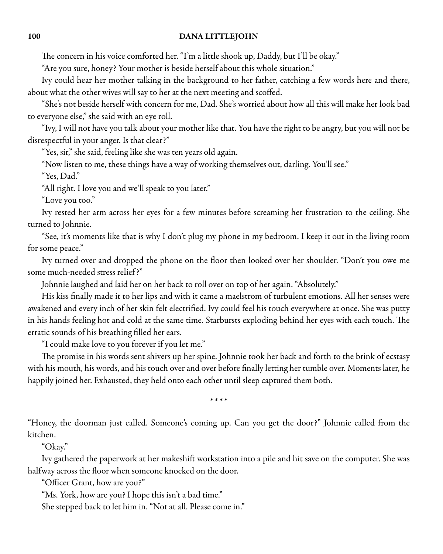The concern in his voice comforted her. "I'm a little shook up, Daddy, but I'll be okay."

"Are you sure, honey? Your mother is beside herself about this whole situation."

Ivy could hear her mother talking in the background to her father, catching a few words here and there, about what the other wives will say to her at the next meeting and scoffed.

"She's not beside herself with concern for me, Dad. She's worried about how all this will make her look bad to everyone else," she said with an eye roll.

"Ivy, I will not have you talk about your mother like that. You have the right to be angry, but you will not be disrespectful in your anger. Is that clear?"

"Yes, sir," she said, feeling like she was ten years old again.

"Now listen to me, these things have a way of working themselves out, darling. You'll see."

"Yes, Dad."

"All right. I love you and we'll speak to you later."

"Love you too."

Ivy rested her arm across her eyes for a few minutes before screaming her frustration to the ceiling. She turned to Johnnie.

"See, it's moments like that is why I don't plug my phone in my bedroom. I keep it out in the living room for some peace."

Ivy turned over and dropped the phone on the floor then looked over her shoulder. "Don't you owe me some much-needed stress relief?"

Johnnie laughed and laid her on her back to roll over on top of her again. "Absolutely."

His kiss finally made it to her lips and with it came a maelstrom of turbulent emotions. All her senses were awakened and every inch of her skin felt electrified. Ivy could feel his touch everywhere at once. She was putty in his hands feeling hot and cold at the same time. Starbursts exploding behind her eyes with each touch. The erratic sounds of his breathing filled her ears.

"I could make love to you forever if you let me."

The promise in his words sent shivers up her spine. Johnnie took her back and forth to the brink of ecstasy with his mouth, his words, and his touch over and over before finally letting her tumble over. Moments later, he happily joined her. Exhausted, they held onto each other until sleep captured them both.

\* \* \* \*

"Honey, the doorman just called. Someone's coming up. Can you get the door?" Johnnie called from the kitchen.

"Okay."

Ivy gathered the paperwork at her makeshift workstation into a pile and hit save on the computer. She was halfway across the floor when someone knocked on the door.

"Officer Grant, how are you?"

"Ms. York, how are you? I hope this isn't a bad time."

She stepped back to let him in. "Not at all. Please come in."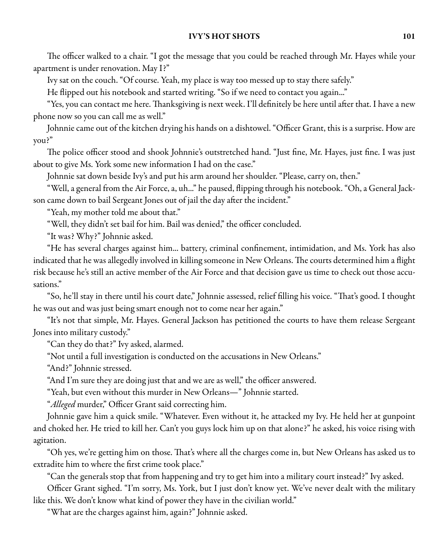The officer walked to a chair. "I got the message that you could be reached through Mr. Hayes while your apartment is under renovation. May I?"

Ivy sat on the couch. "Of course. Yeah, my place is way too messed up to stay there safely."

He flipped out his notebook and started writing. "So if we need to contact you again..."

"Yes, you can contact me here. Thanksgiving is next week. I'll definitely be here until after that. I have a new phone now so you can call me as well."

Johnnie came out of the kitchen drying his hands on a dishtowel. "Officer Grant, this is a surprise. How are you?"

The police officer stood and shook Johnnie's outstretched hand. "Just fine, Mr. Hayes, just fine. I was just about to give Ms. York some new information I had on the case."

Johnnie sat down beside Ivy's and put his arm around her shoulder. "Please, carry on, then."

"Well, a general from the Air Force, a, uh..." he paused, flipping through his notebook. "Oh, a General Jackson came down to bail Sergeant Jones out of jail the day after the incident."

"Yeah, my mother told me about that."

"Well, they didn't set bail for him. Bail was denied," the officer concluded.

"It was? Why?" Johnnie asked.

"He has several charges against him... battery, criminal confinement, intimidation, and Ms. York has also indicated that he was allegedly involved in killing someone in New Orleans. The courts determined him a flight risk because he's still an active member of the Air Force and that decision gave us time to check out those accusations."

"So, he'll stay in there until his court date," Johnnie assessed, relief filling his voice. "That's good. I thought he was out and was just being smart enough not to come near her again."

"It's not that simple, Mr. Hayes. General Jackson has petitioned the courts to have them release Sergeant Jones into military custody."

"Can they do that?" Ivy asked, alarmed.

"Not until a full investigation is conducted on the accusations in New Orleans."

"And?" Johnnie stressed.

"And I'm sure they are doing just that and we are as well," the officer answered.

"Yeah, but even without this murder in New Orleans—" Johnnie started.

"Alleged murder," Officer Grant said correcting him.

Johnnie gave him a quick smile. "Whatever. Even without it, he attacked my Ivy. He held her at gunpoint and choked her. He tried to kill her. Can't you guys lock him up on that alone?" he asked, his voice rising with agitation.

"Oh yes, we're getting him on those. That's where all the charges come in, but New Orleans has asked us to extradite him to where the first crime took place."

"Can the generals stop that from happening and try to get him into a military court instead?" Ivy asked.

Officer Grant sighed. "I'm sorry, Ms. York, but I just don't know yet. We've never dealt with the military like this. We don't know what kind of power they have in the civilian world."

"What are the charges against him, again?" Johnnie asked.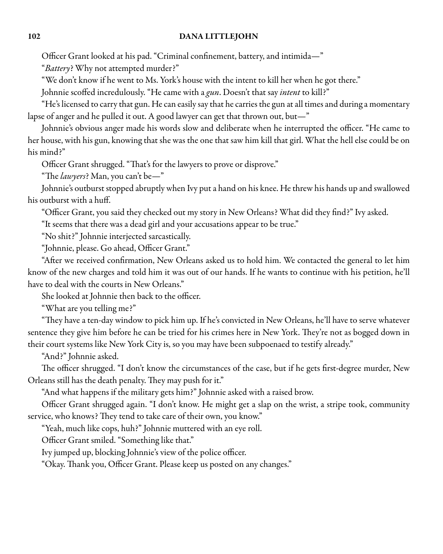Officer Grant looked at his pad. "Criminal confinement, battery, and intimida—"

"Battery? Why not attempted murder?"

"We don't know if he went to Ms. York's house with the intent to kill her when he got there."

Johnnie scoffed incredulously. "He came with a gun. Doesn't that say intent to kill?"

"He's licensed to carry that gun. He can easily say that he carries the gun at all times and during a momentary lapse of anger and he pulled it out. A good lawyer can get that thrown out, but—"

Johnnie's obvious anger made his words slow and deliberate when he interrupted the officer. "He came to her house, with his gun, knowing that she was the one that saw him kill that girl. What the hell else could be on his mind?"

Officer Grant shrugged. "That's for the lawyers to prove or disprove."

"The lawyers? Man, you can't be—"

Johnnie's outburst stopped abruptly when Ivy put a hand on his knee. He threw his hands up and swallowed his outburst with a huff.

"Officer Grant, you said they checked out my story in New Orleans? What did they find?" Ivy asked.

"It seems that there was a dead girl and your accusations appear to be true."

"No shit?" Johnnie interjected sarcastically.

"Johnnie, please. Go ahead, Officer Grant."

"After we received confirmation, New Orleans asked us to hold him. We contacted the general to let him know of the new charges and told him it was out of our hands. If he wants to continue with his petition, he'll have to deal with the courts in New Orleans."

She looked at Johnnie then back to the officer.

"What are you telling me?"

"They have a ten-day window to pick him up. If he's convicted in New Orleans, he'll have to serve whatever sentence they give him before he can be tried for his crimes here in New York. They're not as bogged down in their court systems like New York City is, so you may have been subpoenaed to testify already."

"And?" Johnnie asked.

The officer shrugged. "I don't know the circumstances of the case, but if he gets first-degree murder, New Orleans still has the death penalty. They may push for it."

"And what happens if the military gets him?" Johnnie asked with a raised brow.

Officer Grant shrugged again. "I don't know. He might get a slap on the wrist, a stripe took, community service, who knows? They tend to take care of their own, you know."

"Yeah, much like cops, huh?" Johnnie muttered with an eye roll.

Officer Grant smiled. "Something like that."

Ivy jumped up, blocking Johnnie's view of the police officer.

"Okay. Thank you, Officer Grant. Please keep us posted on any changes."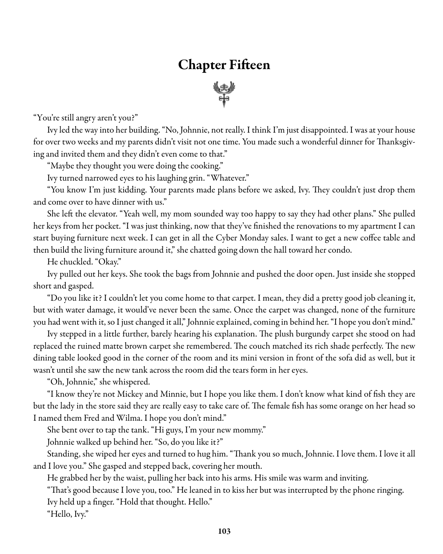# Chapter Fifteen



"You're still angry aren't you?"

Ivy led the way into her building. "No, Johnnie, not really. I think I'm just disappointed. I was at your house for over two weeks and my parents didn't visit not one time. You made such a wonderful dinner for Thanksgiving and invited them and they didn't even come to that."

"Maybe they thought you were doing the cooking."

Ivy turned narrowed eyes to his laughing grin. "Whatever."

"You know I'm just kidding. Your parents made plans before we asked, Ivy. They couldn't just drop them and come over to have dinner with us."

She left the elevator. "Yeah well, my mom sounded way too happy to say they had other plans." She pulled her keys from her pocket. "I was just thinking, now that they've finished the renovations to my apartment I can start buying furniture next week. I can get in all the Cyber Monday sales. I want to get a new coffee table and then build the living furniture around it," she chatted going down the hall toward her condo.

He chuckled. "Okay."

Ivy pulled out her keys. She took the bags from Johnnie and pushed the door open. Just inside she stopped short and gasped.

"Do you like it? I couldn't let you come home to that carpet. I mean, they did a pretty good job cleaning it, but with water damage, it would've never been the same. Once the carpet was changed, none of the furniture you had went with it, so I just changed it all," Johnnie explained, coming in behind her. "I hope you don't mind."

Ivy stepped in a little further, barely hearing his explanation. The plush burgundy carpet she stood on had replaced the ruined matte brown carpet she remembered. The couch matched its rich shade perfectly. The new dining table looked good in the corner of the room and its mini version in front of the sofa did as well, but it wasn't until she saw the new tank across the room did the tears form in her eyes.

"Oh, Johnnie," she whispered.

"I know they're not Mickey and Minnie, but I hope you like them. I don't know what kind of fish they are but the lady in the store said they are really easy to take care of. The female fish has some orange on her head so I named them Fred and Wilma. I hope you don't mind."

She bent over to tap the tank. "Hi guys, I'm your new mommy."

Johnnie walked up behind her. "So, do you like it?"

Standing, she wiped her eyes and turned to hug him. "Thank you so much, Johnnie. I love them. I love it all and I love you." She gasped and stepped back, covering her mouth.

He grabbed her by the waist, pulling her back into his arms. His smile was warm and inviting.

"That's good because I love you, too." He leaned in to kiss her but was interrupted by the phone ringing. Ivy held up a finger. "Hold that thought. Hello."

"Hello, Ivy."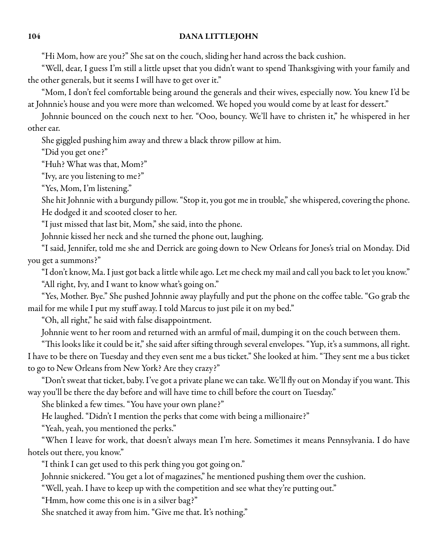"Hi Mom, how are you?" She sat on the couch, sliding her hand across the back cushion.

"Well, dear, I guess I'm still a little upset that you didn't want to spend Thanksgiving with your family and the other generals, but it seems I will have to get over it."

"Mom, I don't feel comfortable being around the generals and their wives, especially now. You knew I'd be at Johnnie's house and you were more than welcomed. We hoped you would come by at least for dessert."

Johnnie bounced on the couch next to her. "Ooo, bouncy. We'll have to christen it," he whispered in her other ear.

She giggled pushing him away and threw a black throw pillow at him.

"Did you get one?"

"Huh? What was that, Mom?"

"Ivy, are you listening to me?"

"Yes, Mom, I'm listening."

She hit Johnnie with a burgundy pillow. "Stop it, you got me in trouble," she whispered, covering the phone. He dodged it and scooted closer to her.

"I just missed that last bit, Mom," she said, into the phone.

Johnnie kissed her neck and she turned the phone out, laughing.

"I said, Jennifer, told me she and Derrick are going down to New Orleans for Jones's trial on Monday. Did you get a summons?"

"I don't know, Ma. I just got back a little while ago. Let me check my mail and call you back to let you know." "All right, Ivy, and I want to know what's going on."

"Yes, Mother. Bye." She pushed Johnnie away playfully and put the phone on the coffee table. "Go grab the mail for me while I put my stuff away. I told Marcus to just pile it on my bed."

"Oh, all right," he said with false disappointment.

Johnnie went to her room and returned with an armful of mail, dumping it on the couch between them.

"This looks like it could be it," she said after sifting through several envelopes. "Yup, it's a summons, all right. I have to be there on Tuesday and they even sent me a bus ticket." She looked at him. "They sent me a bus ticket to go to New Orleans from New York? Are they crazy?"

"Don't sweat that ticket, baby. I've got a private plane we can take. We'll fly out on Monday if you want. This way you'll be there the day before and will have time to chill before the court on Tuesday."

She blinked a few times. "You have your own plane?"

He laughed. "Didn't I mention the perks that come with being a millionaire?"

"Yeah, yeah, you mentioned the perks."

"When I leave for work, that doesn't always mean I'm here. Sometimes it means Pennsylvania. I do have hotels out there, you know."

"I think I can get used to this perk thing you got going on."

Johnnie snickered. "You get a lot of magazines," he mentioned pushing them over the cushion.

"Well, yeah. I have to keep up with the competition and see what they're putting out."

"Hmm, how come this one is in a silver bag?"

She snatched it away from him. "Give me that. It's nothing."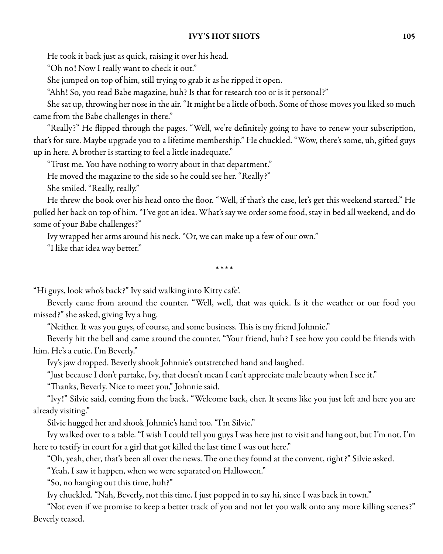He took it back just as quick, raising it over his head.

"Oh no! Now I really want to check it out."

She jumped on top of him, still trying to grab it as he ripped it open.

"Ahh! So, you read Babe magazine, huh? Is that for research too or is it personal?"

She sat up, throwing her nose in the air. "It might be a little of both. Some of those moves you liked so much came from the Babe challenges in there."

"Really?" He flipped through the pages. "Well, we're definitely going to have to renew your subscription, that's for sure. Maybe upgrade you to alifetime membership." He chuckled. "Wow, there's some, uh, gifted guys up in here. A brother is starting to feel a little inadequate."

"Trust me. You have nothing to worry about in that department."

He moved the magazine to the side so he could see her. "Really?"

She smiled. "Really, really."

He threw the book over his head onto the floor. "Well, if that's the case, let's get this weekend started." He pulled her back on top of him. "I've got an idea. What's say we order some food, stay in bed all weekend, and do some of your Babe challenges?"

Ivy wrapped her arms around his neck. "Or, we can make up a few of our own."

"I like that idea way better."

\* \* \* \*

"Hi guys, look who's back?" Ivy said walking into Kitty cafe'.

Beverly came from around the counter. "Well, well, that was quick. Is it the weather or our food you missed?" she asked, giving Ivy a hug.

"Neither. It was you guys, of course, and some business. This is my friend Johnnie."

Beverly hit the bell and came around the counter. "Your friend, huh? I see how you could be friends with him. He's a cutie. I'm Beverly."

Ivy's jaw dropped. Beverly shook Johnnie's outstretched hand and laughed.

"Just because I don't partake, Ivy, that doesn't mean I can't appreciate male beauty when I see it."

"Thanks, Beverly. Nice to meet you," Johnnie said.

"Ivy!" Silvie said, coming from the back. "Welcome back, cher. It seems like you just left and here you are already visiting."

Silvie hugged her and shook Johnnie's hand too. "I'm Silvie."

Ivy walked over to a table. "I wish I could tell you guys I was here just to visit and hang out, but I'm not. I'm here to testify in court for a girl that got killed the last time I was out here."

"Oh, yeah, cher, that's been all over the news. The one they found at the convent, right?" Silvie asked.

"Yeah, I saw it happen, when we were separated on Halloween."

"So, no hanging out this time, huh?"

Ivy chuckled. "Nah, Beverly, not this time. I just popped in to say hi, since I was back in town."

"Not even if we promise to keep a better track of you and not let you walk onto any more killing scenes?" Beverly teased.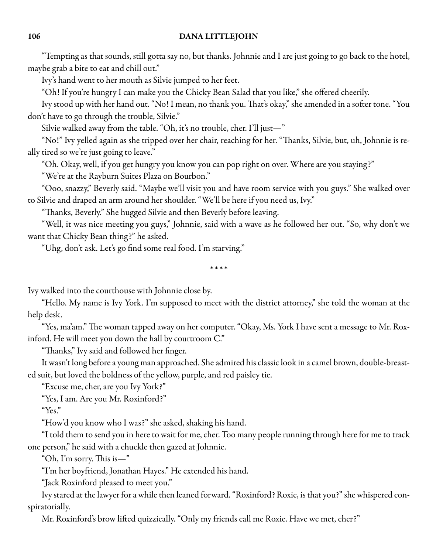"Tempting as that sounds, still gotta say no, but thanks. Johnnie and I are just going to go back to the hotel, maybe grab a bite to eat and chill out."

Ivy's hand went to her mouth as Silvie jumped to her feet.

"Oh! If you're hungry I can make you the Chicky Bean Salad that you like," she offered cheerily.

Ivy stood up with her hand out. "No! I mean, no thank you. That's okay," she amended in a softer tone. "You don't have to go through the trouble, Silvie."

Silvie walked away from the table. "Oh, it's no trouble, cher. I'll just—"

"No!" Ivy yelled again as she tripped over her chair, reaching for her. "Thanks, Silvie, but, uh, Johnnie is really tired so we're just going to leave."

"Oh. Okay, well, if you get hungry you know you can pop right on over. Where are you staying?"

"We're at the Rayburn Suites Plaza on Bourbon."

"Ooo, snazzy," Beverly said. "Maybe we'll visit you and have room service with you guys." She walked over to Silvie and draped an arm around her shoulder. "We'll be here if you need us, Ivy."

"Thanks, Beverly." She hugged Silvie and then Beverly before leaving.

"Well, it was nice meeting you guys," Johnnie, said with a wave as he followed her out. "So, why don't we want that Chicky Bean thing?" he asked.

"Uhg, don't ask. Let's go find some real food. I'm starving."

\* \* \* \*

Ivy walked into the courthouse with Johnnie close by.

"Hello. My name is Ivy York. I'm supposed to meet with the district attorney," she told the woman at the help desk.

"Yes, ma'am." The woman tapped away on her computer. "Okay, Ms. York I have senta message to Mr. Roxinford. He will meet you down the hall by courtroom C."

"Thanks," Ivy said and followed her finger.

It wasn't long before a young man approached. She admired his classic look in a camel brown, double-breasted suit, but loved the boldness of the yellow, purple, and red paisley tie.

"Excuse me, cher, are you Ivy York?"

"Yes, I am. Are you Mr. Roxinford?"

"Yes."

"How'd you know who I was?" she asked, shaking his hand.

"I told them to send you in here to wait for me, cher. Too many people running through here for me to track one person," he said with a chuckle then gazed at Johnnie.

"Oh, I'm sorry. This is—"

"I'm her boyfriend, Jonathan Hayes." He extended his hand.

"Jack Roxinford pleased to meet you."

Ivy stared at the lawyer for a while then leaned forward. "Roxinford? Roxie, is that you?" she whispered conspiratorially.

Mr. Roxinford's brow lifted quizzically. "Only my friends call me Roxie. Have we met, cher?"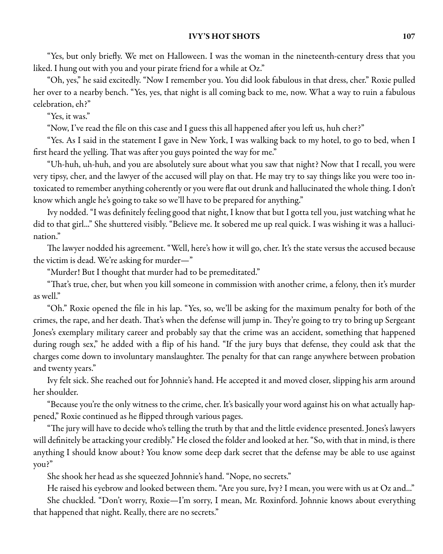"Yes, but only briefly. We met on Halloween. I was the woman in the nineteenth-century dress that you liked. I hung out with you and your pirate friend for a while at Oz."

"Oh, yes," he said excitedly. "Now I remember you. You did look fabulous in that dress, cher." Roxie pulled her over to a nearby bench. "Yes, yes, that night is all coming back to me, now. What a way to ruin a fabulous celebration, eh?"

"Yes, it was."

"Now, I've read the file on this case and I guess this all happened after you left us, huh cher?"

"Yes. As I said in the statement I gave in New York, I was walking back to my hotel, to go to bed, when I first heard the yelling. That was after you guys pointed the way for me."

"Uh-huh, uh-huh, and you are absolutely sure about what you saw that night? Now that I recall, you were very tipsy, cher, and the lawyer of the accused will play on that. He may try to say things like you were too intoxicated to remember anything coherently or you were flat out drunk and hallucinated the whole thing. I don't know which angle he's going to take so we'll have to be prepared for anything."

Ivy nodded. "I was definitely feeling good that night, I know that but I gotta tell you, just watching what he did to that girl..." She shuttered visibly. "Believe me. It sobered me up real quick. I was wishing it was a hallucination."

The lawyer nodded his agreement. "Well, here's how it will go, cher. It's the state versus the accused because the victim is dead. We're asking for murder—"

"Murder! But I thought that murder had to be premeditated."

"That's true, cher, but when you kill someone in commission with another crime, a felony, then it's murder as well."

"Oh." Roxie opened the file in his lap. "Yes, so, we'll be asking for the maximum penalty for both of the crimes, the rape, and her death. That's when the defense will jump in. They're going to try to bring up Sergeant Jones's exemplary military career and probably say that the crime was an accident, something that happened during rough sex," he added with a flip of his hand. "If the jury buys that defense, they could ask that the charges come down to involuntary manslaughter. The penalty for that can range anywhere between probation and twenty years."

Ivy felt sick. She reached out for Johnnie's hand. He accepted it and moved closer, slipping his arm around her shoulder.

"Because you're the only witness to the crime, cher. It's basically your word against his on what actually happened," Roxie continued as he flipped through various pages.

"The jury will have to decide who's telling the truth by that and the little evidence presented. Jones's lawyers will definitely be attacking your credibly." He closed the folder and looked at her. "So, with that in mind, is there anything I should know about? You know some deep dark secret that the defense may be able to use against you?"

She shook her head as she squeezed Johnnie's hand. "Nope, no secrets."

He raised his eyebrow and looked between them. "Are you sure, Ivy? I mean, you were with us at Oz and..."

She chuckled. "Don't worry, Roxie—I'm sorry, I mean, Mr. Roxinford. Johnnie knows about everything that happened that night. Really, there are no secrets."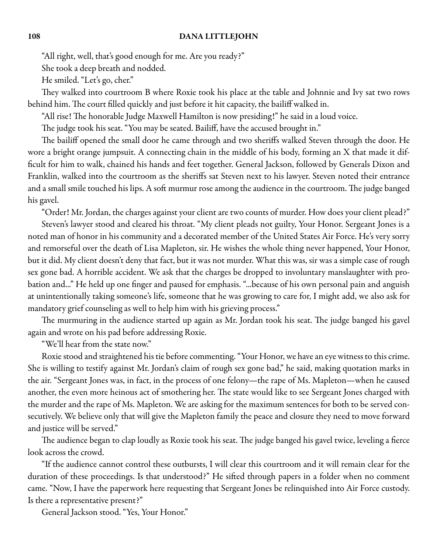"All right, well, that's good enough for me. Are you ready?"

She took a deep breath and nodded.

He smiled. "Let's go, cher."

They walked into courtroom B where Roxie took his place at the table and Johnnie and Ivy sat two rows behind him. The court filled quickly and just before it hit capacity, the bailiff walked in.

"All rise! The honorable Judge Maxwell Hamilton is now presiding!" he said in a loud voice.

The judge took his seat. "You may be seated. Bailiff, have the accused brought in."

The bailiff opened the small door he came through and two sheriffs walked Steven through the door. He wore a bright orange jumpsuit. A connecting chain in the middle of his body, forming an X that made it difficult for him to walk, chained his hands and feet together. General Jackson, followed by Generals Dixon and Franklin, walked into the courtroom as the sheriffs sat Steven next to his lawyer. Steven noted their entrance and a small smile touched his lips. A soft murmur rose among the audience in the courtroom. The judge banged his gavel.

"Order! Mr. Jordan, the charges against your client are two counts of murder. How does your client plead?"

Steven's lawyer stood and cleared his throat. "My client pleads not guilty, Your Honor. Sergeant Jones is a noted man of honor in his community and a decorated member of the United States Air Force. He's very sorry and remorseful over the death of Lisa Mapleton, sir. He wishes the whole thing never happened, Your Honor, but it did. My client doesn't deny that fact, but it was not murder. What this was, sir was a simple case of rough sex gone bad. A horrible accident. We ask that the charges be dropped to involuntary manslaughter with probation and..." He held up one finger and paused for emphasis. "...because of his own personal pain and anguish at unintentionally taking someone's life, someone that he was growing to care for, I might add, we also ask for mandatory grief counseling as well to help him with his grieving process."

The murmuring in the audience started up again as Mr. Jordan took his seat. The judge banged his gavel again and wrote on his pad before addressing Roxie.

"We'll hear from the state now."

Roxie stood and straightened his tie before commenting. "Your Honor, we have an eye witness to this crime. She is willing to testify against Mr. Jordan's claim of rough sex gone bad," he said, making quotation marks in the air. "Sergeant Jones was, in fact, in the process of one felony—the rape of Ms. Mapleton—when he caused another, the even more heinous act of smothering her. The state would like to see Sergeant Jones charged with the murder and the rape of Ms. Mapleton. We are asking for the maximum sentences for both to be served consecutively. We believe only that will give the Mapleton family the peace and closure they need to move forward and justice will be served."

The audience began to clap loudly as Roxie took his seat. The judge banged his gavel twice, leveling a fierce look across the crowd.

"If the audience cannot control these outbursts, I will clear this courtroom and it will remain clear for the duration of these proceedings. Is that understood?" He sifted through papers in a folder when no comment came. "Now, I have the paperwork here requesting that Sergeant Jones be relinquished into Air Force custody. Is there a representative present?"

General Jackson stood. "Yes, Your Honor."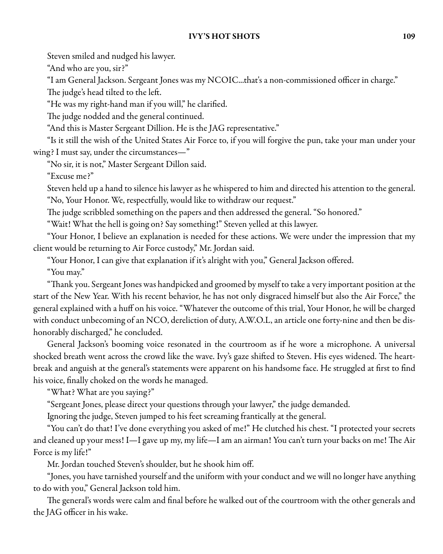### IVY'S HOT SHOTS 109

Steven smiled and nudged his lawyer.

"And who are you, sir?"

"I am General Jackson. Sergeant Jones was my NCOIC...that's a non-commissioned officer in charge."

The judge's head tilted to the left.

"He was my right-hand man if you will," he clarified.

The judge nodded and the general continued.

"And this is Master Sergeant Dillion. He is the JAG representative."

"Is it still the wish of the United States Air Force to, if you will forgive the pun, take your man under your wing? I must say, under the circumstances—"

"No sir, it is not," Master Sergeant Dillon said.

"Excuse me?"

Steven held up a hand to silence his lawyer as he whispered to him and directed his attention to the general. "No, Your Honor. We, respectfully, would like to withdraw our request."

The judge scribbled something on the papers and then addressed the general. "So honored."

"Wait! What the hell is going on? Say something!" Steven yelled at this lawyer.

"Your Honor, I believe an explanation is needed for these actions. We were under the impression that my client would be returning to Air Force custody," Mr. Jordan said.

"Your Honor, I can give that explanation if it's alright with you," General Jackson offered.

"You may."

"Thank you. Sergeant Jones was handpicked and groomed by myself to take a very important position at the start of the New Year. With his recent behavior, he has not only disgraced himself but also the Air Force," the general explained with a huff on his voice. "Whatever the outcome of this trial, Your Honor, he will be charged with conduct unbecoming of an NCO, dereliction of duty, A.W.O.L, an article one forty-nine and then be dishonorably discharged," he concluded.

General Jackson's booming voice resonated in the courtroom as if he wore a microphone. A universal shocked breath went across the crowd like the wave. Ivy's gaze shifted to Steven. His eyes widened. The heartbreak and anguish at the general's statements were apparent on his handsome face. He struggled at first to find his voice, finally choked on the words he managed.

"What? What are you saying?"

"Sergeant Jones, please direct your questions through your lawyer," the judge demanded.

Ignoring the judge, Steven jumped to his feet screaming frantically at the general.

"You can't do that! I've done everything you asked of me!" He clutched his chest. "I protected your secrets and cleaned up your mess! I—I gave up my, my life—Iam an airman! You can't turn your backs on me! The Air Force is my life!"

Mr. Jordan touched Steven's shoulder, but he shook him off.

"Jones, you have tarnished yourself and the uniform with your conduct and we will no longer have anything to do with you," General Jackson told him.

The general's words were calm and final before he walked out of the courtroom with the other generals and the JAG officer in his wake.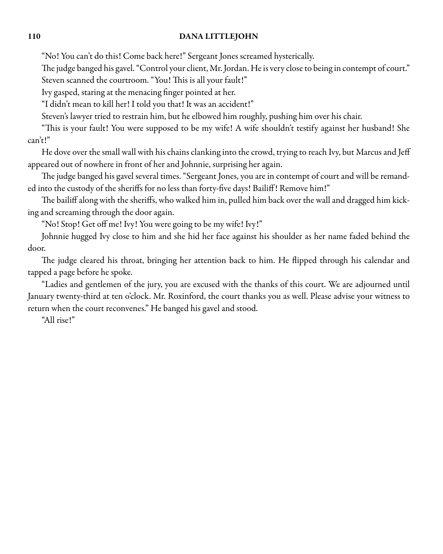### 110 DANA LITTLEJOHN

"No! You can't do this! Come back here!" Sergeant Jones screamed hysterically.

The judge banged his gavel. "Control your client, Mr. Jordan. He is very close to being in contempt of court."

Steven scanned the courtroom. "You! This is all your fault!"

Ivy gasped, staring at the menacing finger pointed at her.

"I didn't mean to kill her! I told you that! It was an accident!"

Steven's lawyer tried to restrain him, but he elbowed him roughly, pushing him over his chair.

"This is your fault! You were supposed to be my wife! A wife shouldn't testify against her husband! She can't!"

He dove over the small wall with his chains clanking into the crowd, trying to reach Ivy, but Marcus and Jeff appeared out of nowhere in front of her and Johnnie, surprising her again.

The judge banged his gavel several times. "Sergeant Jones, you are in contempt of court and will be remanded into the custody of the sheriffs for no less than forty-five days! Bailiff! Remove him!"

The bailiff along with the sheriffs, who walked him in, pulled him back over the wall and dragged him kicking and screaming through the door again.

"No! Stop! Get off me! Ivy! You were going to be my wife! Ivy!"

Johnnie hugged Ivy close to him and she hid her face against his shoulder as her name faded behind the door.

The judge cleared his throat, bringing her attention back to him. He flipped through his calendar and tapped a page before he spoke.

"Ladies and gentlemen of the jury, you are excused with the thanks of this court. We are adjourned until January twenty-third at ten o'clock. Mr. Roxinford, the court thanks you as well. Please advise your witness to return when the court reconvenes." He banged his gavel and stood.

"All rise!"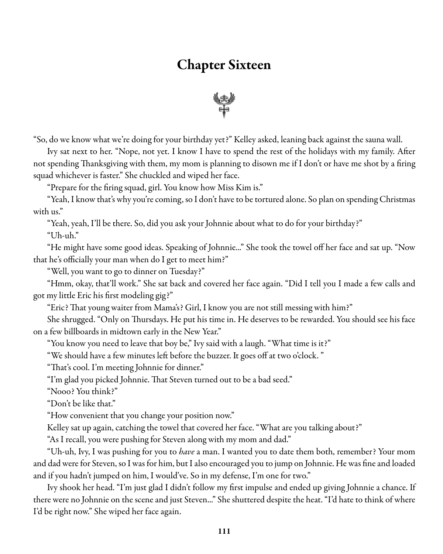## Chapter Sixteen



"So, do we know what we're doing for your birthday yet?" Kelley asked, leaning back against the sauna wall.

Ivy sat next to her. "Nope, not yet. I know I have to spend the rest of the holidays with my family. After not spending Thanksgiving with them, my mom is planning to disown me if I don't or have me shot by a firing squad whichever is faster." She chuckled and wiped her face.

"Prepare for the firing squad, girl. You know how Miss Kim is."

"Yeah, I know that's why you're coming, so I don't have to be tortured alone. So plan on spending Christmas with us."

"Yeah, yeah, I'll be there. So, did you ask your Johnnie about what to do for your birthday?"

"Uh-uh."

"He might have some good ideas. Speaking of Johnnie..." She took the towel off her face and sat up. "Now that he's officially your man when do I get to meet him?"

"Well, you want to go to dinner on Tuesday?"

"Hmm, okay, that'll work." She sat back and covered her face again. "Did I tell you I made a few calls and got my little Eric his first modeling gig?"

"Eric? That young waiter from Mama's? Girl, I know you are not still messing with him?"

She shrugged. "Only on Thursdays. He put his time in. He deserves to be rewarded. You should see his face on a few billboards in midtown early in the New Year."

"You know you need to leave that boy be," Ivy said with a laugh. "What time is it?"

"We should have a few minutes left before the buzzer. It goes off at two o'clock. "

"That's cool. I'm meeting Johnnie for dinner."

"I'm glad you picked Johnnie. That Steven turned out to be a bad seed."

"Nooo? You think?"

"Don't be like that."

"How convenient that you change your position now."

Kelley sat up again, catching the towel that covered her face. "What are you talking about?"

"As I recall, you were pushing for Steven along with my mom and dad."

"Uh-uh, Ivy, I was pushing for you to *have* a man. I wanted you to date them both, remember? Your mom and dad were for Steven, so I was for him, but I also encouraged you to jump on Johnnie. He was fine and loaded and if you hadn't jumped on him, I would've. So in my defense, I'm one for two."

Ivy shook her head. "I'm just glad I didn't follow my first impulse and ended up giving Johnnie a chance. If there were no Johnnie on the scene and just Steven..." She shuttered despite the heat. "I'd hate to think of where I'd be right now." She wiped her face again.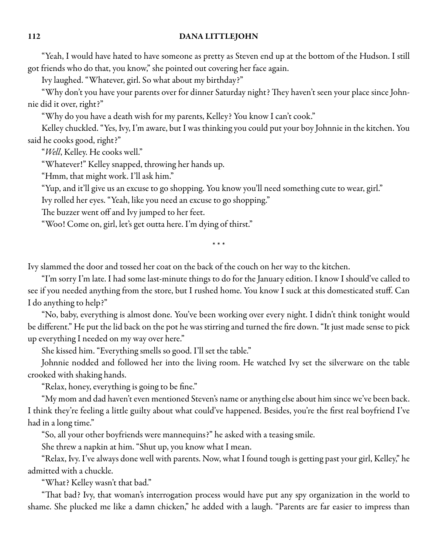#### 112 DANA LITTLEJOHN

"Yeah, I would have hated to have someone as pretty as Steven end up at the bottom of the Hudson. I still got friends who do that, you know," she pointed out covering her face again.

Ivy laughed. "Whatever, girl. So what about my birthday?"

"Why don't you have your parents over for dinner Saturday night? They haven't seen your place since Johnnie did it over, right?"

"Why do you have a death wish for my parents, Kelley? You know I can't cook."

Kelley chuckled. "Yes, Ivy, I'm aware, but I was thinking you could put your boy Johnnie in the kitchen. You said he cooks good, right?"

"Well, Kelley. He cooks well."

"Whatever!" Kelley snapped, throwing her hands up.

"Hmm, that might work. I'll ask him."

"Yup, and it'll give us an excuse to go shopping. You know you'll need something cute to wear, girl."

Ivy rolled her eyes. "Yeah, like you need an excuse to go shopping."

The buzzer went off and Ivy jumped to her feet.

"Woo! Come on, girl, let's get outta here. I'm dying of thirst."

\* \* \*

Ivy slammed the door and tossed her coat on the back of the couch on her way to the kitchen.

"I'm sorry I'm late. I had some last-minute things to do for the January edition. I know I should've called to see if you needed anything from the store, but I rushed home. You know I suck at this domesticated stuff. Can I do anything to help?"

"No, baby, everything is almost done. You've been working over every night. I didn't think tonight would be different." He put the lid back on the pot he was stirring and turned the fire down. "It just made sense to pick up everything I needed on my way over here."

She kissed him. "Everything smells so good. I'll set the table."

Johnnie nodded and followed her into the living room. He watched Ivy set the silverware on the table crooked with shaking hands.

"Relax, honey, everything is going to be fine."

"My mom and dad haven't even mentioned Steven's name or anything else about him since we've been back. I think they're feeling a little guilty about what could've happened. Besides, you're the first real boyfriend I've had in a long time."

"So, all your other boyfriends were mannequins?" he asked with a teasing smile.

She threw a napkin at him. "Shut up, you know what I mean.

"Relax, Ivy. I've always done well with parents. Now, what I found tough is getting past your girl, Kelley," he admitted with a chuckle.

"What? Kelley wasn't that bad."

"That bad? Ivy, that woman's interrogation process would have put any spy organization in the world to shame. She plucked me like a damn chicken," he added with a laugh. "Parents are far easier to impress than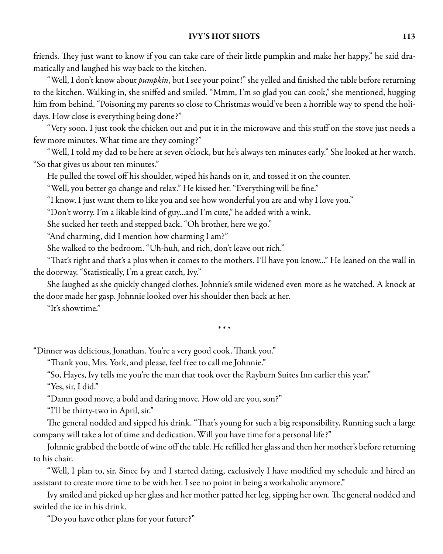### IVY'S HOT SHOTS 113

friends. They just want to know if you can take care of their little pumpkin and make her happy," he said dramatically and laughed his way back to the kitchen.

"Well, I don't know about *pumpkin*, but I see your point!" she yelled and finished the table before returning to the kitchen. Walking in, she sniffed and smiled. "Mmm, I'm so glad you can cook," she mentioned, hugging him from behind. "Poisoning my parents so close to Christmas would've been a horrible way to spend the holidays. How close is everything being done?"

"Very soon. I just took the chicken out and put it in the microwave and this stuff on the stove just needs a few more minutes. What time are they coming?"

"Well, I told my dad to be here at seven o'clock, but he's always ten minutes early." She looked at her watch. "So that gives us about ten minutes."

He pulled the towel off his shoulder, wiped his hands on it, and tossed it on the counter.

"Well, you better go change and relax." He kissed her. "Everything will be fine."

"I know. I just want them to like you and see how wonderful you are and why I love you."

"Don't worry. I'm a likable kind of guy...and I'm cute," he added with a wink.

She sucked her teeth and stepped back. "Oh brother, here we go."

"And charming, did I mention how charming I am?"

She walked to the bedroom. "Uh-huh, and rich, don't leave out rich."

"That's right and that's a plus when it comes to the mothers. I'll have you know..." He leaned on the wall in the doorway. "Statistically, I'm a great catch, Ivy."

She laughed as she quickly changed clothes. Johnnie's smile widened even more as he watched. A knock at the door made her gasp. Johnnie looked over his shoulder then back at her.

"It's showtime."

\* \* \*

"Dinner was delicious, Jonathan. You're a very good cook. Thank you."

"Thank you, Mrs. York, and please, feel free to call me Johnnie."

"So, Hayes, Ivy tells me you're the man that took over the Rayburn Suites Inn earlier this year."

"Yes, sir, I did."

"Damn good move, a bold and daring move. How old are you, son?"

"I'll be thirty-two in April, sir."

The general nodded and sipped his drink. "That's young for such a big responsibility. Running such a large company will take a lot of time and dedication. Will you have time for a personal life?"

Johnnie grabbed the bottle of wine off the table. He refilled her glass and then her mother's before returning to his chair.

"Well, I plan to, sir. Since Ivy and I started dating, exclusively I have modified my schedule and hired an assistant to create more time to be with her. I see no point in being a workaholic anymore."

Ivy smiled and picked up her glass and her mother patted her leg, sipping her own. The general nodded and swirled the ice in his drink.

"Do you have other plans for your future?"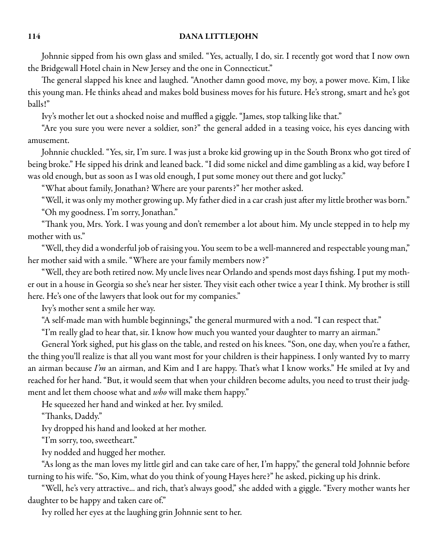#### 114 DANA LITTLEJOHN

Johnnie sipped from his own glass and smiled. "Yes, actually, I do, sir. I recently got word that I now own the Bridgewall Hotel chain in New Jersey and the one in Connecticut."

The general slapped his knee and laughed. "Another damn good move, my boy, a power move. Kim, I like this young man. He thinks ahead and makes bold business moves for his future. He's strong, smart and he's got balls!"

Ivy's mother let out a shocked noise and muffled a giggle. "James, stop talking like that."

"Are you sure you were never a soldier, son?" the general added in a teasing voice, his eyes dancing with amusement.

Johnnie chuckled. "Yes, sir, I'm sure. I was just a broke kid growing up in the South Bronx who got tired of being broke." He sipped his drink and leaned back. "I did some nickel and dime gambling as a kid, way before I was old enough, but as soon as I was old enough, I put some money out there and got lucky."

"What about family, Jonathan? Where are your parents?" her mother asked.

"Well, it was only my mother growing up. My father died in a car crash just after my little brother was born." "Oh my goodness. I'm sorry, Jonathan."

"Thank you, Mrs. York. I was young and don't remember a lot about him. My uncle stepped in to help my mother with us."

"Well, they did a wonderful job of raising you. You seem to be a well-mannered and respectable young man," her mother said with a smile. "Where are your family members now?"

"Well, they are both retired now. My uncle lives near Orlando and spends most days fishing. I put my mother out in a house in Georgia so she's near her sister. They visit each other twice a year I think. My brother is still here. He's one of the lawyers that look out for my companies."

Ivy's mother sent a smile her way.

"A self-made man with humble beginnings," the general murmured with a nod. "I can respect that."

"I'm really glad to hear that, sir. I know how much you wanted your daughter to marry an airman."

General York sighed, put his glass on the table, and rested on his knees. "Son, one day, when you're a father, the thing you'll realize is that all you want most for your children is their happiness. I only wanted Ivy to marry an airman because  $Im$  an airman, and Kim and I are happy. That's what I know works." He smiled at Ivy and reached for her hand. "But, it would seem that when your children become adults, you need to trust their judgment and let them choose what and who will make them happy."

He squeezed her hand and winked at her. Ivy smiled.

"Thanks, Daddy."

Ivy dropped his hand and looked at her mother.

"I'm sorry, too, sweetheart."

Ivy nodded and hugged her mother.

"As long as the man loves my little girl and can take care of her, I'm happy," the general told Johnnie before turning to his wife. "So, Kim, what do you think of young Hayes here?" he asked, picking up his drink.

"Well, he's very attractive... and rich, that's always good," she added with a giggle. "Every mother wants her daughter to be happy and taken care of."

Ivy rolled her eyes at the laughing grin Johnnie sent to her.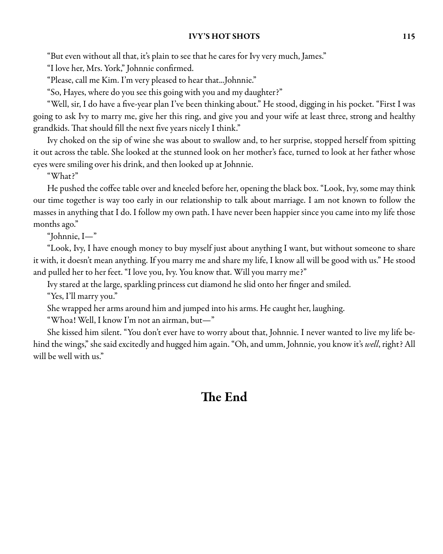### IVY'S HOT SHOTS 115

"But even without all that, it's plain to see that he cares for Ivy very much, James."

"I love her, Mrs. York," Johnnie confirmed.

"Please, call me Kim. I'm very pleased to hear that...Johnnie."

"So, Hayes, where do you see this going with you and my daughter?"

"Well, sir, I do have a five-year plan I've been thinking about." He stood, digging in his pocket. "First I was going to ask Ivy to marry me, give her this ring, and give you and your wife at least three, strong and healthy grandkids. That should fill the next five years nicely I think."

Ivy choked on the sip of wine she was about to swallow and, to her surprise, stopped herself from spitting it out across the table. She looked at the stunned look on her mother's face, turned to look at her father whose eyes were smiling over his drink, and then looked up at Johnnie.

"What?"

He pushed the coffee table over and kneeled before her, opening the black box. "Look, Ivy, some may think our time together is way too early in our relationship to talk about marriage. I am not known to follow the masses in anything that I do. I follow my own path. I have never been happier since you came into my life those months ago."

"Johnnie, I—"

"Look, Ivy, I have enough money to buy myself just about anything I want, but without someone to share it with, it doesn't mean anything. If you marry me and share my life, I know all will be good with us." He stood and pulled her to her feet. "I love you, Ivy. You know that. Will you marry me?"

Ivy stared at the large, sparkling princess cut diamond he slid onto her finger and smiled.

"Yes, I'll marry you."

She wrapped her arms around him and jumped into his arms. He caught her, laughing.

"Whoa! Well, I know I'm not an airman, but—"

She kissed him silent. "You don't ever have to worry about that, Johnnie. I never wanted to live my life behind the wings," she said excitedly and hugged him again. "Oh, and umm, Johnnie, you know it's well, right? All will be well with us."

## The End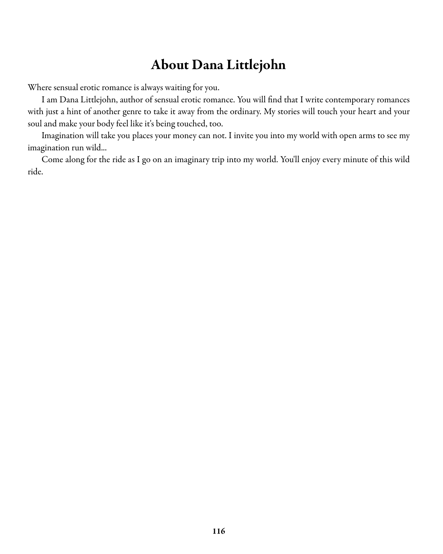## About Dana Littlejohn

Where sensual erotic romance is always waiting for you.

I am Dana Littlejohn, author of sensual erotic romance. You will find that I write contemporary romances with just a hint of another genre to take it away from the ordinary. My stories will touch your heart and your soul and make your body feel like it's being touched, too.

Imagination will take you places your money can not. I invite you into my world with open arms to see my imagination run wild...

Come along for the ride as I go on an imaginary trip into my world. You'll enjoy every minute of this wild ride.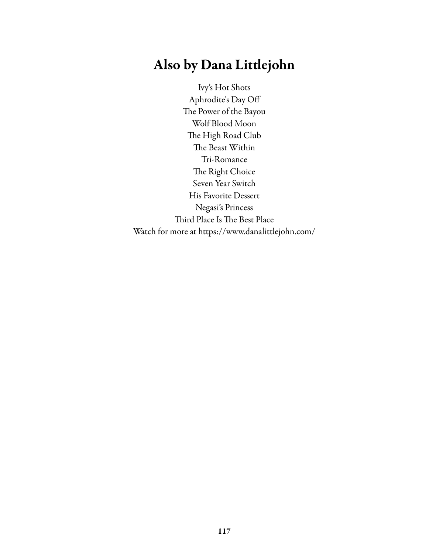## Also by Dana Littlejohn

Ivy's Hot Shots Aphrodite's Day Off The Power of the Bayou Wolf Blood Moon The High Road Club The Beast Within Tri-Romance The Right Choice Seven Year Switch His Favorite Dessert Negasi's Princess Third Place Is The Best Place Watch for more at https://www.danalittlejohn.com/